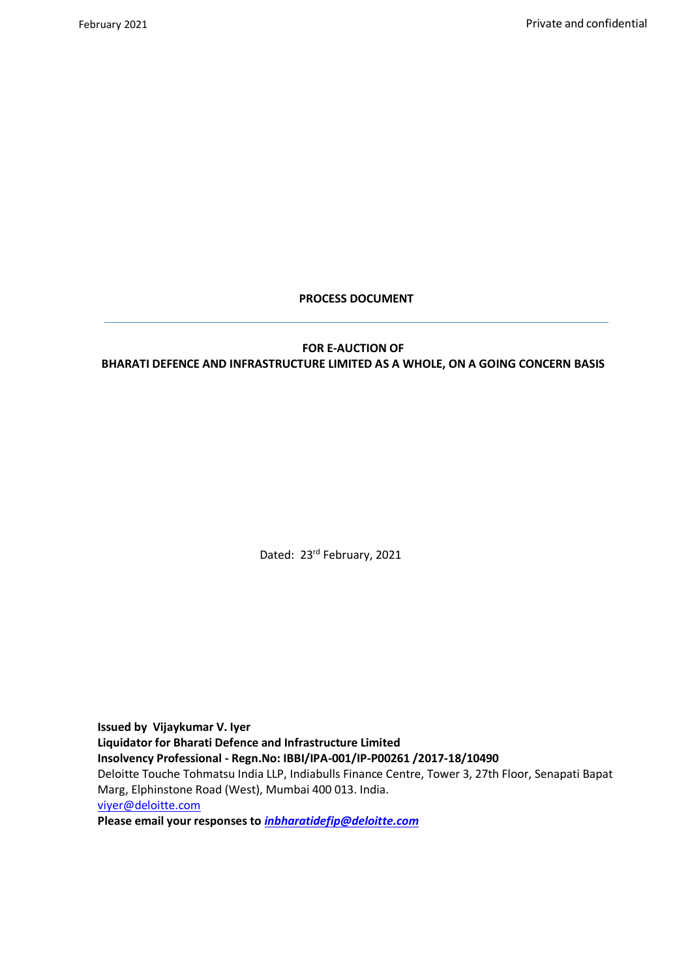## **PROCESS DOCUMENT**

## **FOR E-AUCTION OF BHARATI DEFENCE AND INFRASTRUCTURE LIMITED AS A WHOLE, ON A GOING CONCERN BASIS**

Dated: 23<sup>rd</sup> February, 2021

**Issued by Vijaykumar V. Iyer Liquidator for Bharati Defence and Infrastructure Limited Insolvency Professional - Regn.No: IBBI/IPA-001/IP-P00261 /2017-18/10490** Deloitte Touche Tohmatsu India LLP, Indiabulls Finance Centre, Tower 3, 27th Floor, Senapati Bapat Marg, Elphinstone Road (West), Mumbai 400 013. India. [viyer@deloitte.com](mailto:viyer@deloitte.com)

**Please email your responses to** *[inbharatidefip@deloitte.com](mailto:inbharatidefip@deloitte.com)*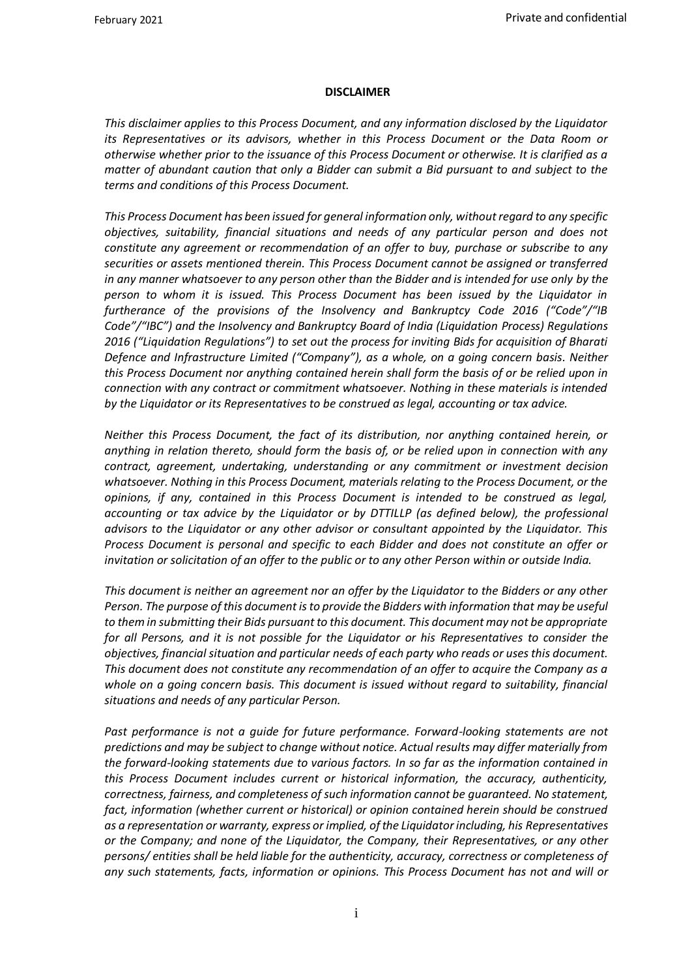#### <span id="page-1-0"></span>**DISCLAIMER**

*This disclaimer applies to this Process Document, and any information disclosed by the Liquidator its Representatives or its advisors, whether in this Process Document or the Data Room or otherwise whether prior to the issuance of this Process Document or otherwise. It is clarified as a matter of abundant caution that only a Bidder can submit a Bid pursuant to and subject to the terms and conditions of this Process Document.* 

*This Process Document has been issued for general information only, without regard to any specific objectives, suitability, financial situations and needs of any particular person and does not constitute any agreement or recommendation of an offer to buy, purchase or subscribe to any securities or assets mentioned therein. This Process Document cannot be assigned or transferred in any manner whatsoever to any person other than the Bidder and is intended for use only by the person to whom it is issued. This Process Document has been issued by the Liquidator in furtherance of the provisions of the Insolvency and Bankruptcy Code 2016 ("Code"/"IB Code"/"IBC") and the Insolvency and Bankruptcy Board of India (Liquidation Process) Regulations 2016 ("Liquidation Regulations") to set out the process for inviting Bids for acquisition of Bharati Defence and Infrastructure Limited ("Company"), as a whole, on a going concern basis. Neither this Process Document nor anything contained herein shall form the basis of or be relied upon in connection with any contract or commitment whatsoever. Nothing in these materials is intended by the Liquidator or its Representatives to be construed as legal, accounting or tax advice.*

*Neither this Process Document, the fact of its distribution, nor anything contained herein, or anything in relation thereto, should form the basis of, or be relied upon in connection with any contract, agreement, undertaking, understanding or any commitment or investment decision whatsoever. Nothing in this Process Document, materials relating to the Process Document, or the opinions, if any, contained in this Process Document is intended to be construed as legal, accounting or tax advice by the Liquidator or by DTTILLP (as defined below), the professional advisors to the Liquidator or any other advisor or consultant appointed by the Liquidator. This Process Document is personal and specific to each Bidder and does not constitute an offer or invitation or solicitation of an offer to the public or to any other Person within or outside India.*

*This document is neither an agreement nor an offer by the Liquidator to the Bidders or any other Person. The purpose of this document is to provide the Bidders with information that may be useful to them in submitting their Bids pursuant to this document. This document may not be appropriate for all Persons, and it is not possible for the Liquidator or his Representatives to consider the objectives, financial situation and particular needs of each party who reads or uses this document. This document does not constitute any recommendation of an offer to acquire the Company as a whole on a going concern basis. This document is issued without regard to suitability, financial situations and needs of any particular Person.*

Past performance is not a guide for future performance. Forward-looking statements are not *predictions and may be subject to change without notice. Actual results may differ materially from the forward-looking statements due to various factors. In so far as the information contained in this Process Document includes current or historical information, the accuracy, authenticity, correctness, fairness, and completeness of such information cannot be guaranteed. No statement,*  fact, information (whether current or historical) or opinion contained herein should be construed *as a representation or warranty, express or implied, of the Liquidator including, his Representatives or the Company; and none of the Liquidator, the Company, their Representatives, or any other persons/ entities shall be held liable for the authenticity, accuracy, correctness or completeness of any such statements, facts, information or opinions. This Process Document has not and will or*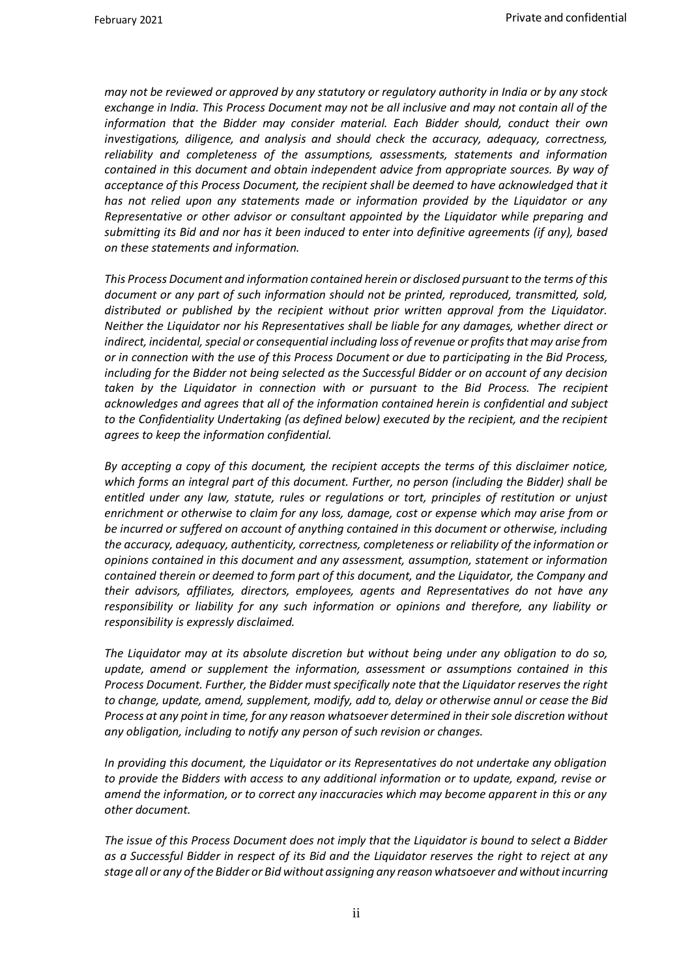*may not be reviewed or approved by any statutory or regulatory authority in India or by any stock exchange in India. This Process Document may not be all inclusive and may not contain all of the information that the Bidder may consider material. Each Bidder should, conduct their own investigations, diligence, and analysis and should check the accuracy, adequacy, correctness, reliability and completeness of the assumptions, assessments, statements and information contained in this document and obtain independent advice from appropriate sources. By way of acceptance of this Process Document, the recipient shall be deemed to have acknowledged that it has not relied upon any statements made or information provided by the Liquidator or any Representative or other advisor or consultant appointed by the Liquidator while preparing and submitting its Bid and nor has it been induced to enter into definitive agreements (if any), based on these statements and information.*

*This Process Document and information contained herein or disclosed pursuant to the terms of this document or any part of such information should not be printed, reproduced, transmitted, sold, distributed or published by the recipient without prior written approval from the Liquidator. Neither the Liquidator nor his Representatives shall be liable for any damages, whether direct or indirect, incidental, special or consequential including loss of revenue or profits that may arise from or in connection with the use of this Process Document or due to participating in the Bid Process, including for the Bidder not being selected as the Successful Bidder or on account of any decision taken by the Liquidator in connection with or pursuant to the Bid Process. The recipient acknowledges and agrees that all of the information contained herein is confidential and subject to the Confidentiality Undertaking (as defined below) executed by the recipient, and the recipient agrees to keep the information confidential.*

*By accepting a copy of this document, the recipient accepts the terms of this disclaimer notice, which forms an integral part of this document. Further, no person (including the Bidder) shall be entitled under any law, statute, rules or regulations or tort, principles of restitution or unjust enrichment or otherwise to claim for any loss, damage, cost or expense which may arise from or be incurred or suffered on account of anything contained in this document or otherwise, including the accuracy, adequacy, authenticity, correctness, completeness or reliability of the information or opinions contained in this document and any assessment, assumption, statement or information contained therein or deemed to form part of this document, and the Liquidator, the Company and their advisors, affiliates, directors, employees, agents and Representatives do not have any responsibility or liability for any such information or opinions and therefore, any liability or responsibility is expressly disclaimed.*

*The Liquidator may at its absolute discretion but without being under any obligation to do so, update, amend or supplement the information, assessment or assumptions contained in this Process Document. Further, the Bidder must specifically note that the Liquidator reserves the right to change, update, amend, supplement, modify, add to, delay or otherwise annul or cease the Bid Process at any point in time, for any reason whatsoever determined in their sole discretion without any obligation, including to notify any person of such revision or changes.*

*In providing this document, the Liquidator or its Representatives do not undertake any obligation to provide the Bidders with access to any additional information or to update, expand, revise or amend the information, or to correct any inaccuracies which may become apparent in this or any other document.* 

*The issue of this Process Document does not imply that the Liquidator is bound to select a Bidder as a Successful Bidder in respect of its Bid and the Liquidator reserves the right to reject at any stage all or any of the Bidder or Bid without assigning any reason whatsoever and without incurring*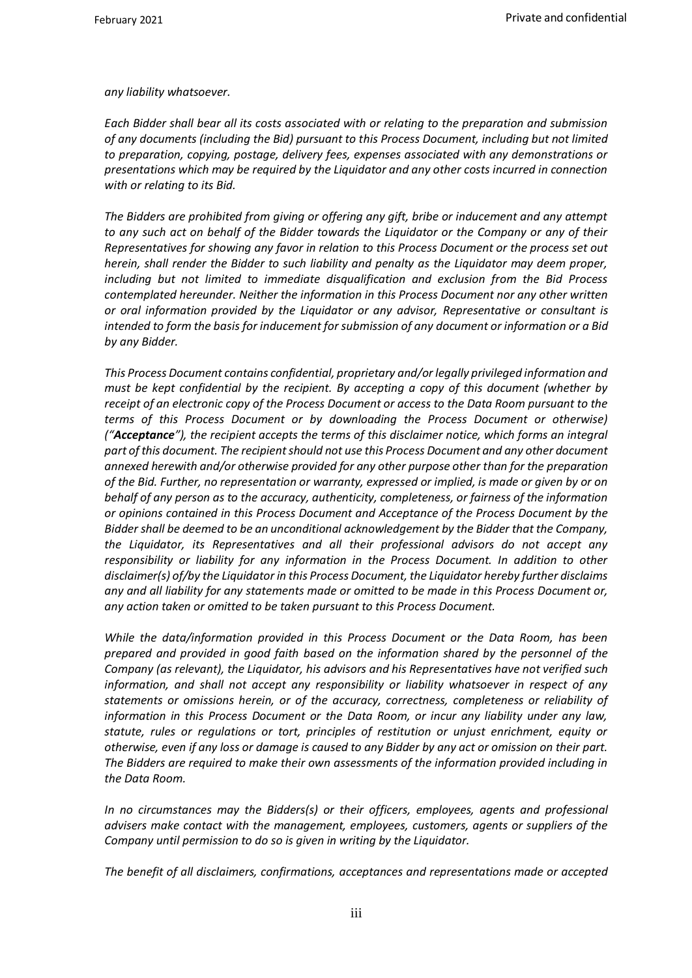*any liability whatsoever.*

*Each Bidder shall bear all its costs associated with or relating to the preparation and submission of any documents (including the Bid) pursuant to this Process Document, including but not limited to preparation, copying, postage, delivery fees, expenses associated with any demonstrations or presentations which may be required by the Liquidator and any other costs incurred in connection with or relating to its Bid.* 

*The Bidders are prohibited from giving or offering any gift, bribe or inducement and any attempt to any such act on behalf of the Bidder towards the Liquidator or the Company or any of their Representatives for showing any favor in relation to this Process Document or the process set out herein, shall render the Bidder to such liability and penalty as the Liquidator may deem proper, including but not limited to immediate disqualification and exclusion from the Bid Process contemplated hereunder. Neither the information in this Process Document nor any other written or oral information provided by the Liquidator or any advisor, Representative or consultant is intended to form the basis for inducement for submission of any document or information or a Bid by any Bidder.*

*This Process Document contains confidential, proprietary and/or legally privileged information and must be kept confidential by the recipient. By accepting a copy of this document (whether by receipt of an electronic copy of the Process Document or access to the Data Room pursuant to the terms of this Process Document or by downloading the Process Document or otherwise) ("Acceptance"), the recipient accepts the terms of this disclaimer notice, which forms an integral part of this document. The recipient should not use this Process Document and any other document annexed herewith and/or otherwise provided for any other purpose other than for the preparation of the Bid. Further, no representation or warranty, expressed or implied, is made or given by or on behalf of any person as to the accuracy, authenticity, completeness, or fairness of the information or opinions contained in this Process Document and Acceptance of the Process Document by the Bidder shall be deemed to be an unconditional acknowledgement by the Bidder that the Company, the Liquidator, its Representatives and all their professional advisors do not accept any responsibility or liability for any information in the Process Document. In addition to other disclaimer(s) of/by the Liquidator in this Process Document, the Liquidator hereby further disclaims any and all liability for any statements made or omitted to be made in this Process Document or, any action taken or omitted to be taken pursuant to this Process Document.* 

*While the data/information provided in this Process Document or the Data Room, has been prepared and provided in good faith based on the information shared by the personnel of the Company (as relevant), the Liquidator, his advisors and his Representatives have not verified such information, and shall not accept any responsibility or liability whatsoever in respect of any statements or omissions herein, or of the accuracy, correctness, completeness or reliability of information in this Process Document or the Data Room, or incur any liability under any law, statute, rules or regulations or tort, principles of restitution or unjust enrichment, equity or otherwise, even if any loss or damage is caused to any Bidder by any act or omission on their part. The Bidders are required to make their own assessments of the information provided including in the Data Room.*

*In no circumstances may the Bidders(s) or their officers, employees, agents and professional advisers make contact with the management, employees, customers, agents or suppliers of the Company until permission to do so is given in writing by the Liquidator.*

*The benefit of all disclaimers, confirmations, acceptances and representations made or accepted*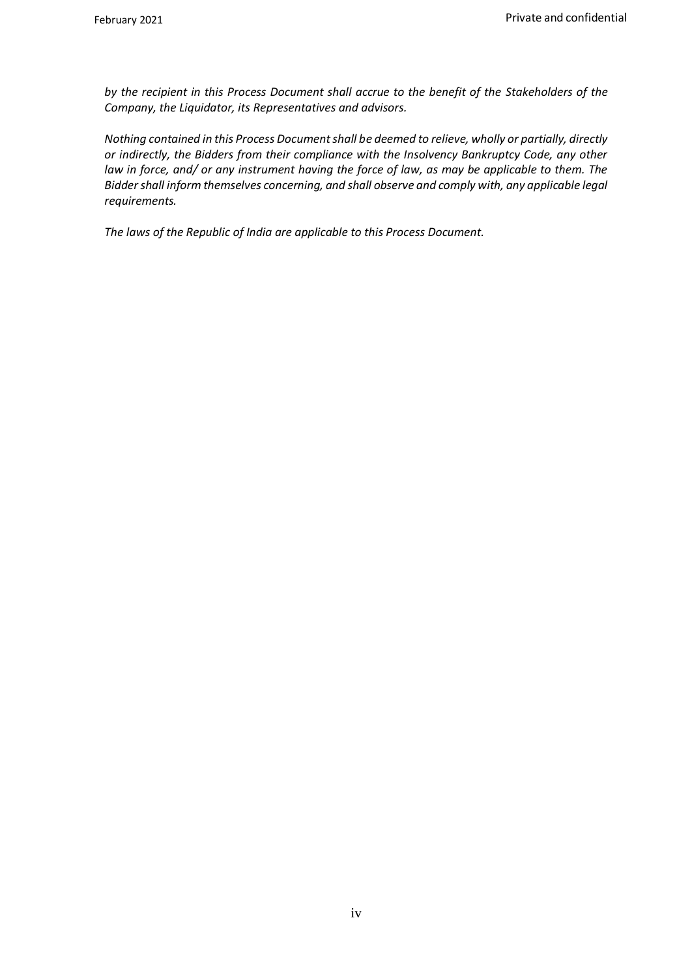*by the recipient in this Process Document shall accrue to the benefit of the Stakeholders of the Company, the Liquidator, its Representatives and advisors.*

*Nothing contained in this Process Document shall be deemed to relieve, wholly or partially, directly or indirectly, the Bidders from their compliance with the Insolvency Bankruptcy Code, any other law in force, and/ or any instrument having the force of law, as may be applicable to them. The Bidder shall inform themselves concerning, and shall observe and comply with, any applicable legal requirements.*

*The laws of the Republic of India are applicable to this Process Document.*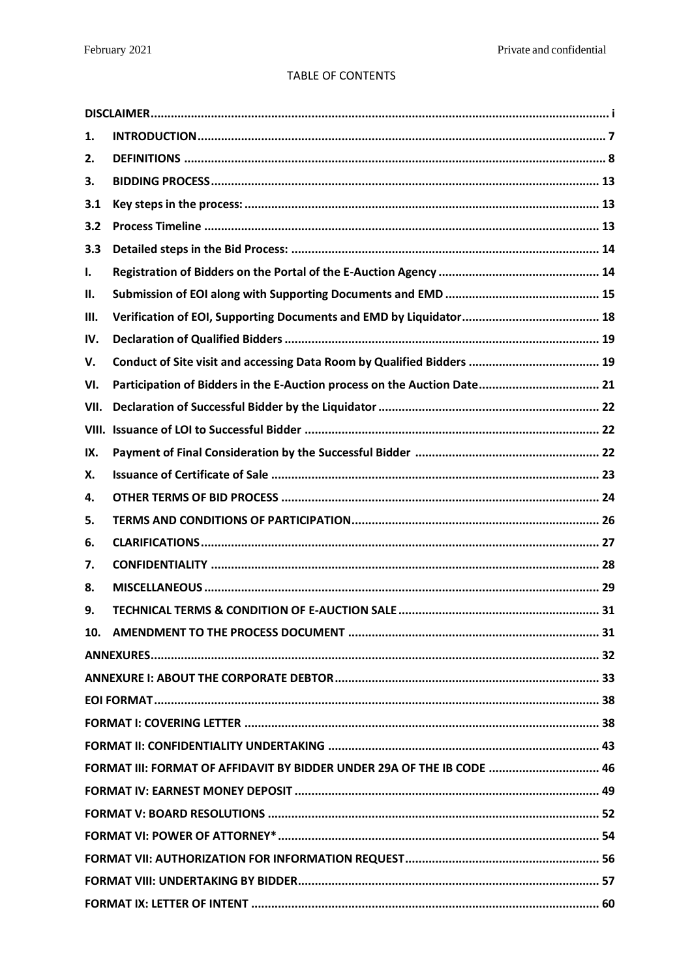## TABLE OF CONTENTS

| 1.   |                                                                          |
|------|--------------------------------------------------------------------------|
| 2.   |                                                                          |
| 3.   |                                                                          |
| 3.1  |                                                                          |
| 3.2  |                                                                          |
| 3.3  |                                                                          |
| I.   |                                                                          |
| Н.   |                                                                          |
| III. |                                                                          |
| IV.  |                                                                          |
| V.   |                                                                          |
| VI.  | Participation of Bidders in the E-Auction process on the Auction Date 21 |
| VII. |                                                                          |
|      |                                                                          |
| IX.  |                                                                          |
| Х.   |                                                                          |
| 4.   |                                                                          |
| 5.   |                                                                          |
| 6.   |                                                                          |
| 7.   |                                                                          |
| 8.   |                                                                          |
| 9.   |                                                                          |
|      |                                                                          |
|      |                                                                          |
|      |                                                                          |
|      |                                                                          |
|      |                                                                          |
|      |                                                                          |
|      | FORMAT III: FORMAT OF AFFIDAVIT BY BIDDER UNDER 29A OF THE IB CODE  46   |
|      |                                                                          |
|      |                                                                          |
|      |                                                                          |
|      |                                                                          |
|      |                                                                          |
|      |                                                                          |
|      |                                                                          |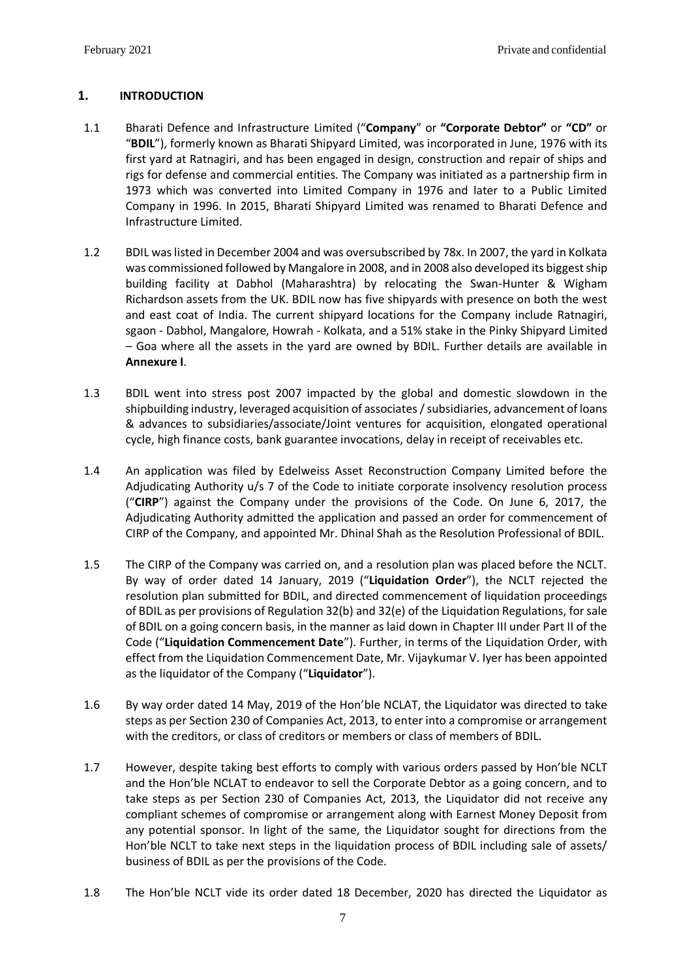## <span id="page-7-0"></span>**1. INTRODUCTION**

- <span id="page-7-1"></span>1.1 Bharati Defence and Infrastructure Limited ("**Company**" or **"Corporate Debtor"** or **"CD"** or "**BDIL**"), formerly known as Bharati Shipyard Limited, was incorporated in June, 1976 with its first yard at Ratnagiri, and has been engaged in design, construction and repair of ships and rigs for defense and commercial entities. The Company was initiated as a partnership firm in 1973 which was converted into Limited Company in 1976 and later to a Public Limited Company in 1996. In 2015, Bharati Shipyard Limited was renamed to Bharati Defence and Infrastructure Limited.
- 1.2 BDIL was listed in December 2004 and was oversubscribed by 78x. In 2007, the yard in Kolkata was commissioned followed by Mangalore in 2008, and in 2008 also developed its biggest ship building facility at Dabhol (Maharashtra) by relocating the Swan-Hunter & Wigham Richardson assets from the UK. BDIL now has five shipyards with presence on both the west and east coat of India. The current shipyard locations for the Company include Ratnagiri, sgaon - Dabhol, Mangalore, Howrah - Kolkata, and a 51% stake in the Pinky Shipyard Limited – Goa where all the assets in the yard are owned by BDIL. Further details are available in **Annexure I**.
- 1.3 BDIL went into stress post 2007 impacted by the global and domestic slowdown in the shipbuilding industry, leveraged acquisition of associates / subsidiaries, advancement of loans & advances to subsidiaries/associate/Joint ventures for acquisition, elongated operational cycle, high finance costs, bank guarantee invocations, delay in receipt of receivables etc.
- 1.4 An application was filed by Edelweiss Asset Reconstruction Company Limited before the Adjudicating Authority u/s 7 of the Code to initiate corporate insolvency resolution process ("**CIRP**") against the Company under the provisions of the Code. On June 6, 2017, the Adjudicating Authority admitted the application and passed an order for commencement of CIRP of the Company, and appointed Mr. Dhinal Shah as the Resolution Professional of BDIL.
- 1.5 The CIRP of the Company was carried on, and a resolution plan was placed before the NCLT. By way of order dated 14 January, 2019 ("**Liquidation Order**"), the NCLT rejected the resolution plan submitted for BDIL, and directed commencement of liquidation proceedings of BDIL as per provisions of Regulation 32(b) and 32(e) of the Liquidation Regulations, for sale of BDIL on a going concern basis, in the manner as laid down in Chapter III under Part II of the Code ("**Liquidation Commencement Date**"). Further, in terms of the Liquidation Order, with effect from the Liquidation Commencement Date, Mr. Vijaykumar V. Iyer has been appointed as the liquidator of the Company ("**Liquidator**").
- 1.6 By way order dated 14 May, 2019 of the Hon'ble NCLAT, the Liquidator was directed to take steps as per Section 230 of Companies Act, 2013, to enter into a compromise or arrangement with the creditors, or class of creditors or members or class of members of BDIL.
- 1.7 However, despite taking best efforts to comply with various orders passed by Hon'ble NCLT and the Hon'ble NCLAT to endeavor to sell the Corporate Debtor as a going concern, and to take steps as per Section 230 of Companies Act, 2013, the Liquidator did not receive any compliant schemes of compromise or arrangement along with Earnest Money Deposit from any potential sponsor. In light of the same, the Liquidator sought for directions from the Hon'ble NCLT to take next steps in the liquidation process of BDIL including sale of assets/ business of BDIL as per the provisions of the Code.
- 1.8 The Hon'ble NCLT vide its order dated 18 December, 2020 has directed the Liquidator as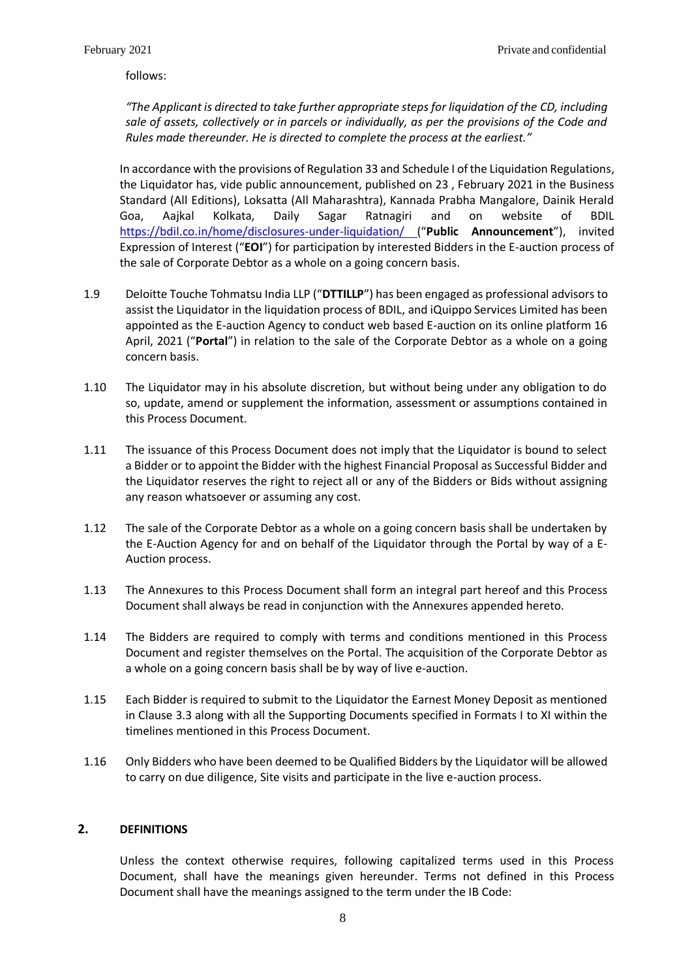follows:

*"The Applicant is directed to take further appropriate steps for liquidation of the CD, including sale of assets, collectively or in parcels or individually, as per the provisions of the Code and Rules made thereunder. He is directed to complete the process at the earliest."*

<span id="page-8-2"></span>In accordance with the provisions of Regulation 33 and Schedule I of the Liquidation Regulations, the Liquidator has, vide public announcement, published on 23 , February 2021 in the Business Standard (All Editions), Loksatta (All Maharashtra), Kannada Prabha Mangalore, Dainik Herald Goa, Aajkal Kolkata, Daily Sagar Ratnagiri and on website of BDIL <https://bdil.co.in/home/disclosures-under-liquidation/> ("**Public Announcement**"), invited Expression of Interest ("**EOI**") for participation by interested Bidders in the E-auction process of the sale of Corporate Debtor as a whole on a going concern basis.

- <span id="page-8-1"></span>1.9 Deloitte Touche Tohmatsu India LLP ("**DTTILLP**") has been engaged as professional advisors to assist the Liquidator in the liquidation process of BDIL, and iQuippo Services Limited has been appointed as the E-auction Agency to conduct web based E-auction on its online platform 16 April, 2021 ("**Portal**") in relation to the sale of the Corporate Debtor as a whole on a going concern basis.
- 1.10 The Liquidator may in his absolute discretion, but without being under any obligation to do so, update, amend or supplement the information, assessment or assumptions contained in this Process Document.
- 1.11 The issuance of this Process Document does not imply that the Liquidator is bound to select a Bidder or to appoint the Bidder with the highest Financial Proposal as Successful Bidder and the Liquidator reserves the right to reject all or any of the Bidders or Bids without assigning any reason whatsoever or assuming any cost.
- 1.12 The sale of the Corporate Debtor as a whole on a going concern basis shall be undertaken by the E-Auction Agency for and on behalf of the Liquidator through the Portal by way of a E-Auction process.
- 1.13 The Annexures to this Process Document shall form an integral part hereof and this Process Document shall always be read in conjunction with the Annexures appended hereto.
- 1.14 The Bidders are required to comply with terms and conditions mentioned in this Process Document and register themselves on the Portal. The acquisition of the Corporate Debtor as a whole on a going concern basis shall be by way of live e-auction.
- 1.15 Each Bidder is required to submit to the Liquidator the Earnest Money Deposit as mentioned in Clause [3.3](#page-14-0) along with all the Supporting Documents specified in Formats I to XI within the timelines mentioned in this Process Document.
- 1.16 Only Bidders who have been deemed to be Qualified Bidders by the Liquidator will be allowed to carry on due diligence, Site visits and participate in the live e-auction process.

## <span id="page-8-0"></span>**2. DEFINITIONS**

Unless the context otherwise requires, following capitalized terms used in this Process Document, shall have the meanings given hereunder. Terms not defined in this Process Document shall have the meanings assigned to the term under the IB Code: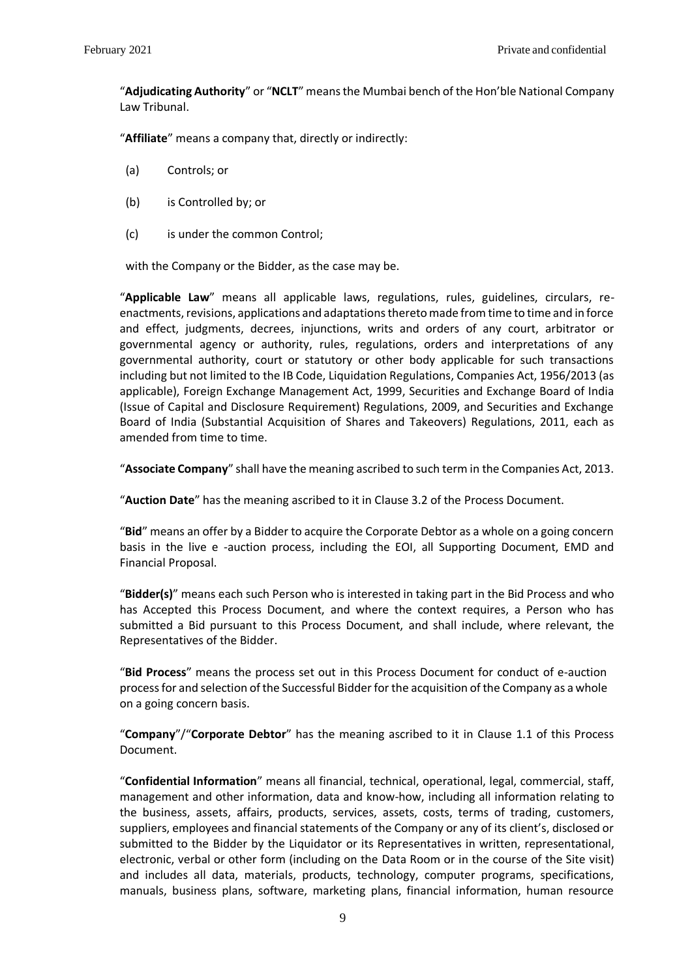"**Adjudicating Authority**" or "**NCLT**" meansthe Mumbai bench of the Hon'ble National Company Law Tribunal.

"**Affiliate**" means a company that, directly or indirectly:

- (a) Controls; or
- (b) is Controlled by; or
- (c) is under the common Control;

with the Company or the Bidder, as the case may be.

"**Applicable Law**" means all applicable laws, regulations, rules, guidelines, circulars, reenactments, revisions, applications and adaptations thereto made from time to time and in force and effect, judgments, decrees, injunctions, writs and orders of any court, arbitrator or governmental agency or authority, rules, regulations, orders and interpretations of any governmental authority, court or statutory or other body applicable for such transactions including but not limited to the IB Code, Liquidation Regulations, Companies Act, 1956/2013 (as applicable), Foreign Exchange Management Act, 1999, Securities and Exchange Board of India (Issue of Capital and Disclosure Requirement) Regulations, 2009, and Securities and Exchange Board of India (Substantial Acquisition of Shares and Takeovers) Regulations, 2011, each as amended from time to time.

"**Associate Company**" shall have the meaning ascribed to such term in the Companies Act, 2013.

"**Auction Date**" has the meaning ascribed to it in Clause [3.2](#page-13-2) of the Process Document.

"**Bid**" means an offer by a Bidder to acquire the Corporate Debtor as a whole on a going concern basis in the live e -auction process, including the EOI, all Supporting Document, EMD and Financial Proposal.

"**Bidder(s)**" means each such Person who is interested in taking part in the Bid Process and who has Accepted this Process Document, and where the context requires, a Person who has submitted a Bid pursuant to this Process Document, and shall include, where relevant, the Representatives of the Bidder.

"**Bid Process**" means the process set out in this Process Document for conduct of e-auction process for and selection of the Successful Bidder for the acquisition of the Company as a whole on a going concern basis.

"**Company**"/"**Corporate Debtor**" has the meaning ascribed to it in Clause [1.1](#page-7-1) of this Process Document.

"**Confidential Information**" means all financial, technical, operational, legal, commercial, staff, management and other information, data and know-how, including all information relating to the business, assets, affairs, products, services, assets, costs, terms of trading, customers, suppliers, employees and financial statements of the Company or any of its client's, disclosed or submitted to the Bidder by the Liquidator or its Representatives in written, representational, electronic, verbal or other form (including on the Data Room or in the course of the Site visit) and includes all data, materials, products, technology, computer programs, specifications, manuals, business plans, software, marketing plans, financial information, human resource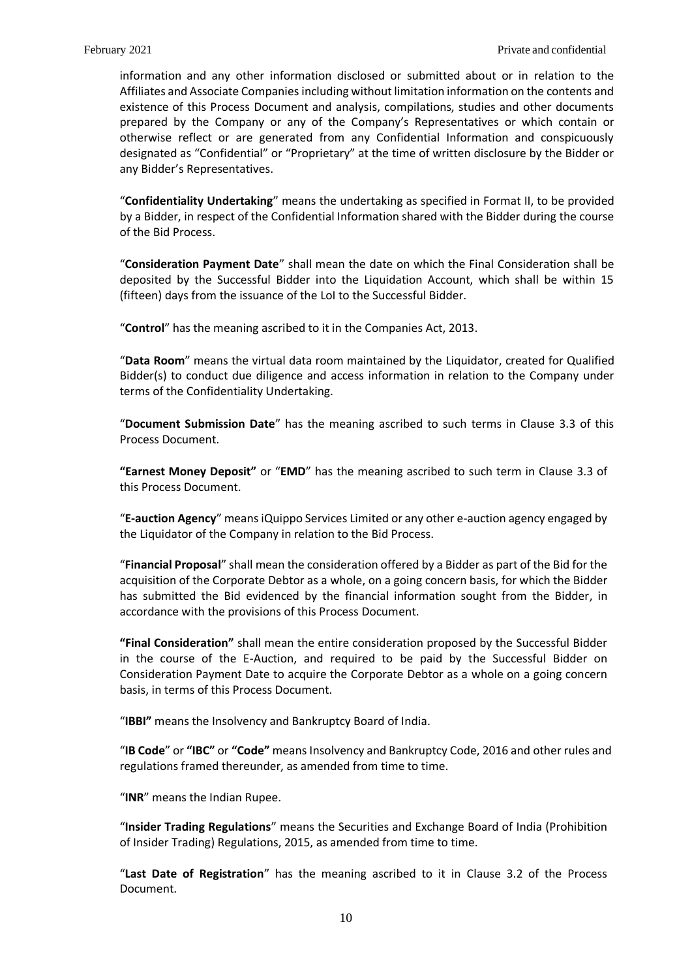information and any other information disclosed or submitted about or in relation to the Affiliates and Associate Companies including without limitation information on the contents and existence of this Process Document and analysis, compilations, studies and other documents prepared by the Company or any of the Company's Representatives or which contain or otherwise reflect or are generated from any Confidential Information and conspicuously designated as "Confidential" or "Proprietary" at the time of written disclosure by the Bidder or any Bidder's Representatives.

"**Confidentiality Undertaking**" means the undertaking as specified in Format II, to be provided by a Bidder, in respect of the Confidential Information shared with the Bidder during the course of the Bid Process.

"**Consideration Payment Date**" shall mean the date on which the Final Consideration shall be deposited by the Successful Bidder into the Liquidation Account, which shall be within 15 (fifteen) days from the issuance of the LoI to the Successful Bidder.

"**Control**" has the meaning ascribed to it in the Companies Act, 2013.

"**Data Room**" means the virtual data room maintained by the Liquidator, created for Qualified Bidder(s) to conduct due diligence and access information in relation to the Company under terms of the Confidentiality Undertaking.

"**Document Submission Date**" has the meaning ascribed to such terms in Clause [3.3](#page-14-0) of this Process Document.

**"Earnest Money Deposit"** or "**EMD**" has the meaning ascribed to such term in Clause [3.3](#page-14-0) of this Process Document.

"**E-auction Agency**" means iQuippo Services Limited or any other e-auction agency engaged by the Liquidator of the Company in relation to the Bid Process.

"**Financial Proposal**" shall mean the consideration offered by a Bidder as part of the Bid for the acquisition of the Corporate Debtor as a whole, on a going concern basis, for which the Bidder has submitted the Bid evidenced by the financial information sought from the Bidder, in accordance with the provisions of this Process Document.

**"Final Consideration"** shall mean the entire consideration proposed by the Successful Bidder in the course of the E-Auction, and required to be paid by the Successful Bidder on Consideration Payment Date to acquire the Corporate Debtor as a whole on a going concern basis, in terms of this Process Document.

"**IBBI"** means the Insolvency and Bankruptcy Board of India.

"**IB Code**" or **"IBC"** or **"Code"** means Insolvency and Bankruptcy Code, 2016 and other rules and regulations framed thereunder, as amended from time to time.

"**INR**" means the Indian Rupee.

"**Insider Trading Regulations**" means the Securities and Exchange Board of India (Prohibition of Insider Trading) Regulations, 2015, as amended from time to time.

"**Last Date of Registration**" has the meaning ascribed to it in Clause [3.2](#page-13-2) of the Process Document.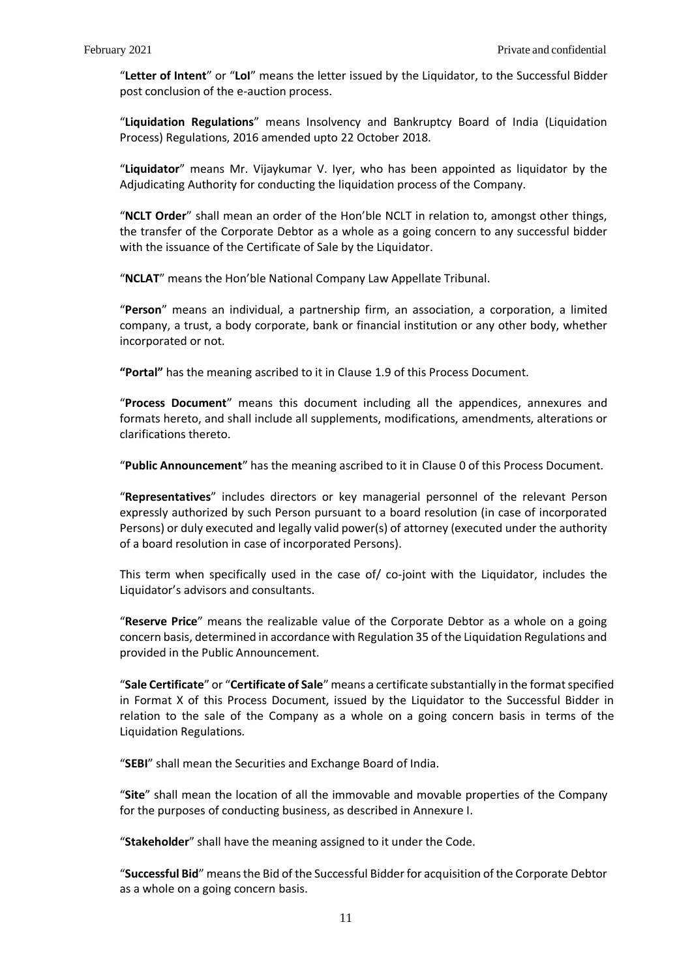"**Letter of Intent**" or "**LoI**" means the letter issued by the Liquidator, to the Successful Bidder post conclusion of the e-auction process.

"**Liquidation Regulations**" means Insolvency and Bankruptcy Board of India (Liquidation Process) Regulations, 2016 amended upto 22 October 2018.

"**Liquidator**" means Mr. Vijaykumar V. Iyer, who has been appointed as liquidator by the Adjudicating Authority for conducting the liquidation process of the Company.

"**NCLT Order**" shall mean an order of the Hon'ble NCLT in relation to, amongst other things, the transfer of the Corporate Debtor as a whole as a going concern to any successful bidder with the issuance of the Certificate of Sale by the Liquidator.

"**NCLAT**" means the Hon'ble National Company Law Appellate Tribunal.

"**Person**" means an individual, a partnership firm, an association, a corporation, a limited company, a trust, a body corporate, bank or financial institution or any other body, whether incorporated or not.

**"Portal"** has the meaning ascribed to it in Claus[e 1.9](#page-8-1) of this Process Document.

"**Process Document**" means this document including all the appendices, annexures and formats hereto, and shall include all supplements, modifications, amendments, alterations or clarifications thereto.

"**Public Announcement**" has the meaning ascribed to it in Clause [0](#page-8-2) of this Process Document.

"**Representatives**" includes directors or key managerial personnel of the relevant Person expressly authorized by such Person pursuant to a board resolution (in case of incorporated Persons) or duly executed and legally valid power(s) of attorney (executed under the authority of a board resolution in case of incorporated Persons).

This term when specifically used in the case of/ co-joint with the Liquidator, includes the Liquidator's advisors and consultants.

"**Reserve Price**" means the realizable value of the Corporate Debtor as a whole on a going concern basis, determined in accordance with Regulation 35 of the Liquidation Regulations and provided in the Public Announcement.

"**Sale Certificate**" or "**Certificate of Sale**" means a certificate substantially in the format specified in Format X of this Process Document, issued by the Liquidator to the Successful Bidder in relation to the sale of the Company as a whole on a going concern basis in terms of the Liquidation Regulations.

"**SEBI**" shall mean the Securities and Exchange Board of India.

"**Site**" shall mean the location of all the immovable and movable properties of the Company for the purposes of conducting business, as described in Annexure I.

"**Stakeholder**" shall have the meaning assigned to it under the Code.

"**Successful Bid**" means the Bid of the Successful Bidder for acquisition of the Corporate Debtor as a whole on a going concern basis.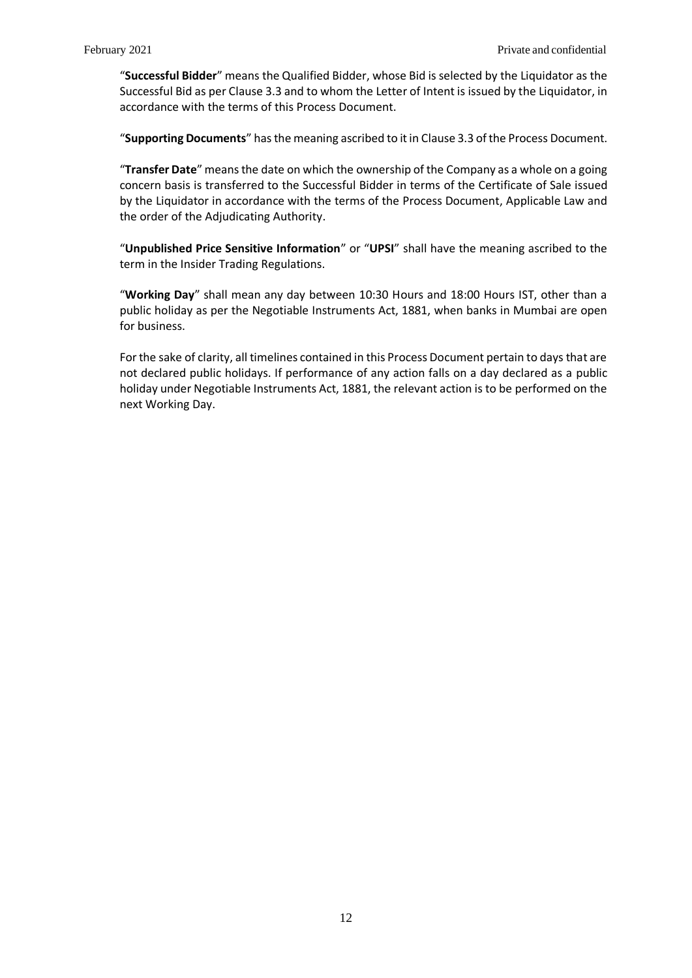"**Successful Bidder**" means the Qualified Bidder, whose Bid is selected by the Liquidator as the Successful Bid as per Claus[e 3.3](#page-14-0) and to whom the Letter of Intent is issued by the Liquidator, in accordance with the terms of this Process Document.

"**Supporting Documents**" has the meaning ascribed to it in Claus[e 3.3](#page-14-0) of the Process Document.

"**Transfer Date**" meansthe date on which the ownership of the Company as a whole on a going concern basis is transferred to the Successful Bidder in terms of the Certificate of Sale issued by the Liquidator in accordance with the terms of the Process Document, Applicable Law and the order of the Adjudicating Authority.

"**Unpublished Price Sensitive Information**" or "**UPSI**" shall have the meaning ascribed to the term in the Insider Trading Regulations.

"**Working Day**" shall mean any day between 10:30 Hours and 18:00 Hours IST, other than a public holiday as per the Negotiable Instruments Act, 1881, when banks in Mumbai are open for business.

For the sake of clarity, all timelines contained in this Process Document pertain to days that are not declared public holidays. If performance of any action falls on a day declared as a public holiday under Negotiable Instruments Act, 1881, the relevant action is to be performed on the next Working Day.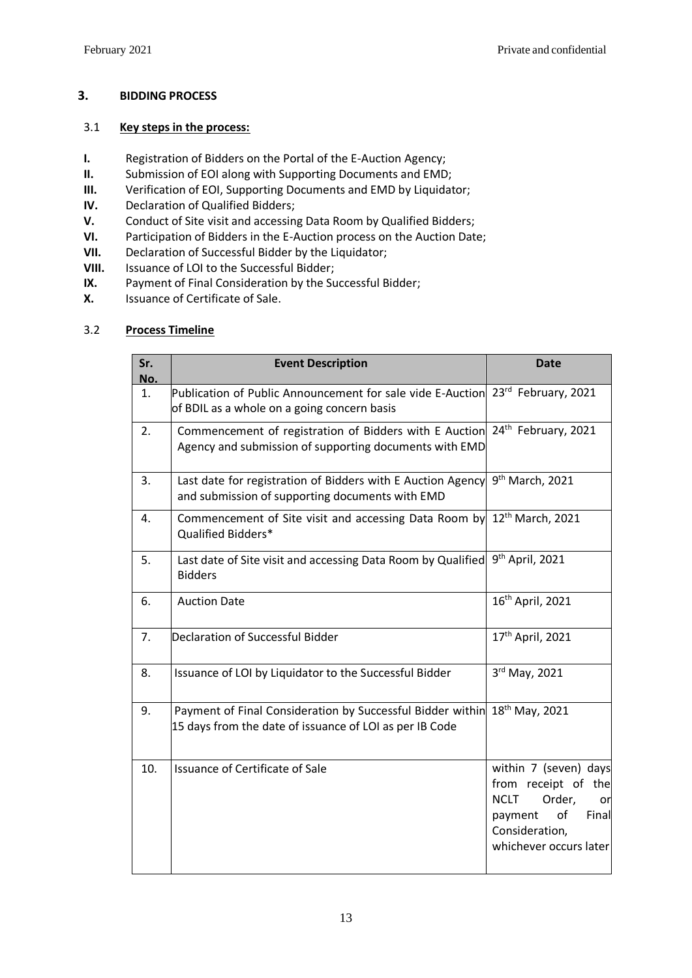## <span id="page-13-0"></span>**3. BIDDING PROCESS**

## <span id="page-13-1"></span>3.1 **Key steps in the process:**

- **I.** Registration of Bidders on the Portal of the E-Auction Agency;
- **II.** Submission of EOI along with Supporting Documents and EMD;
- **III.** Verification of EOI, Supporting Documents and EMD by Liquidator;
- **IV.** Declaration of Qualified Bidders;
- **V.** Conduct of Site visit and accessing Data Room by Qualified Bidders;
- **VI.** Participation of Bidders in the E-Auction process on the Auction Date;
- **VII.** Declaration of Successful Bidder by the Liquidator;
- **VIII.** Issuance of LOI to the Successful Bidder;
- **IX.** Payment of Final Consideration by the Successful Bidder;
- **X.** Issuance of Certificate of Sale.

## <span id="page-13-2"></span>3.2 **Process Timeline**

| Sr.<br>No. | <b>Event Description</b>                                                                                                                         | <b>Date</b>                                                                                                                                       |
|------------|--------------------------------------------------------------------------------------------------------------------------------------------------|---------------------------------------------------------------------------------------------------------------------------------------------------|
| 1.         | Publication of Public Announcement for sale vide E-Auction 23 <sup>rd</sup> February, 2021<br>of BDIL as a whole on a going concern basis        |                                                                                                                                                   |
| 2.         | Commencement of registration of Bidders with E Auction 24 <sup>th</sup> February, 2021<br>Agency and submission of supporting documents with EMD |                                                                                                                                                   |
| 3.         | Last date for registration of Bidders with E Auction Agency<br>and submission of supporting documents with EMD                                   | 9 <sup>th</sup> March, 2021                                                                                                                       |
| 4.         | Commencement of Site visit and accessing Data Room by 12 <sup>th</sup> March, 2021<br>Qualified Bidders*                                         |                                                                                                                                                   |
| 5.         | Last date of Site visit and accessing Data Room by Qualified<br><b>Bidders</b>                                                                   | 9 <sup>th</sup> April, 2021                                                                                                                       |
| 6.         | <b>Auction Date</b>                                                                                                                              | 16 <sup>th</sup> April, 2021                                                                                                                      |
| 7.         | <b>Declaration of Successful Bidder</b>                                                                                                          | 17 <sup>th</sup> April, 2021                                                                                                                      |
| 8.         | Issuance of LOI by Liquidator to the Successful Bidder                                                                                           | 3rd May, 2021                                                                                                                                     |
| 9.         | Payment of Final Consideration by Successful Bidder within 18 <sup>th</sup> May, 2021<br>15 days from the date of issuance of LOI as per IB Code |                                                                                                                                                   |
| 10.        | Issuance of Certificate of Sale                                                                                                                  | within 7 (seven) days<br>from receipt of the<br><b>NCLT</b><br>Order,<br>or<br>of<br>Final<br>payment<br>Consideration,<br>whichever occurs later |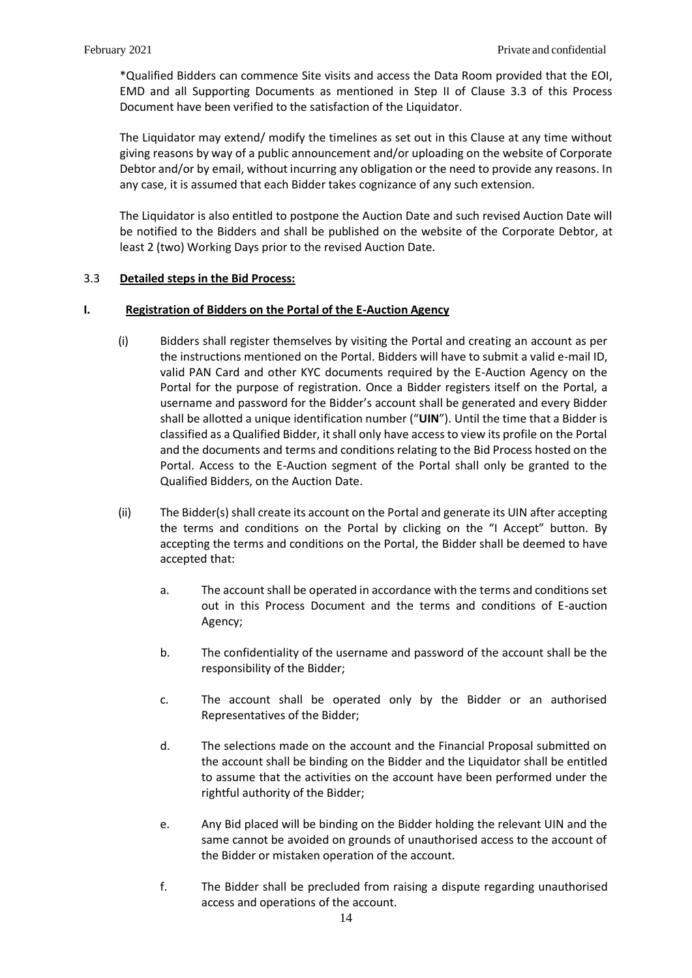\*Qualified Bidders can commence Site visits and access the Data Room provided that the EOI, EMD and all Supporting Documents as mentioned in Step II of Clause [3.3](#page-14-0) of this Process Document have been verified to the satisfaction of the Liquidator.

The Liquidator may extend/ modify the timelines as set out in this Clause at any time without giving reasons by way of a public announcement and/or uploading on the website of Corporate Debtor and/or by email, without incurring any obligation or the need to provide any reasons. In any case, it is assumed that each Bidder takes cognizance of any such extension.

The Liquidator is also entitled to postpone the Auction Date and such revised Auction Date will be notified to the Bidders and shall be published on the website of the Corporate Debtor, at least 2 (two) Working Days prior to the revised Auction Date.

## <span id="page-14-0"></span>3.3 **Detailed steps in the Bid Process:**

### <span id="page-14-1"></span>**I. Registration of Bidders on the Portal of the E-Auction Agency**

- (i) Bidders shall register themselves by visiting the Portal and creating an account as per the instructions mentioned on the Portal. Bidders will have to submit a valid e-mail ID, valid PAN Card and other KYC documents required by the E-Auction Agency on the Portal for the purpose of registration. Once a Bidder registers itself on the Portal, a username and password for the Bidder's account shall be generated and every Bidder shall be allotted a unique identification number ("**UIN**"). Until the time that a Bidder is classified as a Qualified Bidder, it shall only have access to view its profile on the Portal and the documents and terms and conditions relating to the Bid Process hosted on the Portal. Access to the E-Auction segment of the Portal shall only be granted to the Qualified Bidders, on the Auction Date.
- (ii) The Bidder(s) shall create its account on the Portal and generate its UIN after accepting the terms and conditions on the Portal by clicking on the "I Accept" button. By accepting the terms and conditions on the Portal, the Bidder shall be deemed to have accepted that:
	- a. The account shall be operated in accordance with the terms and conditions set out in this Process Document and the terms and conditions of E-auction Agency;
	- b. The confidentiality of the username and password of the account shall be the responsibility of the Bidder;
	- c. The account shall be operated only by the Bidder or an authorised Representatives of the Bidder;
	- d. The selections made on the account and the Financial Proposal submitted on the account shall be binding on the Bidder and the Liquidator shall be entitled to assume that the activities on the account have been performed under the rightful authority of the Bidder;
	- e. Any Bid placed will be binding on the Bidder holding the relevant UIN and the same cannot be avoided on grounds of unauthorised access to the account of the Bidder or mistaken operation of the account.
	- f. The Bidder shall be precluded from raising a dispute regarding unauthorised access and operations of the account.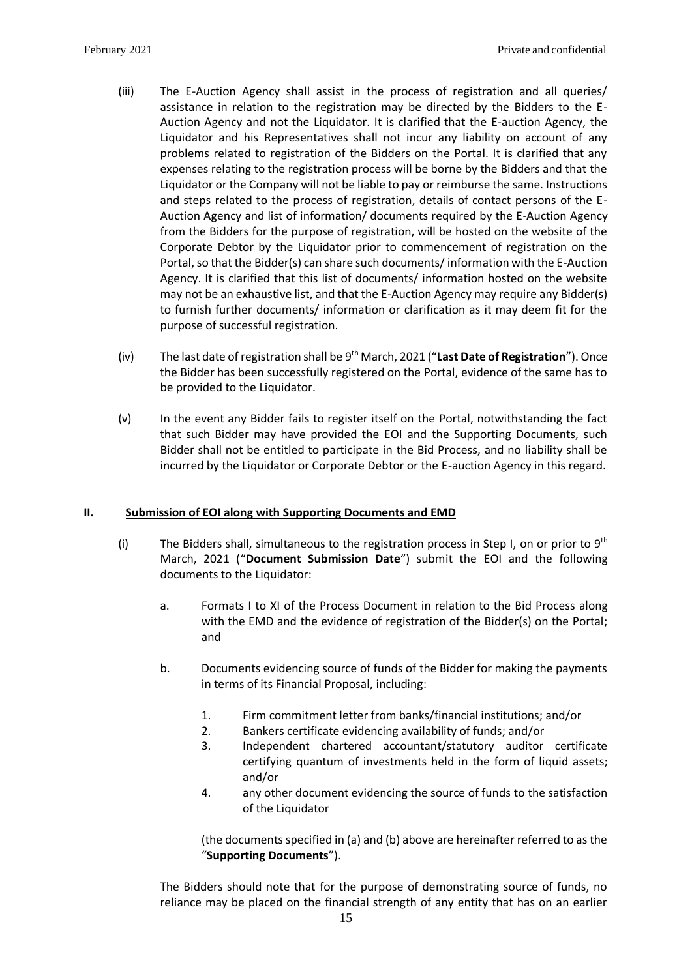- (iii) The E-Auction Agency shall assist in the process of registration and all queries/ assistance in relation to the registration may be directed by the Bidders to the E-Auction Agency and not the Liquidator. It is clarified that the E-auction Agency, the Liquidator and his Representatives shall not incur any liability on account of any problems related to registration of the Bidders on the Portal. It is clarified that any expenses relating to the registration process will be borne by the Bidders and that the Liquidator or the Company will not be liable to pay or reimburse the same. Instructions and steps related to the process of registration, details of contact persons of the E-Auction Agency and list of information/ documents required by the E-Auction Agency from the Bidders for the purpose of registration, will be hosted on the website of the Corporate Debtor by the Liquidator prior to commencement of registration on the Portal, so that the Bidder(s) can share such documents/ information with the E-Auction Agency. It is clarified that this list of documents/ information hosted on the website may not be an exhaustive list, and that the E-Auction Agency may require any Bidder(s) to furnish further documents/ information or clarification as it may deem fit for the purpose of successful registration.
- (iv) The last date of registration shall be 9<sup>th</sup> March, 2021 ("Last Date of Registration"). Once the Bidder has been successfully registered on the Portal, evidence of the same has to be provided to the Liquidator.
- (v) In the event any Bidder fails to register itself on the Portal, notwithstanding the fact that such Bidder may have provided the EOI and the Supporting Documents, such Bidder shall not be entitled to participate in the Bid Process, and no liability shall be incurred by the Liquidator or Corporate Debtor or the E-auction Agency in this regard.

## <span id="page-15-0"></span>**II. Submission of EOI along with Supporting Documents and EMD**

- (i) The Bidders shall, simultaneous to the registration process in Step I, on or prior to  $9<sup>th</sup>$ March, 2021 ("**Document Submission Date**") submit the EOI and the following documents to the Liquidator:
	- a. Formats I to XI of the Process Document in relation to the Bid Process along with the EMD and the evidence of registration of the Bidder(s) on the Portal; and
	- b. Documents evidencing source of funds of the Bidder for making the payments in terms of its Financial Proposal, including:
		- 1. Firm commitment letter from banks/financial institutions; and/or
		- 2. Bankers certificate evidencing availability of funds; and/or
		- 3. Independent chartered accountant/statutory auditor certificate certifying quantum of investments held in the form of liquid assets; and/or
		- 4. any other document evidencing the source of funds to the satisfaction of the Liquidator

(the documents specified in (a) and (b) above are hereinafter referred to as the "**Supporting Documents**").

The Bidders should note that for the purpose of demonstrating source of funds, no reliance may be placed on the financial strength of any entity that has on an earlier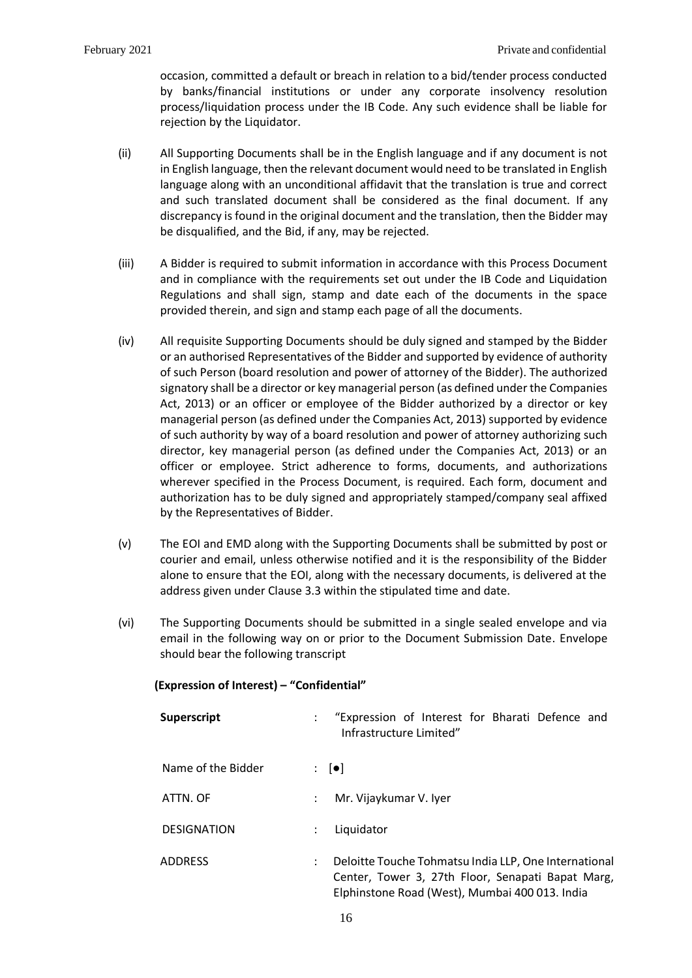occasion, committed a default or breach in relation to a bid/tender process conducted by banks/financial institutions or under any corporate insolvency resolution process/liquidation process under the IB Code. Any such evidence shall be liable for rejection by the Liquidator.

- (ii) All Supporting Documents shall be in the English language and if any document is not in English language, then the relevant document would need to be translated in English language along with an unconditional affidavit that the translation is true and correct and such translated document shall be considered as the final document. If any discrepancy is found in the original document and the translation, then the Bidder may be disqualified, and the Bid, if any, may be rejected.
- (iii) A Bidder is required to submit information in accordance with this Process Document and in compliance with the requirements set out under the IB Code and Liquidation Regulations and shall sign, stamp and date each of the documents in the space provided therein, and sign and stamp each page of all the documents.
- (iv) All requisite Supporting Documents should be duly signed and stamped by the Bidder or an authorised Representatives of the Bidder and supported by evidence of authority of such Person (board resolution and power of attorney of the Bidder). The authorized signatory shall be a director or key managerial person (as defined under the Companies Act, 2013) or an officer or employee of the Bidder authorized by a director or key managerial person (as defined under the Companies Act, 2013) supported by evidence of such authority by way of a board resolution and power of attorney authorizing such director, key managerial person (as defined under the Companies Act, 2013) or an officer or employee. Strict adherence to forms, documents, and authorizations wherever specified in the Process Document, is required. Each form, document and authorization has to be duly signed and appropriately stamped/company seal affixed by the Representatives of Bidder.
- (v) The EOI and EMD along with the Supporting Documents shall be submitted by post or courier and email, unless otherwise notified and it is the responsibility of the Bidder alone to ensure that the EOI, along with the necessary documents, is delivered at the address given under Clause [3.3](#page-14-0) within the stipulated time and date.
- (vi) The Supporting Documents should be submitted in a single sealed envelope and via email in the following way on or prior to the Document Submission Date. Envelope should bear the following transcript

| (Expression of Interest) - "Confidential" |  |
|-------------------------------------------|--|
|-------------------------------------------|--|

| Superscript        |                           | "Expression of Interest for Bharati Defence and<br>Infrastructure Limited"                                                                                   |
|--------------------|---------------------------|--------------------------------------------------------------------------------------------------------------------------------------------------------------|
| Name of the Bidder |                           | $\mathbf{C} = \begin{bmatrix} \bullet \\ \bullet \end{bmatrix}$                                                                                              |
| ATTN, OF           | $\mathbb{R}^{\mathbb{Z}}$ | Mr. Vijaykumar V. Iyer                                                                                                                                       |
| <b>DESIGNATION</b> | ÷                         | Liquidator                                                                                                                                                   |
| <b>ADDRESS</b>     | $\ddot{\phantom{0}}$      | Deloitte Touche Tohmatsu India LLP, One International<br>Center, Tower 3, 27th Floor, Senapati Bapat Marg,<br>Elphinstone Road (West), Mumbai 400 013. India |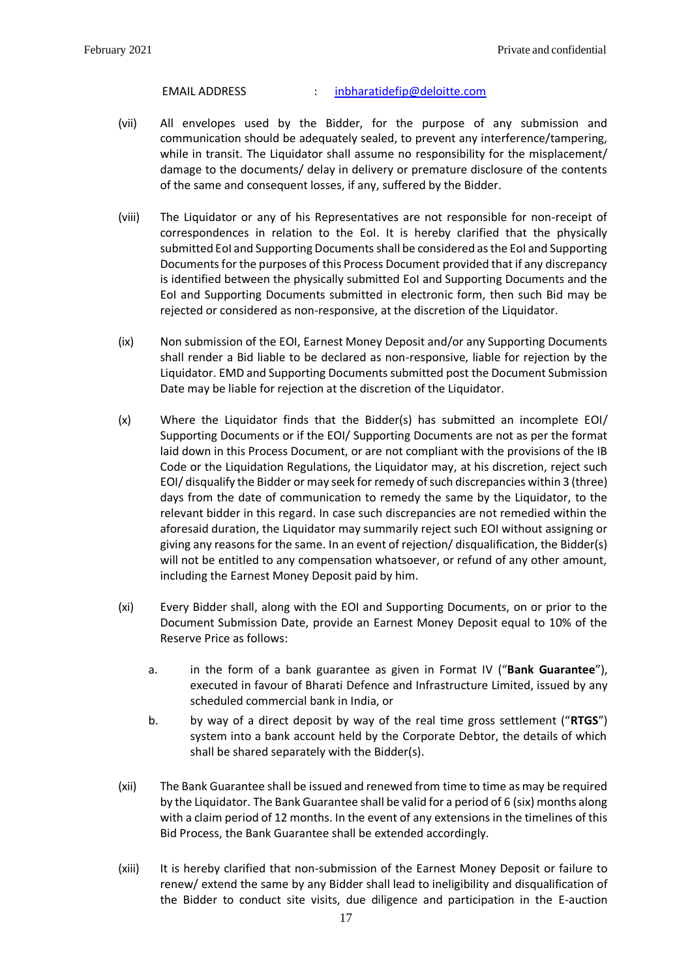#### EMAIL ADDRESS : [inbharatidefip@deloitte.com](mailto:inbharatidefip@deloitte.com)

- (vii) All envelopes used by the Bidder, for the purpose of any submission and communication should be adequately sealed, to prevent any interference/tampering, while in transit. The Liquidator shall assume no responsibility for the misplacement/ damage to the documents/ delay in delivery or premature disclosure of the contents of the same and consequent losses, if any, suffered by the Bidder.
- (viii) The Liquidator or any of his Representatives are not responsible for non-receipt of correspondences in relation to the EoI. It is hereby clarified that the physically submitted EoI and Supporting Documents shall be considered as the EoI and Supporting Documentsfor the purposes of this Process Document provided that if any discrepancy is identified between the physically submitted EoI and Supporting Documents and the EoI and Supporting Documents submitted in electronic form, then such Bid may be rejected or considered as non-responsive, at the discretion of the Liquidator.
- (ix) Non submission of the EOI, Earnest Money Deposit and/or any Supporting Documents shall render a Bid liable to be declared as non-responsive, liable for rejection by the Liquidator. EMD and Supporting Documents submitted post the Document Submission Date may be liable for rejection at the discretion of the Liquidator.
- (x) Where the Liquidator finds that the Bidder(s) has submitted an incomplete EOI/ Supporting Documents or if the EOI/ Supporting Documents are not as per the format laid down in this Process Document, or are not compliant with the provisions of the IB Code or the Liquidation Regulations, the Liquidator may, at his discretion, reject such EOI/ disqualify the Bidder or may seek for remedy of such discrepancies within 3 (three) days from the date of communication to remedy the same by the Liquidator, to the relevant bidder in this regard. In case such discrepancies are not remedied within the aforesaid duration, the Liquidator may summarily reject such EOI without assigning or giving any reasons for the same. In an event of rejection/ disqualification, the Bidder(s) will not be entitled to any compensation whatsoever, or refund of any other amount, including the Earnest Money Deposit paid by him.
- (xi) Every Bidder shall, along with the EOI and Supporting Documents, on or prior to the Document Submission Date, provide an Earnest Money Deposit equal to 10% of the Reserve Price as follows:
	- a. in the form of a bank guarantee as given in Format IV ("**Bank Guarantee**"), executed in favour of Bharati Defence and Infrastructure Limited, issued by any scheduled commercial bank in India, or
	- b. by way of a direct deposit by way of the real time gross settlement ("**RTGS**") system into a bank account held by the Corporate Debtor, the details of which shall be shared separately with the Bidder(s).
- (xii) The Bank Guarantee shall be issued and renewed from time to time as may be required by the Liquidator. The Bank Guarantee shall be valid for a period of 6 (six) months along with a claim period of 12 months. In the event of any extensions in the timelines of this Bid Process, the Bank Guarantee shall be extended accordingly.
- (xiii) It is hereby clarified that non-submission of the Earnest Money Deposit or failure to renew/ extend the same by any Bidder shall lead to ineligibility and disqualification of the Bidder to conduct site visits, due diligence and participation in the E-auction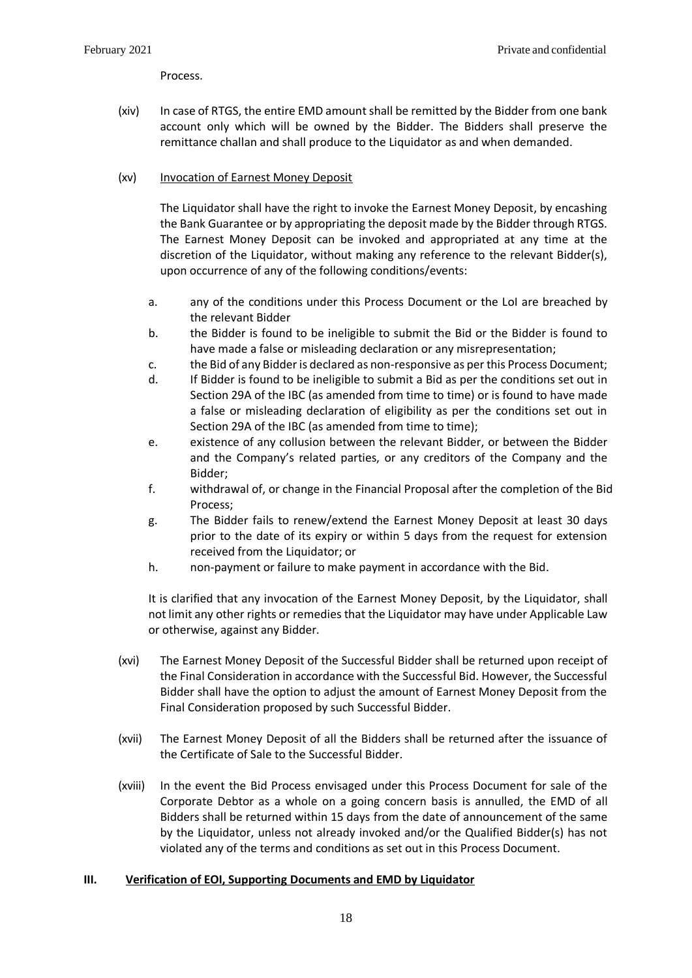Process.

(xiv) In case of RTGS, the entire EMD amount shall be remitted by the Bidder from one bank account only which will be owned by the Bidder. The Bidders shall preserve the remittance challan and shall produce to the Liquidator as and when demanded.

## (xv) Invocation of Earnest Money Deposit

The Liquidator shall have the right to invoke the Earnest Money Deposit, by encashing the Bank Guarantee or by appropriating the deposit made by the Bidder through RTGS. The Earnest Money Deposit can be invoked and appropriated at any time at the discretion of the Liquidator, without making any reference to the relevant Bidder(s), upon occurrence of any of the following conditions/events:

- a. any of the conditions under this Process Document or the LoI are breached by the relevant Bidder
- b. the Bidder is found to be ineligible to submit the Bid or the Bidder is found to have made a false or misleading declaration or any misrepresentation;
- c. the Bid of any Bidder is declared as non-responsive as per this Process Document;
- d. If Bidder is found to be ineligible to submit a Bid as per the conditions set out in Section 29A of the IBC (as amended from time to time) or is found to have made a false or misleading declaration of eligibility as per the conditions set out in Section 29A of the IBC (as amended from time to time);
- e. existence of any collusion between the relevant Bidder, or between the Bidder and the Company's related parties, or any creditors of the Company and the Bidder;
- f. withdrawal of, or change in the Financial Proposal after the completion of the Bid Process;
- g. The Bidder fails to renew/extend the Earnest Money Deposit at least 30 days prior to the date of its expiry or within 5 days from the request for extension received from the Liquidator; or
- h. non-payment or failure to make payment in accordance with the Bid.

It is clarified that any invocation of the Earnest Money Deposit, by the Liquidator, shall not limit any other rights or remedies that the Liquidator may have under Applicable Law or otherwise, against any Bidder.

- (xvi) The Earnest Money Deposit of the Successful Bidder shall be returned upon receipt of the Final Consideration in accordance with the Successful Bid. However, the Successful Bidder shall have the option to adjust the amount of Earnest Money Deposit from the Final Consideration proposed by such Successful Bidder.
- (xvii) The Earnest Money Deposit of all the Bidders shall be returned after the issuance of the Certificate of Sale to the Successful Bidder.
- (xviii) In the event the Bid Process envisaged under this Process Document for sale of the Corporate Debtor as a whole on a going concern basis is annulled, the EMD of all Bidders shall be returned within 15 days from the date of announcement of the same by the Liquidator, unless not already invoked and/or the Qualified Bidder(s) has not violated any of the terms and conditions as set out in this Process Document.

### <span id="page-18-0"></span>**III. Verification of EOI, Supporting Documents and EMD by Liquidator**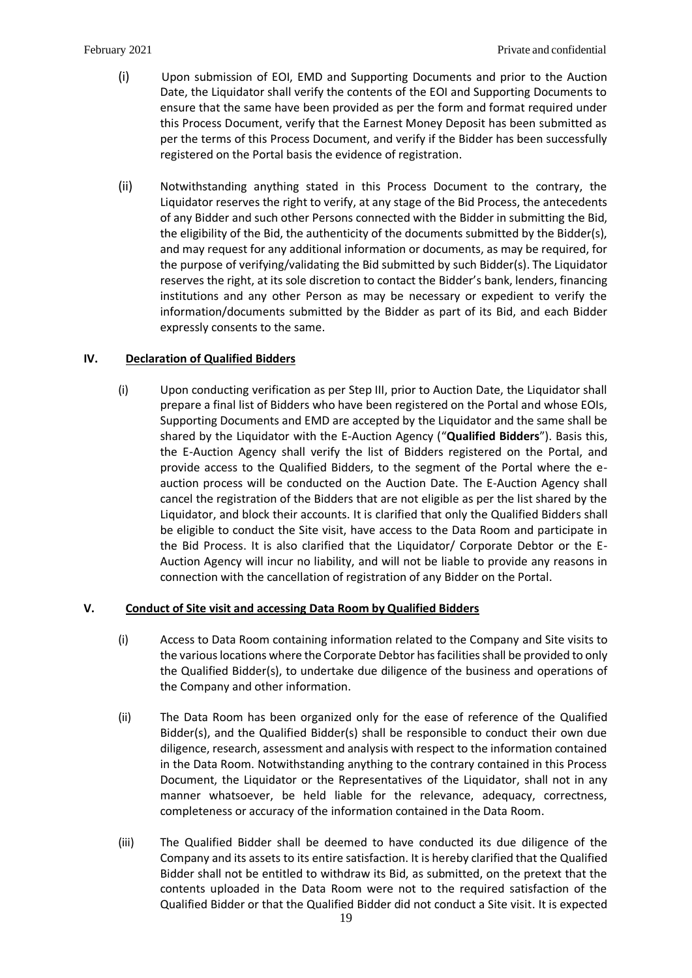- (i) Upon submission of EOI, EMD and Supporting Documents and prior to the Auction Date, the Liquidator shall verify the contents of the EOI and Supporting Documents to ensure that the same have been provided as per the form and format required under this Process Document, verify that the Earnest Money Deposit has been submitted as per the terms of this Process Document, and verify if the Bidder has been successfully registered on the Portal basis the evidence of registration.
- (ii) Notwithstanding anything stated in this Process Document to the contrary, the Liquidator reserves the right to verify, at any stage of the Bid Process, the antecedents of any Bidder and such other Persons connected with the Bidder in submitting the Bid, the eligibility of the Bid, the authenticity of the documents submitted by the Bidder(s), and may request for any additional information or documents, as may be required, for the purpose of verifying/validating the Bid submitted by such Bidder(s). The Liquidator reserves the right, at its sole discretion to contact the Bidder's bank, lenders, financing institutions and any other Person as may be necessary or expedient to verify the information/documents submitted by the Bidder as part of its Bid, and each Bidder expressly consents to the same.

## <span id="page-19-0"></span>**IV. Declaration of Qualified Bidders**

(i) Upon conducting verification as per Step III, prior to Auction Date, the Liquidator shall prepare a final list of Bidders who have been registered on the Portal and whose EOIs, Supporting Documents and EMD are accepted by the Liquidator and the same shall be shared by the Liquidator with the E-Auction Agency ("**Qualified Bidders**"). Basis this, the E-Auction Agency shall verify the list of Bidders registered on the Portal, and provide access to the Qualified Bidders, to the segment of the Portal where the eauction process will be conducted on the Auction Date. The E-Auction Agency shall cancel the registration of the Bidders that are not eligible as per the list shared by the Liquidator, and block their accounts. It is clarified that only the Qualified Bidders shall be eligible to conduct the Site visit, have access to the Data Room and participate in the Bid Process. It is also clarified that the Liquidator/ Corporate Debtor or the E-Auction Agency will incur no liability, and will not be liable to provide any reasons in connection with the cancellation of registration of any Bidder on the Portal.

## <span id="page-19-1"></span>**V. Conduct of Site visit and accessing Data Room by Qualified Bidders**

- (i) Access to Data Room containing information related to the Company and Site visits to the various locations where the Corporate Debtor has facilities shall be provided to only the Qualified Bidder(s), to undertake due diligence of the business and operations of the Company and other information.
- (ii) The Data Room has been organized only for the ease of reference of the Qualified Bidder(s), and the Qualified Bidder(s) shall be responsible to conduct their own due diligence, research, assessment and analysis with respect to the information contained in the Data Room. Notwithstanding anything to the contrary contained in this Process Document, the Liquidator or the Representatives of the Liquidator, shall not in any manner whatsoever, be held liable for the relevance, adequacy, correctness, completeness or accuracy of the information contained in the Data Room.
- (iii) The Qualified Bidder shall be deemed to have conducted its due diligence of the Company and its assets to its entire satisfaction. It is hereby clarified that the Qualified Bidder shall not be entitled to withdraw its Bid, as submitted, on the pretext that the contents uploaded in the Data Room were not to the required satisfaction of the Qualified Bidder or that the Qualified Bidder did not conduct a Site visit. It is expected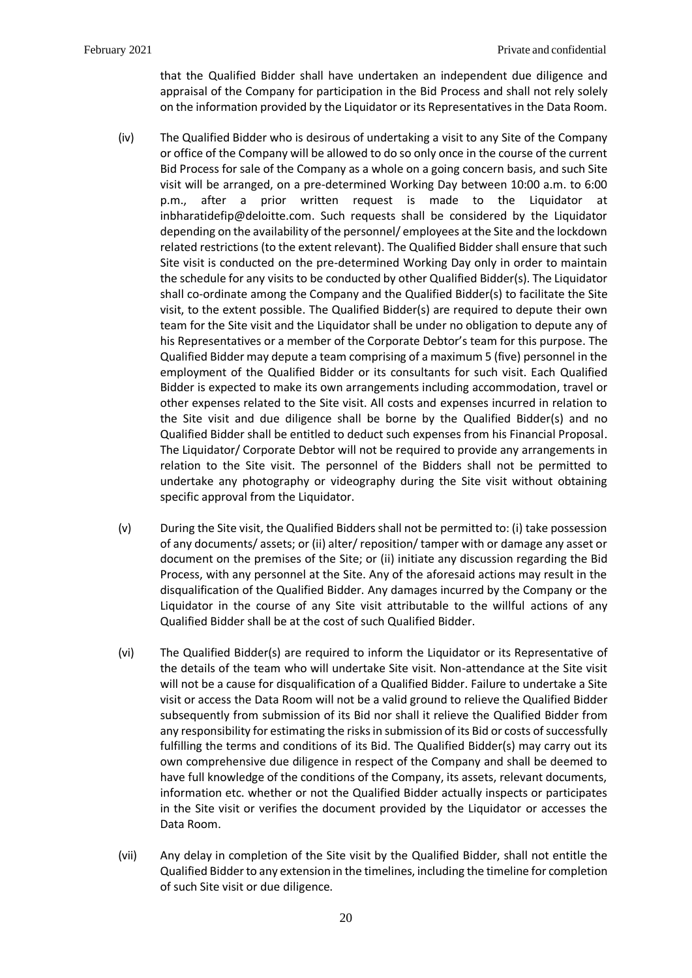that the Qualified Bidder shall have undertaken an independent due diligence and appraisal of the Company for participation in the Bid Process and shall not rely solely on the information provided by the Liquidator or its Representatives in the Data Room.

- (iv) The Qualified Bidder who is desirous of undertaking a visit to any Site of the Company or office of the Company will be allowed to do so only once in the course of the current Bid Process for sale of the Company as a whole on a going concern basis, and such Site visit will be arranged, on a pre-determined Working Day between 10:00 a.m. to 6:00 p.m., after a prior written request is made to the Liquidator at inbharatidefip@deloitte.com. Such requests shall be considered by the Liquidator depending on the availability of the personnel/ employees at the Site and the lockdown related restrictions (to the extent relevant). The Qualified Bidder shall ensure that such Site visit is conducted on the pre-determined Working Day only in order to maintain the schedule for any visits to be conducted by other Qualified Bidder(s). The Liquidator shall co-ordinate among the Company and the Qualified Bidder(s) to facilitate the Site visit, to the extent possible. The Qualified Bidder(s) are required to depute their own team for the Site visit and the Liquidator shall be under no obligation to depute any of his Representatives or a member of the Corporate Debtor's team for this purpose. The Qualified Bidder may depute a team comprising of a maximum 5 (five) personnel in the employment of the Qualified Bidder or its consultants for such visit. Each Qualified Bidder is expected to make its own arrangements including accommodation, travel or other expenses related to the Site visit. All costs and expenses incurred in relation to the Site visit and due diligence shall be borne by the Qualified Bidder(s) and no Qualified Bidder shall be entitled to deduct such expenses from his Financial Proposal. The Liquidator/ Corporate Debtor will not be required to provide any arrangements in relation to the Site visit. The personnel of the Bidders shall not be permitted to undertake any photography or videography during the Site visit without obtaining specific approval from the Liquidator.
- (v) During the Site visit, the Qualified Bidders shall not be permitted to: (i) take possession of any documents/ assets; or (ii) alter/ reposition/ tamper with or damage any asset or document on the premises of the Site; or (ii) initiate any discussion regarding the Bid Process, with any personnel at the Site. Any of the aforesaid actions may result in the disqualification of the Qualified Bidder. Any damages incurred by the Company or the Liquidator in the course of any Site visit attributable to the willful actions of any Qualified Bidder shall be at the cost of such Qualified Bidder.
- (vi) The Qualified Bidder(s) are required to inform the Liquidator or its Representative of the details of the team who will undertake Site visit. Non-attendance at the Site visit will not be a cause for disqualification of a Qualified Bidder. Failure to undertake a Site visit or access the Data Room will not be a valid ground to relieve the Qualified Bidder subsequently from submission of its Bid nor shall it relieve the Qualified Bidder from any responsibility for estimating the risks in submission of its Bid or costs of successfully fulfilling the terms and conditions of its Bid. The Qualified Bidder(s) may carry out its own comprehensive due diligence in respect of the Company and shall be deemed to have full knowledge of the conditions of the Company, its assets, relevant documents, information etc. whether or not the Qualified Bidder actually inspects or participates in the Site visit or verifies the document provided by the Liquidator or accesses the Data Room.
- (vii) Any delay in completion of the Site visit by the Qualified Bidder, shall not entitle the Qualified Bidder to any extension in the timelines, including the timeline for completion of such Site visit or due diligence.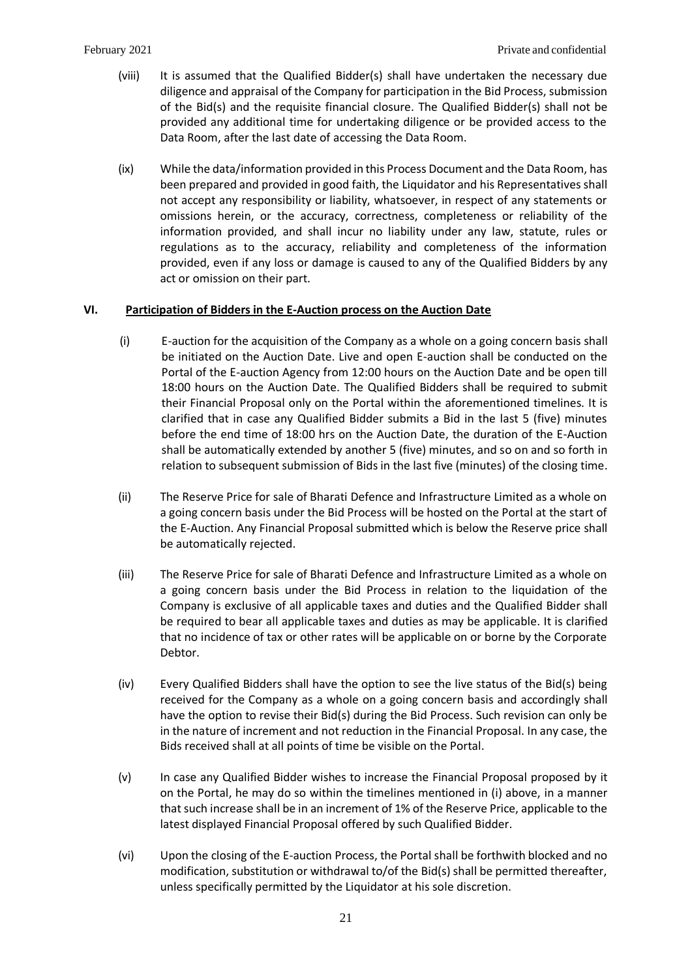- (viii) It is assumed that the Qualified Bidder(s) shall have undertaken the necessary due diligence and appraisal of the Company for participation in the Bid Process, submission of the Bid(s) and the requisite financial closure. The Qualified Bidder(s) shall not be provided any additional time for undertaking diligence or be provided access to the Data Room, after the last date of accessing the Data Room.
- (ix) While the data/information provided in this Process Document and the Data Room, has been prepared and provided in good faith, the Liquidator and his Representatives shall not accept any responsibility or liability, whatsoever, in respect of any statements or omissions herein, or the accuracy, correctness, completeness or reliability of the information provided, and shall incur no liability under any law, statute, rules or regulations as to the accuracy, reliability and completeness of the information provided, even if any loss or damage is caused to any of the Qualified Bidders by any act or omission on their part.

## <span id="page-21-0"></span>**VI. Participation of Bidders in the E-Auction process on the Auction Date**

- (i) E-auction for the acquisition of the Company as a whole on a going concern basis shall be initiated on the Auction Date. Live and open E-auction shall be conducted on the Portal of the E-auction Agency from 12:00 hours on the Auction Date and be open till 18:00 hours on the Auction Date. The Qualified Bidders shall be required to submit their Financial Proposal only on the Portal within the aforementioned timelines. It is clarified that in case any Qualified Bidder submits a Bid in the last 5 (five) minutes before the end time of 18:00 hrs on the Auction Date, the duration of the E-Auction shall be automatically extended by another 5 (five) minutes, and so on and so forth in relation to subsequent submission of Bids in the last five (minutes) of the closing time.
- (ii) The Reserve Price for sale of Bharati Defence and Infrastructure Limited as a whole on a going concern basis under the Bid Process will be hosted on the Portal at the start of the E-Auction. Any Financial Proposal submitted which is below the Reserve price shall be automatically rejected.
- (iii) The Reserve Price for sale of Bharati Defence and Infrastructure Limited as a whole on a going concern basis under the Bid Process in relation to the liquidation of the Company is exclusive of all applicable taxes and duties and the Qualified Bidder shall be required to bear all applicable taxes and duties as may be applicable. It is clarified that no incidence of tax or other rates will be applicable on or borne by the Corporate Debtor.
- (iv) Every Qualified Bidders shall have the option to see the live status of the Bid(s) being received for the Company as a whole on a going concern basis and accordingly shall have the option to revise their Bid(s) during the Bid Process. Such revision can only be in the nature of increment and not reduction in the Financial Proposal. In any case, the Bids received shall at all points of time be visible on the Portal.
- (v) In case any Qualified Bidder wishes to increase the Financial Proposal proposed by it on the Portal, he may do so within the timelines mentioned in (i) above, in a manner that such increase shall be in an increment of 1% of the Reserve Price, applicable to the latest displayed Financial Proposal offered by such Qualified Bidder.
- (vi) Upon the closing of the E-auction Process, the Portal shall be forthwith blocked and no modification, substitution or withdrawal to/of the Bid(s) shall be permitted thereafter, unless specifically permitted by the Liquidator at his sole discretion.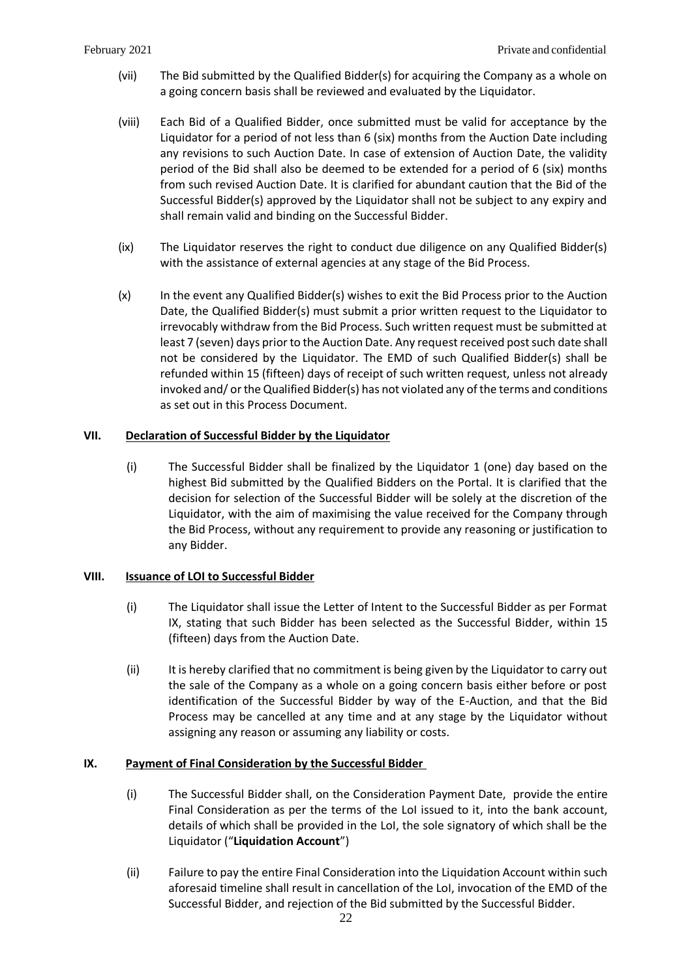- (vii) The Bid submitted by the Qualified Bidder(s) for acquiring the Company as a whole on a going concern basis shall be reviewed and evaluated by the Liquidator.
- (viii) Each Bid of a Qualified Bidder, once submitted must be valid for acceptance by the Liquidator for a period of not less than 6 (six) months from the Auction Date including any revisions to such Auction Date. In case of extension of Auction Date, the validity period of the Bid shall also be deemed to be extended for a period of 6 (six) months from such revised Auction Date. It is clarified for abundant caution that the Bid of the Successful Bidder(s) approved by the Liquidator shall not be subject to any expiry and shall remain valid and binding on the Successful Bidder.
- (ix) The Liquidator reserves the right to conduct due diligence on any Qualified Bidder(s) with the assistance of external agencies at any stage of the Bid Process.
- (x) In the event any Qualified Bidder(s) wishes to exit the Bid Process prior to the Auction Date, the Qualified Bidder(s) must submit a prior written request to the Liquidator to irrevocably withdraw from the Bid Process. Such written request must be submitted at least 7 (seven) days prior to the Auction Date. Any request received post such date shall not be considered by the Liquidator. The EMD of such Qualified Bidder(s) shall be refunded within 15 (fifteen) days of receipt of such written request, unless not already invoked and/ or the Qualified Bidder(s) has not violated any of the terms and conditions as set out in this Process Document.

## <span id="page-22-0"></span>**VII. Declaration of Successful Bidder by the Liquidator**

(i) The Successful Bidder shall be finalized by the Liquidator 1 (one) day based on the highest Bid submitted by the Qualified Bidders on the Portal. It is clarified that the decision for selection of the Successful Bidder will be solely at the discretion of the Liquidator, with the aim of maximising the value received for the Company through the Bid Process, without any requirement to provide any reasoning or justification to any Bidder.

### <span id="page-22-1"></span>**VIII. Issuance of LOI to Successful Bidder**

- (i) The Liquidator shall issue the Letter of Intent to the Successful Bidder as per Format IX, stating that such Bidder has been selected as the Successful Bidder, within 15 (fifteen) days from the Auction Date.
- (ii) It is hereby clarified that no commitment is being given by the Liquidator to carry out the sale of the Company as a whole on a going concern basis either before or post identification of the Successful Bidder by way of the E-Auction, and that the Bid Process may be cancelled at any time and at any stage by the Liquidator without assigning any reason or assuming any liability or costs.

## <span id="page-22-2"></span>**IX. Payment of Final Consideration by the Successful Bidder**

- (i) The Successful Bidder shall, on the Consideration Payment Date, provide the entire Final Consideration as per the terms of the LoI issued to it, into the bank account, details of which shall be provided in the LoI, the sole signatory of which shall be the Liquidator ("**Liquidation Account**")
- (ii) Failure to pay the entire Final Consideration into the Liquidation Account within such aforesaid timeline shall result in cancellation of the LoI, invocation of the EMD of the Successful Bidder, and rejection of the Bid submitted by the Successful Bidder.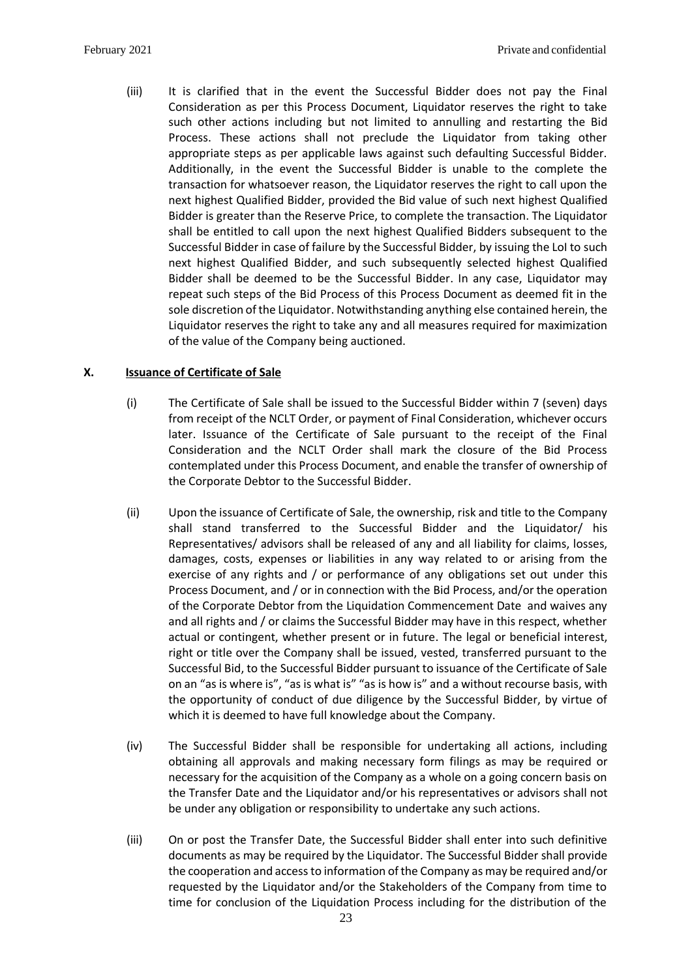(iii) It is clarified that in the event the Successful Bidder does not pay the Final Consideration as per this Process Document, Liquidator reserves the right to take such other actions including but not limited to annulling and restarting the Bid Process. These actions shall not preclude the Liquidator from taking other appropriate steps as per applicable laws against such defaulting Successful Bidder. Additionally, in the event the Successful Bidder is unable to the complete the transaction for whatsoever reason, the Liquidator reserves the right to call upon the next highest Qualified Bidder, provided the Bid value of such next highest Qualified Bidder is greater than the Reserve Price, to complete the transaction. The Liquidator shall be entitled to call upon the next highest Qualified Bidders subsequent to the Successful Bidder in case of failure by the Successful Bidder, by issuing the LoI to such next highest Qualified Bidder, and such subsequently selected highest Qualified Bidder shall be deemed to be the Successful Bidder. In any case, Liquidator may repeat such steps of the Bid Process of this Process Document as deemed fit in the sole discretion of the Liquidator. Notwithstanding anything else contained herein, the Liquidator reserves the right to take any and all measures required for maximization of the value of the Company being auctioned.

## <span id="page-23-0"></span>**X. Issuance of Certificate of Sale**

- (i) The Certificate of Sale shall be issued to the Successful Bidder within 7 (seven) days from receipt of the NCLT Order, or payment of Final Consideration, whichever occurs later. Issuance of the Certificate of Sale pursuant to the receipt of the Final Consideration and the NCLT Order shall mark the closure of the Bid Process contemplated under this Process Document, and enable the transfer of ownership of the Corporate Debtor to the Successful Bidder.
- (ii) Upon the issuance of Certificate of Sale, the ownership, risk and title to the Company shall stand transferred to the Successful Bidder and the Liquidator/ his Representatives/ advisors shall be released of any and all liability for claims, losses, damages, costs, expenses or liabilities in any way related to or arising from the exercise of any rights and / or performance of any obligations set out under this Process Document, and / or in connection with the Bid Process, and/or the operation of the Corporate Debtor from the Liquidation Commencement Date and waives any and all rights and / or claims the Successful Bidder may have in this respect, whether actual or contingent, whether present or in future. The legal or beneficial interest, right or title over the Company shall be issued, vested, transferred pursuant to the Successful Bid, to the Successful Bidder pursuant to issuance of the Certificate of Sale on an "as is where is", "as is what is" "as is how is" and a without recourse basis, with the opportunity of conduct of due diligence by the Successful Bidder, by virtue of which it is deemed to have full knowledge about the Company.
- (iv) The Successful Bidder shall be responsible for undertaking all actions, including obtaining all approvals and making necessary form filings as may be required or necessary for the acquisition of the Company as a whole on a going concern basis on the Transfer Date and the Liquidator and/or his representatives or advisors shall not be under any obligation or responsibility to undertake any such actions.
- (iii) On or post the Transfer Date, the Successful Bidder shall enter into such definitive documents as may be required by the Liquidator. The Successful Bidder shall provide the cooperation and access to information of the Company as may be required and/or requested by the Liquidator and/or the Stakeholders of the Company from time to time for conclusion of the Liquidation Process including for the distribution of the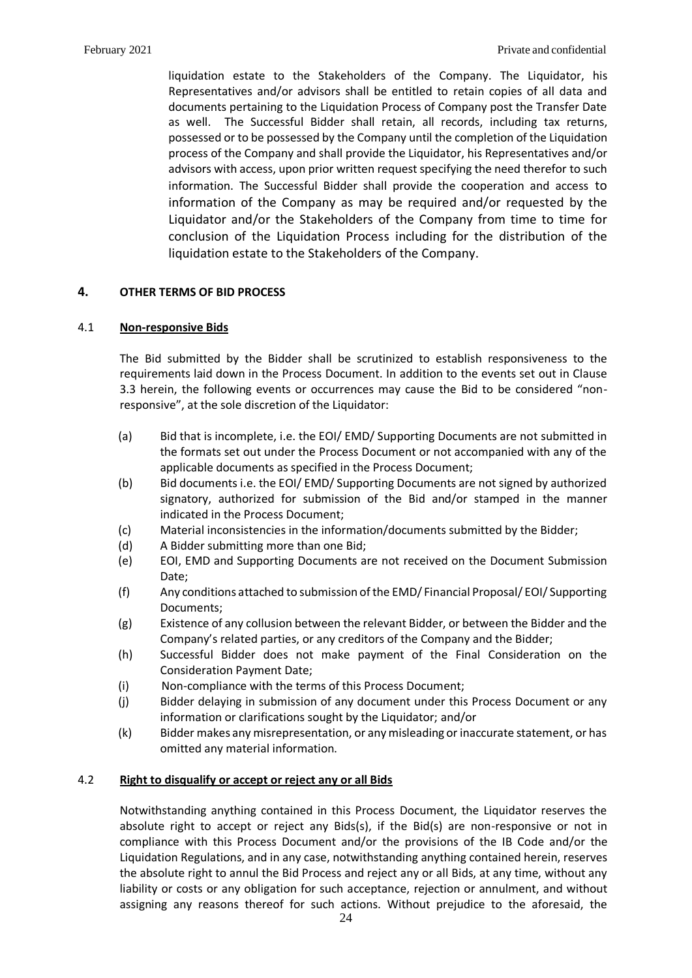liquidation estate to the Stakeholders of the Company. The Liquidator, his Representatives and/or advisors shall be entitled to retain copies of all data and documents pertaining to the Liquidation Process of Company post the Transfer Date as well. The Successful Bidder shall retain, all records, including tax returns, possessed or to be possessed by the Company until the completion of the Liquidation process of the Company and shall provide the Liquidator, his Representatives and/or advisors with access, upon prior written request specifying the need therefor to such information. The Successful Bidder shall provide the cooperation and access to information of the Company as may be required and/or requested by the Liquidator and/or the Stakeholders of the Company from time to time for conclusion of the Liquidation Process including for the distribution of the liquidation estate to the Stakeholders of the Company.

## <span id="page-24-0"></span>**4. OTHER TERMS OF BID PROCESS**

### 4.1 **Non-responsive Bids**

The Bid submitted by the Bidder shall be scrutinized to establish responsiveness to the requirements laid down in the Process Document. In addition to the events set out in Clause [3.3](#page-14-0) herein, the following events or occurrences may cause the Bid to be considered "nonresponsive", at the sole discretion of the Liquidator:

- (a) Bid that is incomplete, i.e. the EOI/ EMD/ Supporting Documents are not submitted in the formats set out under the Process Document or not accompanied with any of the applicable documents as specified in the Process Document;
- (b) Bid documents i.e. the EOI/ EMD/ Supporting Documents are not signed by authorized signatory, authorized for submission of the Bid and/or stamped in the manner indicated in the Process Document;
- (c) Material inconsistencies in the information/documents submitted by the Bidder;
- (d) A Bidder submitting more than one Bid;
- (e) EOI, EMD and Supporting Documents are not received on the Document Submission Date;
- (f) Any conditions attached to submission of the EMD/ Financial Proposal/ EOI/ Supporting Documents;
- (g) Existence of any collusion between the relevant Bidder, or between the Bidder and the Company's related parties, or any creditors of the Company and the Bidder;
- (h) Successful Bidder does not make payment of the Final Consideration on the Consideration Payment Date;
- (i) Non-compliance with the terms of this Process Document;
- (j) Bidder delaying in submission of any document under this Process Document or any information or clarifications sought by the Liquidator; and/or
- (k) Bidder makes any misrepresentation, or any misleading or inaccurate statement, or has omitted any material information.

### 4.2 **Right to disqualify or accept or reject any or all Bids**

Notwithstanding anything contained in this Process Document, the Liquidator reserves the absolute right to accept or reject any Bids(s), if the Bid(s) are non-responsive or not in compliance with this Process Document and/or the provisions of the IB Code and/or the Liquidation Regulations, and in any case, notwithstanding anything contained herein, reserves the absolute right to annul the Bid Process and reject any or all Bids, at any time, without any liability or costs or any obligation for such acceptance, rejection or annulment, and without assigning any reasons thereof for such actions. Without prejudice to the aforesaid, the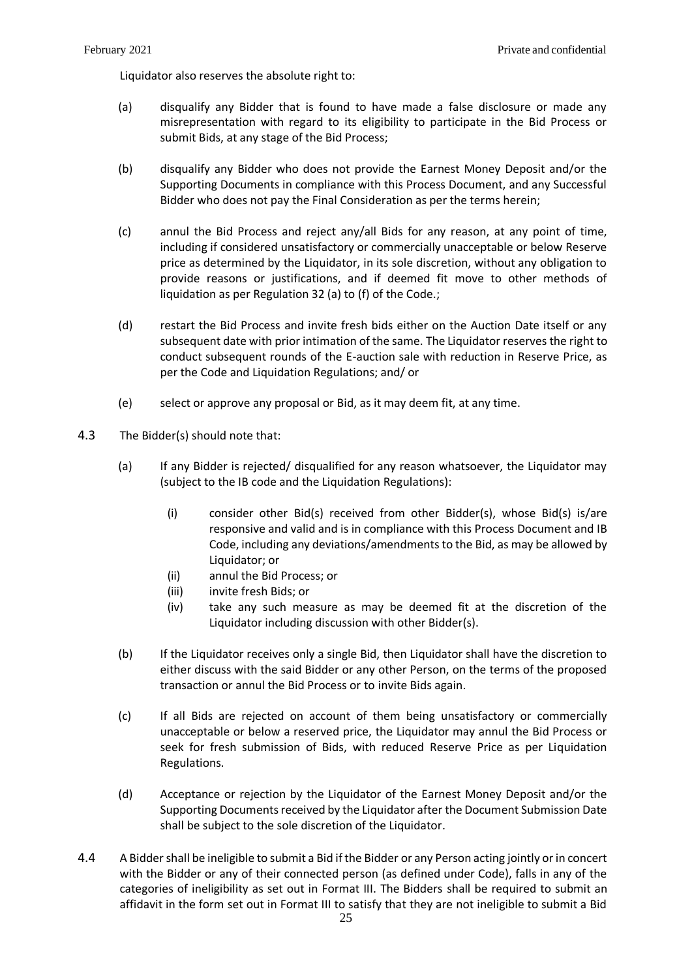Liquidator also reserves the absolute right to:

- (a) disqualify any Bidder that is found to have made a false disclosure or made any misrepresentation with regard to its eligibility to participate in the Bid Process or submit Bids, at any stage of the Bid Process;
- (b) disqualify any Bidder who does not provide the Earnest Money Deposit and/or the Supporting Documents in compliance with this Process Document, and any Successful Bidder who does not pay the Final Consideration as per the terms herein;
- (c) annul the Bid Process and reject any/all Bids for any reason, at any point of time, including if considered unsatisfactory or commercially unacceptable or below Reserve price as determined by the Liquidator, in its sole discretion, without any obligation to provide reasons or justifications, and if deemed fit move to other methods of liquidation as per Regulation 32 (a) to (f) of the Code.;
- (d) restart the Bid Process and invite fresh bids either on the Auction Date itself or any subsequent date with prior intimation of the same. The Liquidator reserves the right to conduct subsequent rounds of the E-auction sale with reduction in Reserve Price, as per the Code and Liquidation Regulations; and/ or
- (e) select or approve any proposal or Bid, as it may deem fit, at any time.
- 4.3 The Bidder(s) should note that:
	- (a) If any Bidder is rejected/ disqualified for any reason whatsoever, the Liquidator may (subject to the IB code and the Liquidation Regulations):
		- (i) consider other Bid(s) received from other Bidder(s), whose Bid(s) is/are responsive and valid and is in compliance with this Process Document and IB Code, including any deviations/amendments to the Bid, as may be allowed by Liquidator; or
		- (ii) annul the Bid Process; or
		- (iii) invite fresh Bids; or
		- (iv) take any such measure as may be deemed fit at the discretion of the Liquidator including discussion with other Bidder(s).
	- (b) If the Liquidator receives only a single Bid, then Liquidator shall have the discretion to either discuss with the said Bidder or any other Person, on the terms of the proposed transaction or annul the Bid Process or to invite Bids again.
	- (c) If all Bids are rejected on account of them being unsatisfactory or commercially unacceptable or below a reserved price, the Liquidator may annul the Bid Process or seek for fresh submission of Bids, with reduced Reserve Price as per Liquidation Regulations.
	- (d) Acceptance or rejection by the Liquidator of the Earnest Money Deposit and/or the Supporting Documents received by the Liquidator after the Document Submission Date shall be subject to the sole discretion of the Liquidator.
- 4.4 A Bidder shall be ineligible to submit a Bid if the Bidder or any Person acting jointly or in concert with the Bidder or any of their connected person (as defined under Code), falls in any of the categories of ineligibility as set out in Format III. The Bidders shall be required to submit an affidavit in the form set out in Format III to satisfy that they are not ineligible to submit a Bid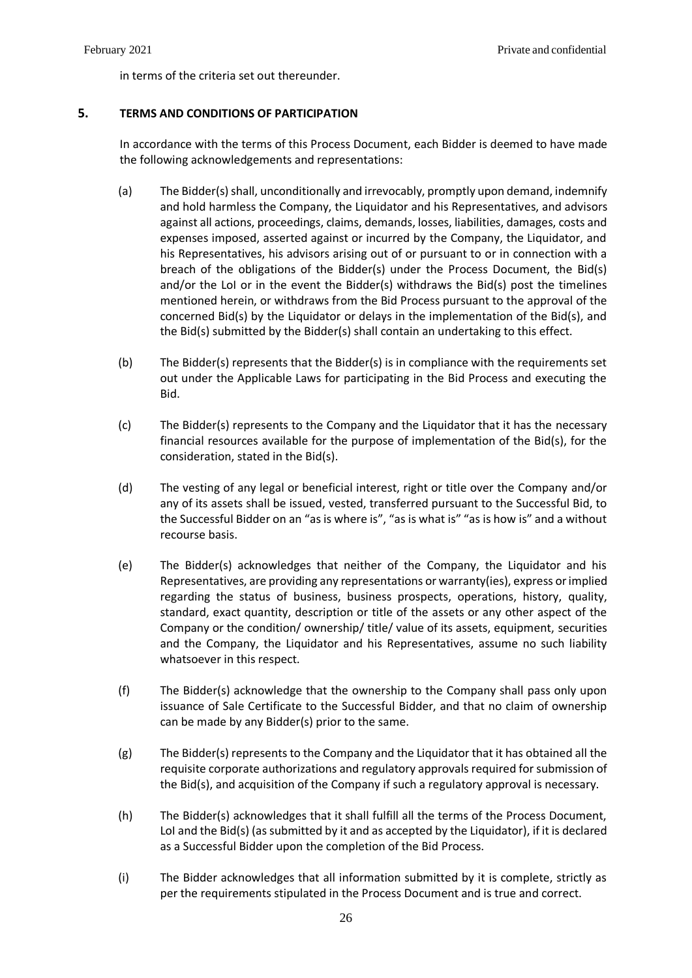in terms of the criteria set out thereunder.

## <span id="page-26-0"></span>**5. TERMS AND CONDITIONS OF PARTICIPATION**

In accordance with the terms of this Process Document, each Bidder is deemed to have made the following acknowledgements and representations:

- (a) The Bidder(s) shall, unconditionally and irrevocably, promptly upon demand, indemnify and hold harmless the Company, the Liquidator and his Representatives, and advisors against all actions, proceedings, claims, demands, losses, liabilities, damages, costs and expenses imposed, asserted against or incurred by the Company, the Liquidator, and his Representatives, his advisors arising out of or pursuant to or in connection with a breach of the obligations of the Bidder(s) under the Process Document, the Bid(s) and/or the LoI or in the event the Bidder(s) withdraws the Bid(s) post the timelines mentioned herein, or withdraws from the Bid Process pursuant to the approval of the concerned Bid(s) by the Liquidator or delays in the implementation of the Bid(s), and the Bid(s) submitted by the Bidder(s) shall contain an undertaking to this effect.
- (b) The Bidder(s) represents that the Bidder(s) is in compliance with the requirements set out under the Applicable Laws for participating in the Bid Process and executing the Bid.
- (c) The Bidder(s) represents to the Company and the Liquidator that it has the necessary financial resources available for the purpose of implementation of the Bid(s), for the consideration, stated in the Bid(s).
- (d) The vesting of any legal or beneficial interest, right or title over the Company and/or any of its assets shall be issued, vested, transferred pursuant to the Successful Bid, to the Successful Bidder on an "as is where is", "as is what is" "as is how is" and a without recourse basis.
- (e) The Bidder(s) acknowledges that neither of the Company, the Liquidator and his Representatives, are providing any representations or warranty(ies), express or implied regarding the status of business, business prospects, operations, history, quality, standard, exact quantity, description or title of the assets or any other aspect of the Company or the condition/ ownership/ title/ value of its assets, equipment, securities and the Company, the Liquidator and his Representatives, assume no such liability whatsoever in this respect.
- (f) The Bidder(s) acknowledge that the ownership to the Company shall pass only upon issuance of Sale Certificate to the Successful Bidder, and that no claim of ownership can be made by any Bidder(s) prior to the same.
- (g) The Bidder(s) represents to the Company and the Liquidator that it has obtained all the requisite corporate authorizations and regulatory approvals required for submission of the Bid(s), and acquisition of the Company if such a regulatory approval is necessary.
- (h) The Bidder(s) acknowledges that it shall fulfill all the terms of the Process Document, LoI and the Bid(s) (as submitted by it and as accepted by the Liquidator), if it is declared as a Successful Bidder upon the completion of the Bid Process.
- (i) The Bidder acknowledges that all information submitted by it is complete, strictly as per the requirements stipulated in the Process Document and is true and correct.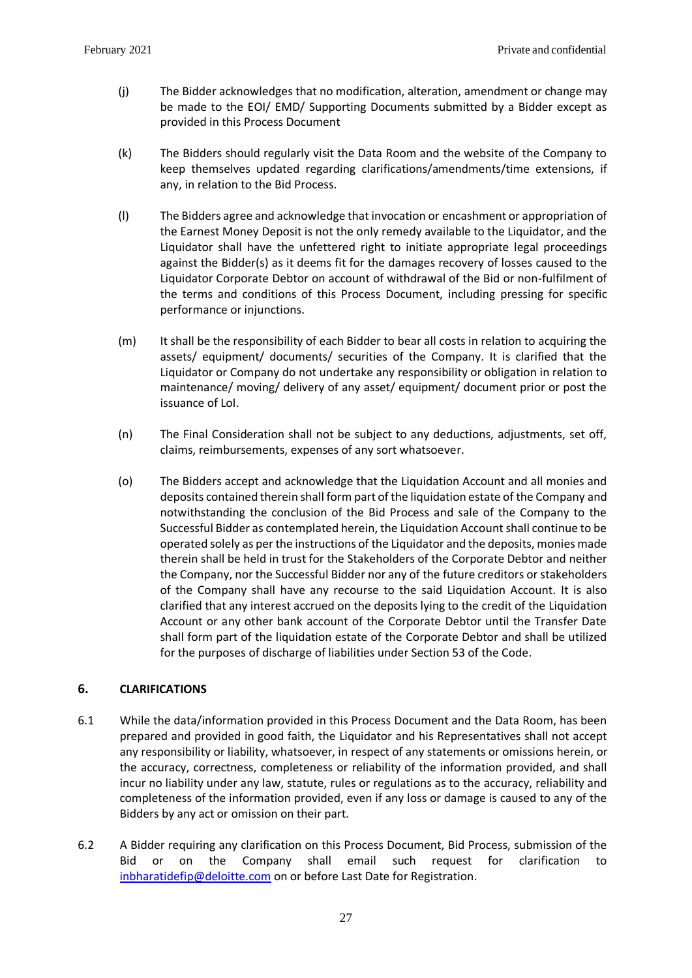- (j) The Bidder acknowledges that no modification, alteration, amendment or change may be made to the EOI/ EMD/ Supporting Documents submitted by a Bidder except as provided in this Process Document
- (k) The Bidders should regularly visit the Data Room and the website of the Company to keep themselves updated regarding clarifications/amendments/time extensions, if any, in relation to the Bid Process.
- (l) The Bidders agree and acknowledge that invocation or encashment or appropriation of the Earnest Money Deposit is not the only remedy available to the Liquidator, and the Liquidator shall have the unfettered right to initiate appropriate legal proceedings against the Bidder(s) as it deems fit for the damages recovery of losses caused to the Liquidator Corporate Debtor on account of withdrawal of the Bid or non-fulfilment of the terms and conditions of this Process Document, including pressing for specific performance or injunctions.
- (m) It shall be the responsibility of each Bidder to bear all costs in relation to acquiring the assets/ equipment/ documents/ securities of the Company. It is clarified that the Liquidator or Company do not undertake any responsibility or obligation in relation to maintenance/ moving/ delivery of any asset/ equipment/ document prior or post the issuance of LoI.
- (n) The Final Consideration shall not be subject to any deductions, adjustments, set off, claims, reimbursements, expenses of any sort whatsoever.
- (o) The Bidders accept and acknowledge that the Liquidation Account and all monies and deposits contained therein shall form part of the liquidation estate of the Company and notwithstanding the conclusion of the Bid Process and sale of the Company to the Successful Bidder as contemplated herein, the Liquidation Account shall continue to be operated solely as per the instructions of the Liquidator and the deposits, monies made therein shall be held in trust for the Stakeholders of the Corporate Debtor and neither the Company, nor the Successful Bidder nor any of the future creditors or stakeholders of the Company shall have any recourse to the said Liquidation Account. It is also clarified that any interest accrued on the deposits lying to the credit of the Liquidation Account or any other bank account of the Corporate Debtor until the Transfer Date shall form part of the liquidation estate of the Corporate Debtor and shall be utilized for the purposes of discharge of liabilities under Section 53 of the Code.

## <span id="page-27-0"></span>**6. CLARIFICATIONS**

- 6.1 While the data/information provided in this Process Document and the Data Room, has been prepared and provided in good faith, the Liquidator and his Representatives shall not accept any responsibility or liability, whatsoever, in respect of any statements or omissions herein, or the accuracy, correctness, completeness or reliability of the information provided, and shall incur no liability under any law, statute, rules or regulations as to the accuracy, reliability and completeness of the information provided, even if any loss or damage is caused to any of the Bidders by any act or omission on their part.
- 6.2 A Bidder requiring any clarification on this Process Document, Bid Process, submission of the Bid or on the Company shall email such request for clarification to [inbharatidefip@deloitte.com](mailto:inbharatidefip@deloitte.com) on or before Last Date for Registration.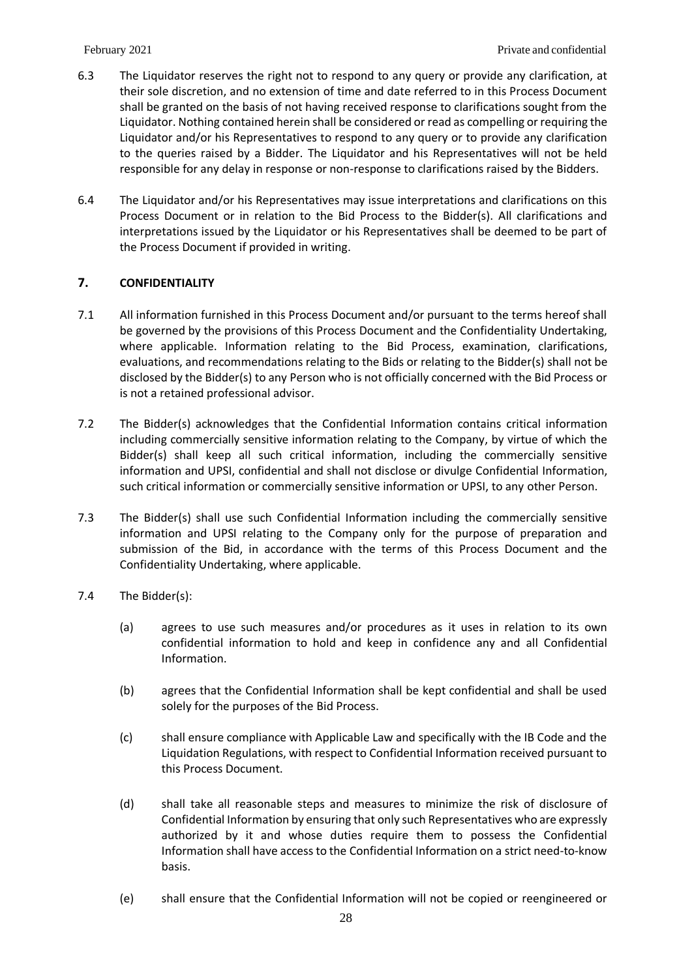- 6.3 The Liquidator reserves the right not to respond to any query or provide any clarification, at their sole discretion, and no extension of time and date referred to in this Process Document shall be granted on the basis of not having received response to clarifications sought from the Liquidator. Nothing contained herein shall be considered or read as compelling or requiring the Liquidator and/or his Representatives to respond to any query or to provide any clarification to the queries raised by a Bidder. The Liquidator and his Representatives will not be held responsible for any delay in response or non-response to clarifications raised by the Bidders.
- 6.4 The Liquidator and/or his Representatives may issue interpretations and clarifications on this Process Document or in relation to the Bid Process to the Bidder(s). All clarifications and interpretations issued by the Liquidator or his Representatives shall be deemed to be part of the Process Document if provided in writing.

## <span id="page-28-0"></span>**7. CONFIDENTIALITY**

- 7.1 All information furnished in this Process Document and/or pursuant to the terms hereof shall be governed by the provisions of this Process Document and the Confidentiality Undertaking, where applicable. Information relating to the Bid Process, examination, clarifications, evaluations, and recommendations relating to the Bids or relating to the Bidder(s) shall not be disclosed by the Bidder(s) to any Person who is not officially concerned with the Bid Process or is not a retained professional advisor.
- 7.2 The Bidder(s) acknowledges that the Confidential Information contains critical information including commercially sensitive information relating to the Company, by virtue of which the Bidder(s) shall keep all such critical information, including the commercially sensitive information and UPSI, confidential and shall not disclose or divulge Confidential Information, such critical information or commercially sensitive information or UPSI, to any other Person.
- 7.3 The Bidder(s) shall use such Confidential Information including the commercially sensitive information and UPSI relating to the Company only for the purpose of preparation and submission of the Bid, in accordance with the terms of this Process Document and the Confidentiality Undertaking, where applicable.
- 7.4 The Bidder(s):
	- (a) agrees to use such measures and/or procedures as it uses in relation to its own confidential information to hold and keep in confidence any and all Confidential Information.
	- (b) agrees that the Confidential Information shall be kept confidential and shall be used solely for the purposes of the Bid Process.
	- (c) shall ensure compliance with Applicable Law and specifically with the IB Code and the Liquidation Regulations, with respect to Confidential Information received pursuant to this Process Document.
	- (d) shall take all reasonable steps and measures to minimize the risk of disclosure of Confidential Information by ensuring that only such Representatives who are expressly authorized by it and whose duties require them to possess the Confidential Information shall have access to the Confidential Information on a strict need-to-know basis.
	- (e) shall ensure that the Confidential Information will not be copied or reengineered or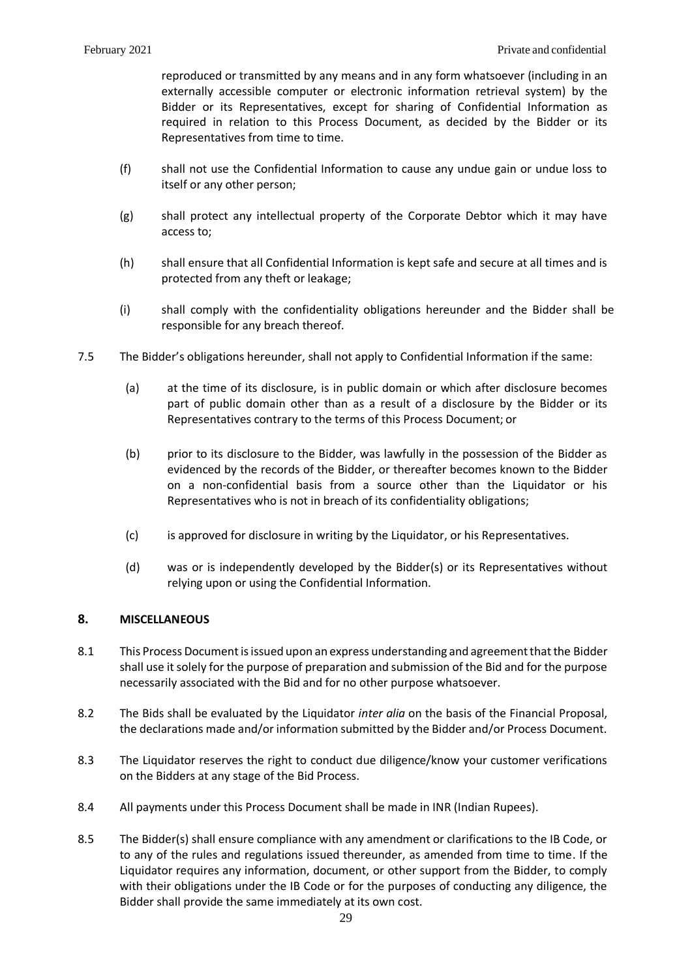reproduced or transmitted by any means and in any form whatsoever (including in an externally accessible computer or electronic information retrieval system) by the Bidder or its Representatives, except for sharing of Confidential Information as required in relation to this Process Document, as decided by the Bidder or its Representatives from time to time.

- (f) shall not use the Confidential Information to cause any undue gain or undue loss to itself or any other person;
- (g) shall protect any intellectual property of the Corporate Debtor which it may have access to;
- (h) shall ensure that all Confidential Information is kept safe and secure at all times and is protected from any theft or leakage;
- (i) shall comply with the confidentiality obligations hereunder and the Bidder shall be responsible for any breach thereof.
- 7.5 The Bidder's obligations hereunder, shall not apply to Confidential Information if the same:
	- (a) at the time of its disclosure, is in public domain or which after disclosure becomes part of public domain other than as a result of a disclosure by the Bidder or its Representatives contrary to the terms of this Process Document; or
	- (b) prior to its disclosure to the Bidder, was lawfully in the possession of the Bidder as evidenced by the records of the Bidder, or thereafter becomes known to the Bidder on a non-confidential basis from a source other than the Liquidator or his Representatives who is not in breach of its confidentiality obligations;
	- (c) is approved for disclosure in writing by the Liquidator, or his Representatives.
	- (d) was or is independently developed by the Bidder(s) or its Representatives without relying upon or using the Confidential Information.

## <span id="page-29-0"></span>**8. MISCELLANEOUS**

- 8.1 This Process Document is issued upon an express understanding and agreement that the Bidder shall use it solely for the purpose of preparation and submission of the Bid and for the purpose necessarily associated with the Bid and for no other purpose whatsoever.
- 8.2 The Bids shall be evaluated by the Liquidator *inter alia* on the basis of the Financial Proposal, the declarations made and/or information submitted by the Bidder and/or Process Document.
- 8.3 The Liquidator reserves the right to conduct due diligence/know your customer verifications on the Bidders at any stage of the Bid Process.
- 8.4 All payments under this Process Document shall be made in INR (Indian Rupees).
- 8.5 The Bidder(s) shall ensure compliance with any amendment or clarifications to the IB Code, or to any of the rules and regulations issued thereunder, as amended from time to time. If the Liquidator requires any information, document, or other support from the Bidder, to comply with their obligations under the IB Code or for the purposes of conducting any diligence, the Bidder shall provide the same immediately at its own cost.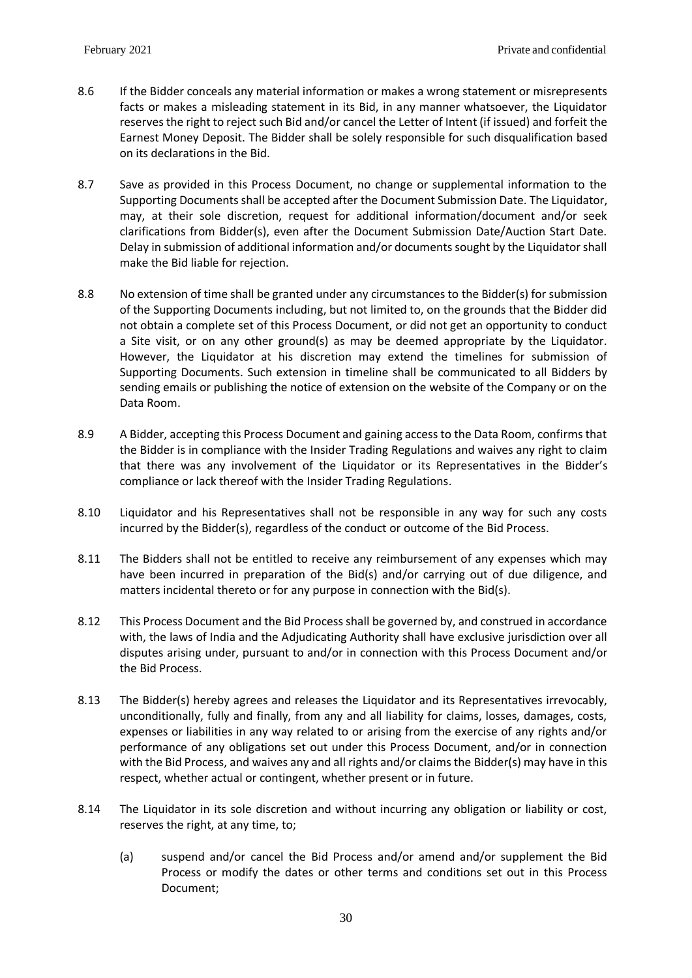- 8.6 If the Bidder conceals any material information or makes a wrong statement or misrepresents facts or makes a misleading statement in its Bid, in any manner whatsoever, the Liquidator reserves the right to reject such Bid and/or cancel the Letter of Intent (if issued) and forfeit the Earnest Money Deposit. The Bidder shall be solely responsible for such disqualification based on its declarations in the Bid.
- 8.7 Save as provided in this Process Document, no change or supplemental information to the Supporting Documents shall be accepted after the Document Submission Date. The Liquidator, may, at their sole discretion, request for additional information/document and/or seek clarifications from Bidder(s), even after the Document Submission Date/Auction Start Date. Delay in submission of additional information and/or documents sought by the Liquidator shall make the Bid liable for rejection.
- 8.8 No extension of time shall be granted under any circumstances to the Bidder(s) for submission of the Supporting Documents including, but not limited to, on the grounds that the Bidder did not obtain a complete set of this Process Document, or did not get an opportunity to conduct a Site visit, or on any other ground(s) as may be deemed appropriate by the Liquidator. However, the Liquidator at his discretion may extend the timelines for submission of Supporting Documents. Such extension in timeline shall be communicated to all Bidders by sending emails or publishing the notice of extension on the website of the Company or on the Data Room.
- 8.9 A Bidder, accepting this Process Document and gaining access to the Data Room, confirms that the Bidder is in compliance with the Insider Trading Regulations and waives any right to claim that there was any involvement of the Liquidator or its Representatives in the Bidder's compliance or lack thereof with the Insider Trading Regulations.
- 8.10 Liquidator and his Representatives shall not be responsible in any way for such any costs incurred by the Bidder(s), regardless of the conduct or outcome of the Bid Process.
- 8.11 The Bidders shall not be entitled to receive any reimbursement of any expenses which may have been incurred in preparation of the Bid(s) and/or carrying out of due diligence, and matters incidental thereto or for any purpose in connection with the Bid(s).
- 8.12 This Process Document and the Bid Process shall be governed by, and construed in accordance with, the laws of India and the Adjudicating Authority shall have exclusive jurisdiction over all disputes arising under, pursuant to and/or in connection with this Process Document and/or the Bid Process.
- 8.13 The Bidder(s) hereby agrees and releases the Liquidator and its Representatives irrevocably, unconditionally, fully and finally, from any and all liability for claims, losses, damages, costs, expenses or liabilities in any way related to or arising from the exercise of any rights and/or performance of any obligations set out under this Process Document, and/or in connection with the Bid Process, and waives any and all rights and/or claims the Bidder(s) may have in this respect, whether actual or contingent, whether present or in future.
- 8.14 The Liquidator in its sole discretion and without incurring any obligation or liability or cost, reserves the right, at any time, to;
	- (a) suspend and/or cancel the Bid Process and/or amend and/or supplement the Bid Process or modify the dates or other terms and conditions set out in this Process Document;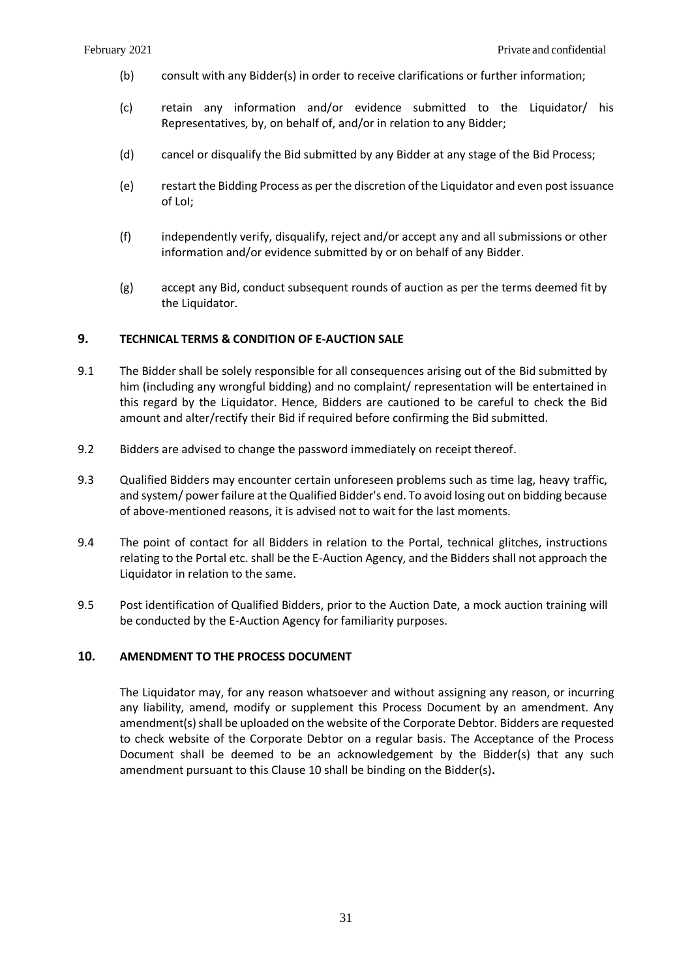- (b) consult with any Bidder(s) in order to receive clarifications or further information;
- (c) retain any information and/or evidence submitted to the Liquidator/ his Representatives, by, on behalf of, and/or in relation to any Bidder;
- (d) cancel or disqualify the Bid submitted by any Bidder at any stage of the Bid Process;
- (e) restart the Bidding Process as per the discretion of the Liquidator and even post issuance of LoI;
- (f) independently verify, disqualify, reject and/or accept any and all submissions or other information and/or evidence submitted by or on behalf of any Bidder.
- (g) accept any Bid, conduct subsequent rounds of auction as per the terms deemed fit by the Liquidator.

## <span id="page-31-0"></span>**9. TECHNICAL TERMS & CONDITION OF E-AUCTION SALE**

- 9.1 The Bidder shall be solely responsible for all consequences arising out of the Bid submitted by him (including any wrongful bidding) and no complaint/ representation will be entertained in this regard by the Liquidator. Hence, Bidders are cautioned to be careful to check the Bid amount and alter/rectify their Bid if required before confirming the Bid submitted.
- 9.2 Bidders are advised to change the password immediately on receipt thereof.
- 9.3 Qualified Bidders may encounter certain unforeseen problems such as time lag, heavy traffic, and system/ power failure at the Qualified Bidder's end. To avoid losing out on bidding because of above-mentioned reasons, it is advised not to wait for the last moments.
- 9.4 The point of contact for all Bidders in relation to the Portal, technical glitches, instructions relating to the Portal etc. shall be the E-Auction Agency, and the Bidders shall not approach the Liquidator in relation to the same.
- 9.5 Post identification of Qualified Bidders, prior to the Auction Date, a mock auction training will be conducted by the E-Auction Agency for familiarity purposes.

### <span id="page-31-1"></span>**10. AMENDMENT TO THE PROCESS DOCUMENT**

The Liquidator may, for any reason whatsoever and without assigning any reason, or incurring any liability, amend, modify or supplement this Process Document by an amendment. Any amendment(s) shall be uploaded on the website of the Corporate Debtor. Bidders are requested to check website of the Corporate Debtor on a regular basis. The Acceptance of the Process Document shall be deemed to be an acknowledgement by the Bidder(s) that any such amendment pursuant to this Clause [10](#page-31-1) shall be binding on the Bidder(s)**.**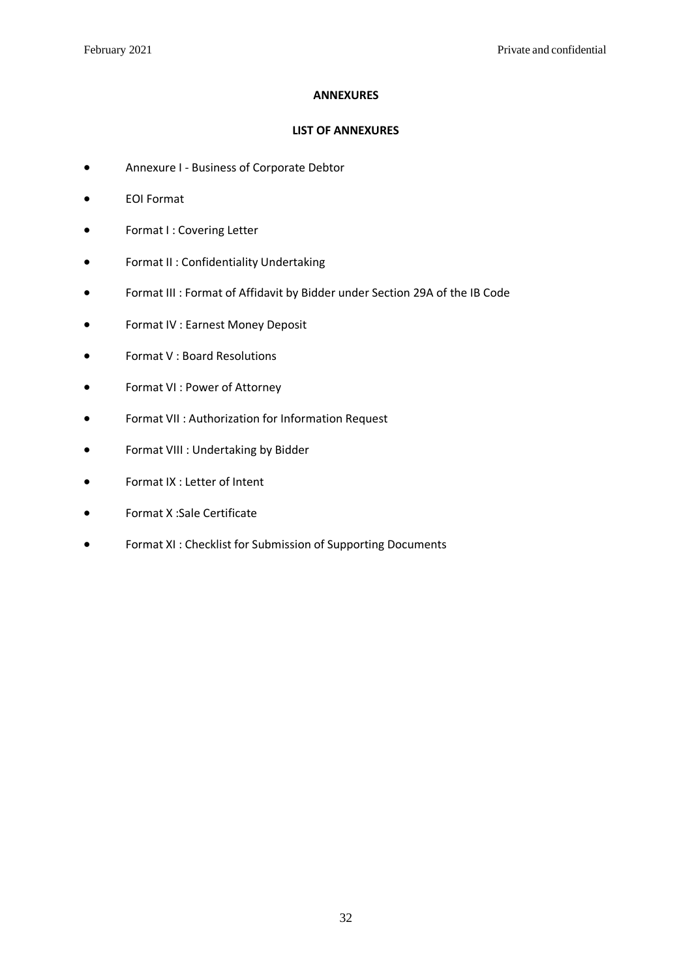## **ANNEXURES**

## **LIST OF ANNEXURES**

- <span id="page-32-0"></span>• Annexure I - Business of Corporate Debtor
- EOI Format
- Format I : Covering Letter
- Format II : Confidentiality Undertaking
- Format III : Format of Affidavit by Bidder under Section 29A of the IB Code
- Format IV : Earnest Money Deposit
- Format V : Board Resolutions
- Format VI : Power of Attorney
- Format VII : Authorization for Information Request
- Format VIII : Undertaking by Bidder
- Format IX : Letter of Intent
- Format X :Sale Certificate
- Format XI : Checklist for Submission of Supporting Documents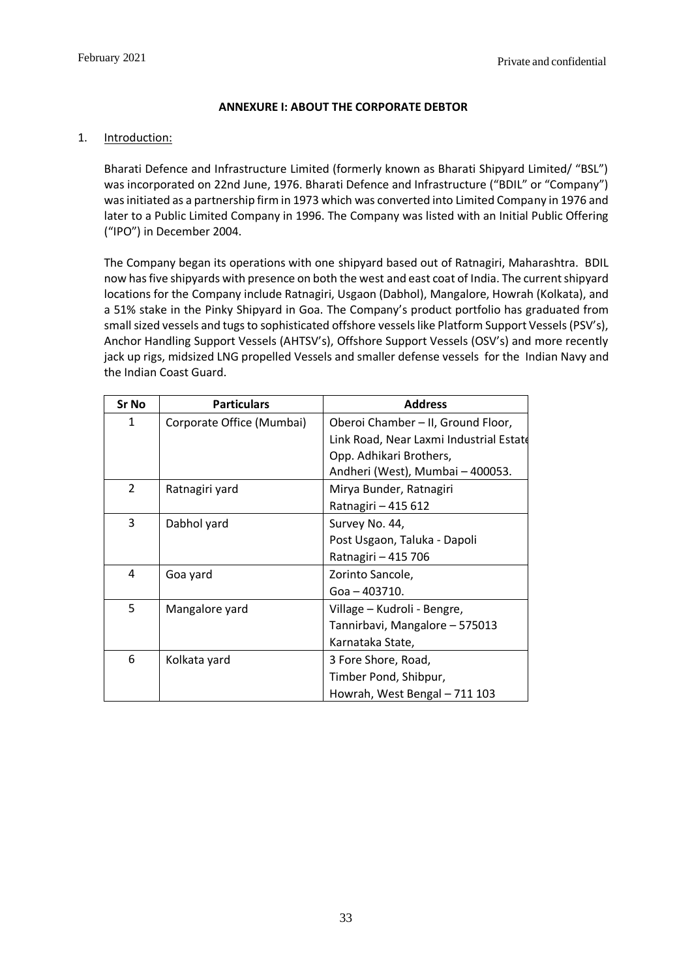## **ANNEXURE I: ABOUT THE CORPORATE DEBTOR**

## <span id="page-33-0"></span>1. Introduction:

Bharati Defence and Infrastructure Limited (formerly known as Bharati Shipyard Limited/ "BSL") was incorporated on 22nd June, 1976. Bharati Defence and Infrastructure ("BDIL" or "Company") was initiated as a partnership firm in 1973 which was converted into Limited Company in 1976 and later to a Public Limited Company in 1996. The Company was listed with an Initial Public Offering ("IPO") in December 2004.

The Company began its operations with one shipyard based out of Ratnagiri, Maharashtra. BDIL now has five shipyards with presence on both the west and east coat of India. The current shipyard locations for the Company include Ratnagiri, Usgaon (Dabhol), Mangalore, Howrah (Kolkata), and a 51% stake in the Pinky Shipyard in Goa. The Company's product portfolio has graduated from small sized vessels and tugs to sophisticated offshore vessels like Platform Support Vessels (PSV's), Anchor Handling Support Vessels (AHTSV's), Offshore Support Vessels (OSV's) and more recently jack up rigs, midsized LNG propelled Vessels and smaller defense vessels for the Indian Navy and the Indian Coast Guard.

| <b>Sr No</b>   | <b>Particulars</b>        | <b>Address</b>                          |
|----------------|---------------------------|-----------------------------------------|
| 1              | Corporate Office (Mumbai) | Oberoi Chamber - II, Ground Floor,      |
|                |                           | Link Road, Near Laxmi Industrial Estate |
|                |                           | Opp. Adhikari Brothers,                 |
|                |                           | Andheri (West), Mumbai - 400053.        |
| $\overline{2}$ | Ratnagiri yard            | Mirya Bunder, Ratnagiri                 |
|                |                           | Ratnagiri - 415 612                     |
| 3              | Dabhol yard               | Survey No. 44,                          |
|                |                           | Post Usgaon, Taluka - Dapoli            |
|                |                           | Ratnagiri - 415 706                     |
| 4              | Goa yard                  | Zorinto Sancole,                        |
|                |                           | Goa - 403710.                           |
| 5              | Mangalore yard            | Village – Kudroli - Bengre,             |
|                |                           | Tannirbavi, Mangalore - 575013          |
|                |                           | Karnataka State,                        |
| 6              | Kolkata yard              | 3 Fore Shore, Road,                     |
|                |                           | Timber Pond, Shibpur,                   |
|                |                           | Howrah, West Bengal - 711 103           |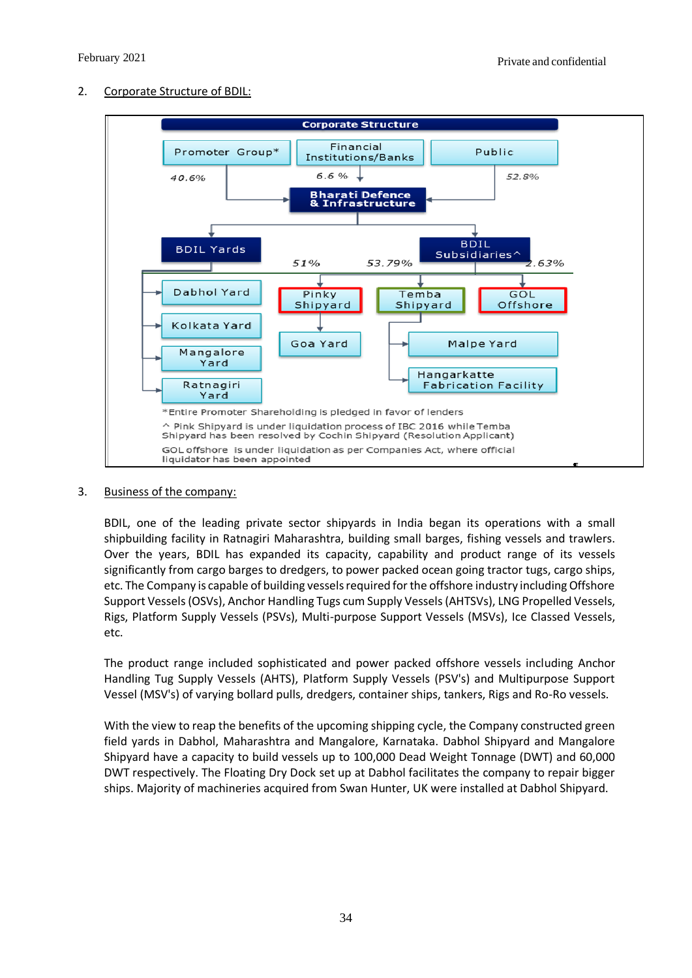## 2. Corporate Structure of BDIL:



## 3. Business of the company:

BDIL, one of the leading private sector shipyards in India began its operations with a small shipbuilding facility in Ratnagiri Maharashtra, building small barges, fishing vessels and trawlers. Over the years, BDIL has expanded its capacity, capability and product range of its vessels significantly from cargo barges to dredgers, to power packed ocean going tractor tugs, cargo ships, etc. The Company is capable of building vessels required for the offshore industry including Offshore Support Vessels (OSVs), Anchor Handling Tugs cum Supply Vessels (AHTSVs), LNG Propelled Vessels, Rigs, Platform Supply Vessels (PSVs), Multi-purpose Support Vessels (MSVs), Ice Classed Vessels, etc.

The product range included sophisticated and power packed offshore vessels including Anchor Handling Tug Supply Vessels (AHTS), Platform Supply Vessels (PSV's) and Multipurpose Support Vessel (MSV's) of varying bollard pulls, dredgers, container ships, tankers, Rigs and Ro-Ro vessels.

With the view to reap the benefits of the upcoming shipping cycle, the Company constructed green field yards in Dabhol, Maharashtra and Mangalore, Karnataka. Dabhol Shipyard and Mangalore Shipyard have a capacity to build vessels up to 100,000 Dead Weight Tonnage (DWT) and 60,000 DWT respectively. The Floating Dry Dock set up at Dabhol facilitates the company to repair bigger ships. Majority of machineries acquired from Swan Hunter, UK were installed at Dabhol Shipyard.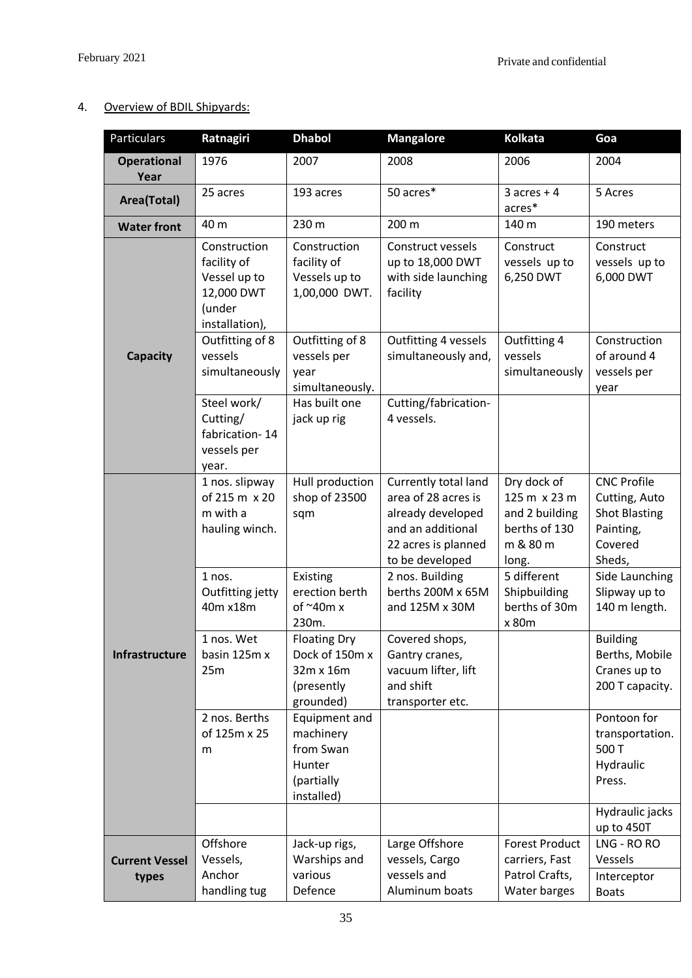## 4. Overview of BDIL Shipyards:

| Particulars                | Ratnagiri                                                                             | <b>Dhabol</b>                                                                 | <b>Mangalore</b>                                                                                                                                   | <b>Kolkata</b>                                                                                     | Goa                                                                                                             |
|----------------------------|---------------------------------------------------------------------------------------|-------------------------------------------------------------------------------|----------------------------------------------------------------------------------------------------------------------------------------------------|----------------------------------------------------------------------------------------------------|-----------------------------------------------------------------------------------------------------------------|
| <b>Operational</b><br>Year | 1976                                                                                  | 2007                                                                          | 2008                                                                                                                                               | 2006                                                                                               | 2004                                                                                                            |
| Area(Total)                | 25 acres                                                                              | 193 acres                                                                     | 50 acres*                                                                                                                                          | $3$ acres + 4<br>acres*                                                                            | 5 Acres                                                                                                         |
| <b>Water front</b>         | 40 m                                                                                  | 230 m                                                                         | 200 m                                                                                                                                              | 140 m                                                                                              | 190 meters                                                                                                      |
|                            | Construction<br>facility of<br>Vessel up to<br>12,000 DWT<br>(under<br>installation), | Construction<br>facility of<br>Vessels up to<br>1,00,000 DWT.                 | Construct vessels<br>up to 18,000 DWT<br>with side launching<br>facility                                                                           | Construct<br>vessels up to<br>6,250 DWT                                                            | Construct<br>vessels up to<br>6,000 DWT                                                                         |
| <b>Capacity</b>            | Outfitting of 8<br>vessels<br>simultaneously                                          | Outfitting of 8<br>vessels per<br>year<br>simultaneously.                     | Outfitting 4 vessels<br>simultaneously and,                                                                                                        | Outfitting 4<br>vessels<br>simultaneously                                                          | Construction<br>of around 4<br>vessels per<br>year                                                              |
|                            | Steel work/<br>Cutting/<br>fabrication-14<br>vessels per<br>year.                     | Has built one<br>jack up rig                                                  | Cutting/fabrication-<br>4 vessels.                                                                                                                 |                                                                                                    |                                                                                                                 |
|                            | 1 nos. slipway<br>of 215 m x 20<br>m with a<br>hauling winch.<br>1 nos.               | Hull production<br>shop of 23500<br>sqm<br>Existing                           | Currently total land<br>area of 28 acres is<br>already developed<br>and an additional<br>22 acres is planned<br>to be developed<br>2 nos. Building | Dry dock of<br>125 m x 23 m<br>and 2 building<br>berths of 130<br>m & 80 m<br>long.<br>5 different | <b>CNC Profile</b><br>Cutting, Auto<br><b>Shot Blasting</b><br>Painting,<br>Covered<br>Sheds,<br>Side Launching |
|                            | Outfitting jetty<br>40m x18m                                                          | erection berth<br>of $^{\sim}$ 40m x<br>230m.                                 | berths 200M x 65M<br>and 125M x 30M                                                                                                                | Shipbuilding<br>berths of 30m<br>x 80m                                                             | Slipway up to<br>140 m length.                                                                                  |
| <b>Infrastructure</b>      | 1 nos. Wet<br>basin 125m x<br>25m                                                     | <b>Floating Dry</b><br>Dock of 150m x<br>32m x 16m<br>(presently<br>grounded) | Covered shops,<br>Gantry cranes,<br>vacuum lifter, lift<br>and shift<br>transporter etc.                                                           |                                                                                                    | <b>Building</b><br>Berths, Mobile<br>Cranes up to<br>200 T capacity.                                            |
|                            | 2 nos. Berths<br>of 125m x 25<br>m                                                    | Equipment and<br>machinery<br>from Swan<br>Hunter<br>(partially<br>installed) |                                                                                                                                                    |                                                                                                    | Pontoon for<br>transportation.<br>500 T<br>Hydraulic<br>Press.                                                  |
|                            |                                                                                       |                                                                               |                                                                                                                                                    |                                                                                                    | Hydraulic jacks<br>up to 450T                                                                                   |
| <b>Current Vessel</b>      | Offshore<br>Vessels,                                                                  | Jack-up rigs,<br>Warships and                                                 | Large Offshore<br>vessels, Cargo                                                                                                                   | <b>Forest Product</b><br>carriers, Fast                                                            | LNG - RO RO<br>Vessels                                                                                          |
| types                      | Anchor<br>handling tug                                                                | various<br>Defence                                                            | vessels and<br>Aluminum boats                                                                                                                      | Patrol Crafts,<br>Water barges                                                                     | Interceptor<br><b>Boats</b>                                                                                     |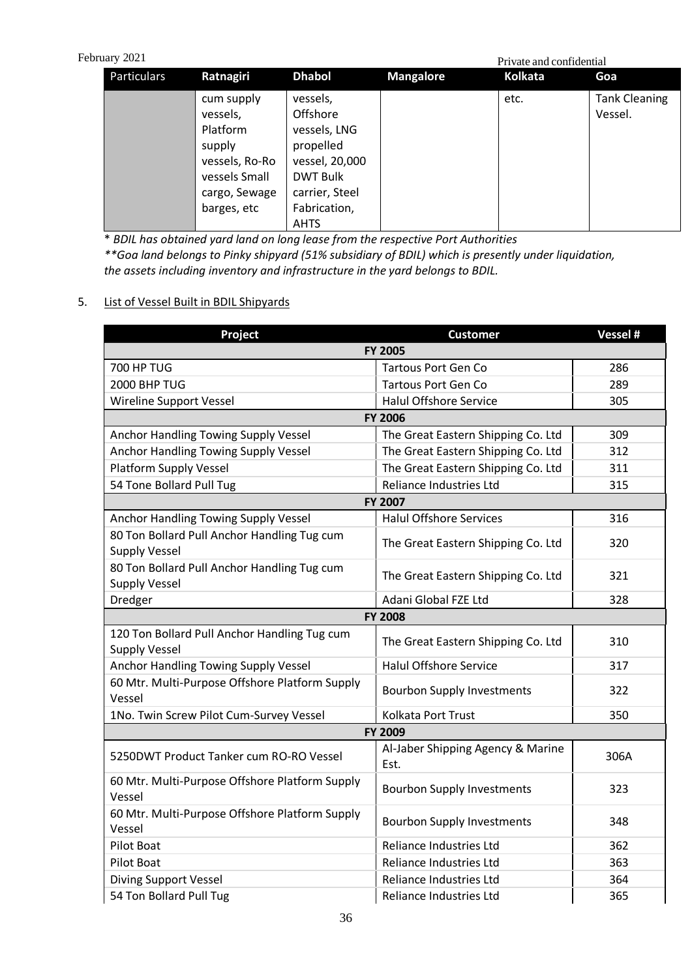# Pebruary 2021

| lary 2021<br>Private and confidential |                                                                                                                 |                                                                                                                                         |                  |         |                                 |
|---------------------------------------|-----------------------------------------------------------------------------------------------------------------|-----------------------------------------------------------------------------------------------------------------------------------------|------------------|---------|---------------------------------|
| Particulars                           | Ratnagiri                                                                                                       | <b>Dhabol</b>                                                                                                                           | <b>Mangalore</b> | Kolkata | Goa                             |
|                                       | cum supply<br>vessels,<br>Platform<br>supply<br>vessels, Ro-Ro<br>vessels Small<br>cargo, Sewage<br>barges, etc | vessels,<br>Offshore<br>vessels, LNG<br>propelled<br>vessel, 20,000<br><b>DWT Bulk</b><br>carrier, Steel<br>Fabrication,<br><b>AHTS</b> |                  | etc.    | <b>Tank Cleaning</b><br>Vessel. |

\* *BDIL has obtained yard land on long lease from the respective Port Authorities \*\*Goa land belongs to Pinky shipyard (51% subsidiary of BDIL) which is presently under liquidation, the assets including inventory and infrastructure in the yard belongs to BDIL.*

## 5. List of Vessel Built in BDIL Shipyards

| Project                                                              | <b>Customer</b>                           | Vessel # |  |  |
|----------------------------------------------------------------------|-------------------------------------------|----------|--|--|
| <b>FY 2005</b>                                                       |                                           |          |  |  |
| <b>700 HP TUG</b>                                                    | <b>Tartous Port Gen Co</b>                | 286      |  |  |
| 2000 BHP TUG                                                         | <b>Tartous Port Gen Co</b>                | 289      |  |  |
| Wireline Support Vessel                                              | <b>Halul Offshore Service</b>             | 305      |  |  |
|                                                                      | <b>FY 2006</b>                            |          |  |  |
| Anchor Handling Towing Supply Vessel                                 | The Great Eastern Shipping Co. Ltd        | 309      |  |  |
| Anchor Handling Towing Supply Vessel                                 | The Great Eastern Shipping Co. Ltd        | 312      |  |  |
| <b>Platform Supply Vessel</b>                                        | The Great Eastern Shipping Co. Ltd        | 311      |  |  |
| 54 Tone Bollard Pull Tug                                             | Reliance Industries Ltd                   | 315      |  |  |
|                                                                      | <b>FY 2007</b>                            |          |  |  |
| Anchor Handling Towing Supply Vessel                                 | <b>Halul Offshore Services</b>            | 316      |  |  |
| 80 Ton Bollard Pull Anchor Handling Tug cum<br><b>Supply Vessel</b>  | The Great Eastern Shipping Co. Ltd        | 320      |  |  |
| 80 Ton Bollard Pull Anchor Handling Tug cum<br><b>Supply Vessel</b>  | The Great Eastern Shipping Co. Ltd        | 321      |  |  |
| Dredger                                                              | Adani Global FZE Ltd                      | 328      |  |  |
|                                                                      | <b>FY 2008</b>                            |          |  |  |
| 120 Ton Bollard Pull Anchor Handling Tug cum<br><b>Supply Vessel</b> | The Great Eastern Shipping Co. Ltd        | 310      |  |  |
| Anchor Handling Towing Supply Vessel                                 | <b>Halul Offshore Service</b>             | 317      |  |  |
| 60 Mtr. Multi-Purpose Offshore Platform Supply<br>Vessel             | <b>Bourbon Supply Investments</b>         | 322      |  |  |
| 1No. Twin Screw Pilot Cum-Survey Vessel                              | Kolkata Port Trust                        | 350      |  |  |
|                                                                      | FY 2009                                   |          |  |  |
| 5250DWT Product Tanker cum RO-RO Vessel                              | Al-Jaber Shipping Agency & Marine<br>Est. | 306A     |  |  |
| 60 Mtr. Multi-Purpose Offshore Platform Supply<br>Vessel             | <b>Bourbon Supply Investments</b>         | 323      |  |  |
| 60 Mtr. Multi-Purpose Offshore Platform Supply<br>Vessel             | <b>Bourbon Supply Investments</b>         | 348      |  |  |
| <b>Pilot Boat</b>                                                    | Reliance Industries Ltd                   | 362      |  |  |
| <b>Pilot Boat</b>                                                    | Reliance Industries Ltd                   | 363      |  |  |
| <b>Diving Support Vessel</b>                                         | Reliance Industries Ltd                   | 364      |  |  |
| 54 Ton Bollard Pull Tug                                              | Reliance Industries Ltd                   | 365      |  |  |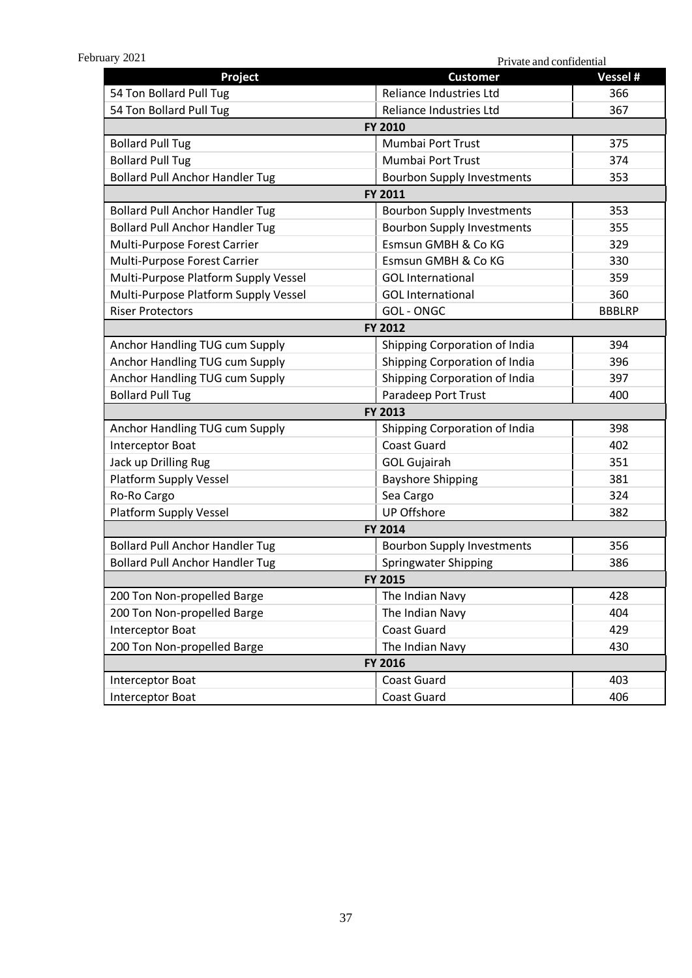Private and confidential Private and confidential Private and confidential

<span id="page-37-0"></span>

| Project                                | <b>Customer</b>                   | Vessel #      |  |
|----------------------------------------|-----------------------------------|---------------|--|
| 54 Ton Bollard Pull Tug                | Reliance Industries Ltd           | 366           |  |
| 54 Ton Bollard Pull Tug                | Reliance Industries Ltd           | 367           |  |
|                                        | FY 2010                           |               |  |
| <b>Bollard Pull Tug</b>                | Mumbai Port Trust                 | 375           |  |
| <b>Bollard Pull Tug</b>                | Mumbai Port Trust                 | 374           |  |
| <b>Bollard Pull Anchor Handler Tug</b> | <b>Bourbon Supply Investments</b> | 353           |  |
|                                        | FY 2011                           |               |  |
| <b>Bollard Pull Anchor Handler Tug</b> | <b>Bourbon Supply Investments</b> | 353           |  |
| <b>Bollard Pull Anchor Handler Tug</b> | <b>Bourbon Supply Investments</b> | 355           |  |
| Multi-Purpose Forest Carrier           | Esmsun GMBH & Co KG               | 329           |  |
| Multi-Purpose Forest Carrier           | Esmsun GMBH & Co KG               | 330           |  |
| Multi-Purpose Platform Supply Vessel   | <b>GOL</b> International          | 359           |  |
| Multi-Purpose Platform Supply Vessel   | <b>GOL</b> International          | 360           |  |
| <b>Riser Protectors</b>                | <b>GOL-ONGC</b>                   | <b>BBBLRP</b> |  |
|                                        | FY 2012                           |               |  |
| Anchor Handling TUG cum Supply         | Shipping Corporation of India     | 394           |  |
| Anchor Handling TUG cum Supply         | Shipping Corporation of India     | 396           |  |
| Anchor Handling TUG cum Supply         | Shipping Corporation of India     | 397           |  |
| <b>Bollard Pull Tug</b>                | Paradeep Port Trust               | 400           |  |
|                                        | FY 2013                           |               |  |
| Anchor Handling TUG cum Supply         | Shipping Corporation of India     | 398           |  |
| Interceptor Boat                       | <b>Coast Guard</b>                | 402           |  |
| Jack up Drilling Rug                   | <b>GOL Gujairah</b>               | 351           |  |
| <b>Platform Supply Vessel</b>          | <b>Bayshore Shipping</b>          | 381           |  |
| Ro-Ro Cargo                            | Sea Cargo                         | 324           |  |
| <b>Platform Supply Vessel</b>          | <b>UP Offshore</b>                | 382           |  |
|                                        | FY 2014                           |               |  |
| <b>Bollard Pull Anchor Handler Tug</b> | <b>Bourbon Supply Investments</b> | 356           |  |
| <b>Bollard Pull Anchor Handler Tug</b> | <b>Springwater Shipping</b>       | 386           |  |
|                                        | FY 2015                           |               |  |
| 200 Ton Non-propelled Barge            | The Indian Navy                   | 428           |  |
| 200 Ton Non-propelled Barge            | The Indian Navy                   | 404           |  |
| Interceptor Boat                       | <b>Coast Guard</b>                | 429           |  |
| 200 Ton Non-propelled Barge            | The Indian Navy                   | 430           |  |
| FY 2016                                |                                   |               |  |
| Interceptor Boat                       | <b>Coast Guard</b>                | 403           |  |
| Interceptor Boat                       | Coast Guard                       | 406           |  |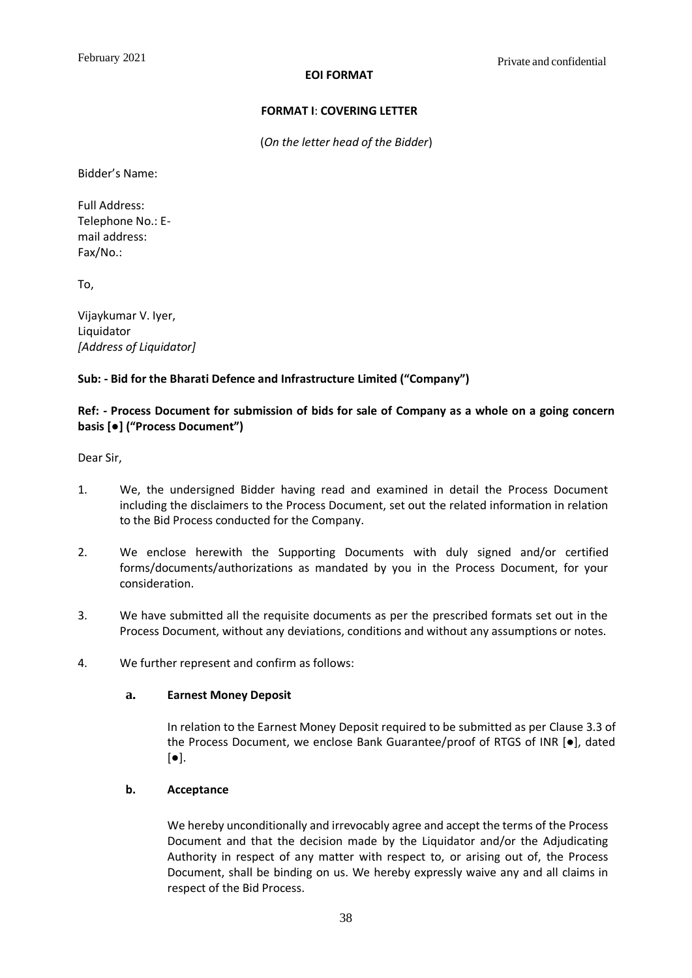#### **EOI FORMAT**

## **FORMAT I**: **COVERING LETTER**

(*On the letter head of the Bidder*)

<span id="page-38-0"></span>Bidder's Name:

Full Address: Telephone No.: Email address: Fax/No.:

To,

Vijaykumar V. Iyer, Liquidator *[Address of Liquidator]*

## **Sub: - Bid for the Bharati Defence and Infrastructure Limited ("Company")**

## **Ref: - Process Document for submission of bids for sale of Company as a whole on a going concern basis [●] ("Process Document")**

Dear Sir,

- 1. We, the undersigned Bidder having read and examined in detail the Process Document including the disclaimers to the Process Document, set out the related information in relation to the Bid Process conducted for the Company.
- 2. We enclose herewith the Supporting Documents with duly signed and/or certified forms/documents/authorizations as mandated by you in the Process Document, for your consideration.
- 3. We have submitted all the requisite documents as per the prescribed formats set out in the Process Document, without any deviations, conditions and without any assumptions or notes.
- 4. We further represent and confirm as follows:

### **a. Earnest Money Deposit**

In relation to the Earnest Money Deposit required to be submitted as per Clause 3.3 of the Process Document, we enclose Bank Guarantee/proof of RTGS of INR [●], dated  $[\bullet]$ .

### **b. Acceptance**

We hereby unconditionally and irrevocably agree and accept the terms of the Process Document and that the decision made by the Liquidator and/or the Adjudicating Authority in respect of any matter with respect to, or arising out of, the Process Document, shall be binding on us. We hereby expressly waive any and all claims in respect of the Bid Process.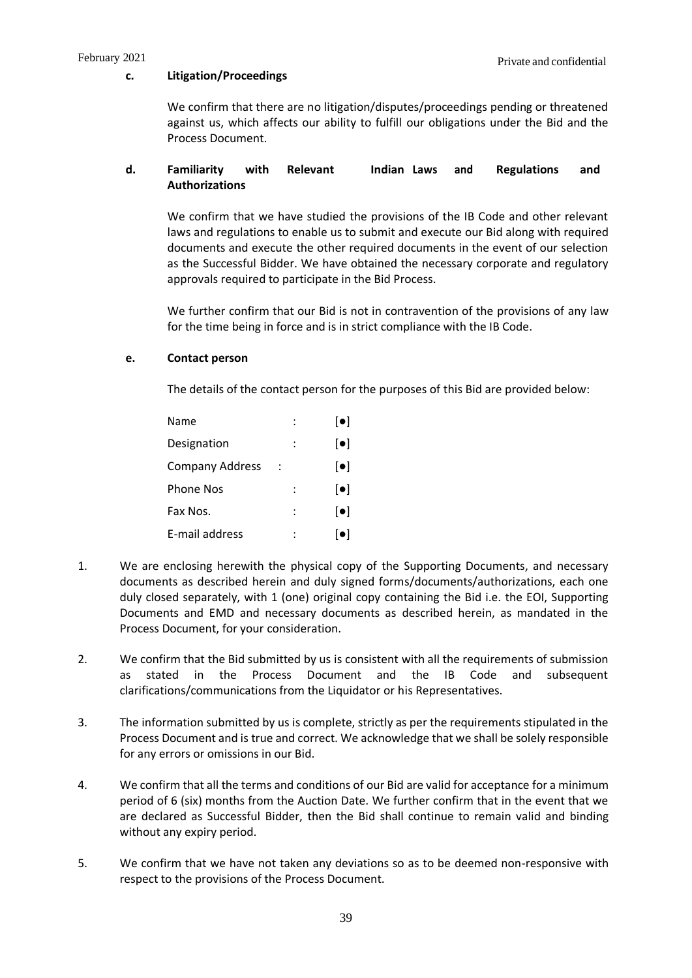#### **c. Litigation/Proceedings**

We confirm that there are no litigation/disputes/proceedings pending or threatened against us, which affects our ability to fulfill our obligations under the Bid and the Process Document.

## **d. Familiarity with Relevant Indian Laws and Regulations and Authorizations**

We confirm that we have studied the provisions of the IB Code and other relevant laws and regulations to enable us to submit and execute our Bid along with required documents and execute the other required documents in the event of our selection as the Successful Bidder. We have obtained the necessary corporate and regulatory approvals required to participate in the Bid Process.

We further confirm that our Bid is not in contravention of the provisions of any law for the time being in force and is in strict compliance with the IB Code.

### **e. Contact person**

The details of the contact person for the purposes of this Bid are provided below:

| Name                   | $\lceil \bullet \rceil$ |
|------------------------|-------------------------|
| Designation            | $\lceil \bullet \rceil$ |
| <b>Company Address</b> | $\lceil \bullet \rceil$ |
| Phone Nos              | $\lceil \bullet \rceil$ |
| Fax Nos.               | $\lceil \bullet \rceil$ |
| E-mail address         | $\lceil \bullet \rceil$ |

- 1. We are enclosing herewith the physical copy of the Supporting Documents, and necessary documents as described herein and duly signed forms/documents/authorizations, each one duly closed separately, with 1 (one) original copy containing the Bid i.e. the EOI, Supporting Documents and EMD and necessary documents as described herein, as mandated in the Process Document, for your consideration.
- 2. We confirm that the Bid submitted by us is consistent with all the requirements of submission as stated in the Process Document and the IB Code and subsequent clarifications/communications from the Liquidator or his Representatives.
- 3. The information submitted by us is complete, strictly as per the requirements stipulated in the Process Document and is true and correct. We acknowledge that we shall be solely responsible for any errors or omissions in our Bid.
- 4. We confirm that all the terms and conditions of our Bid are valid for acceptance for a minimum period of 6 (six) months from the Auction Date. We further confirm that in the event that we are declared as Successful Bidder, then the Bid shall continue to remain valid and binding without any expiry period.
- 5. We confirm that we have not taken any deviations so as to be deemed non-responsive with respect to the provisions of the Process Document.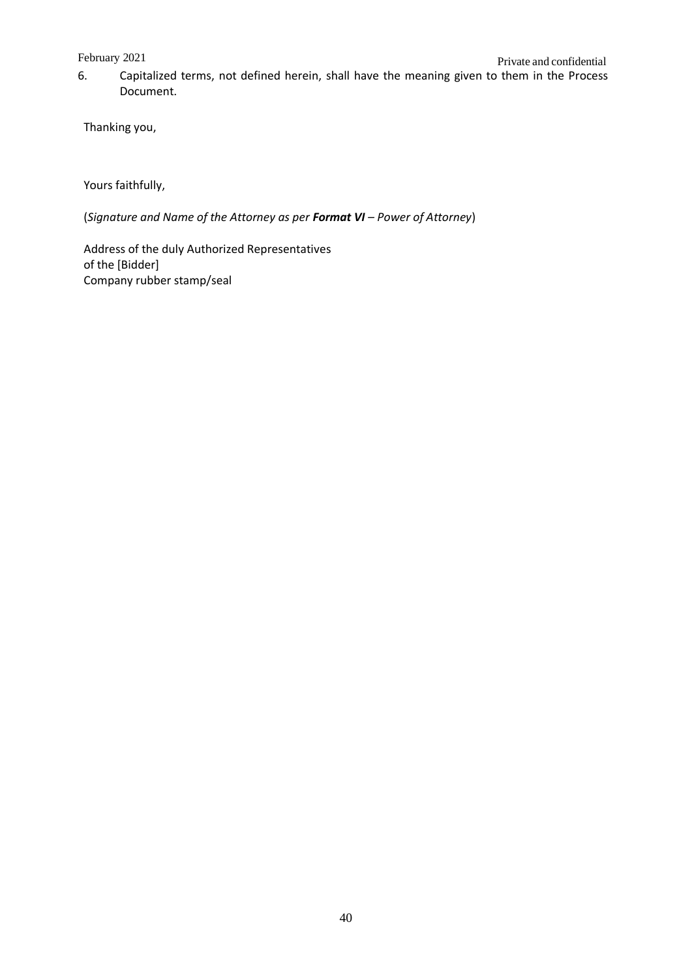Private and confidential February 2021 6. Capitalized terms, not defined herein, shall have the meaning given to them in the Process Document.

Thanking you,

Yours faithfully,

(*Signature and Name of the Attorney as per Format VI – Power of Attorney*)

Address of the duly Authorized Representatives of the [Bidder] Company rubber stamp/seal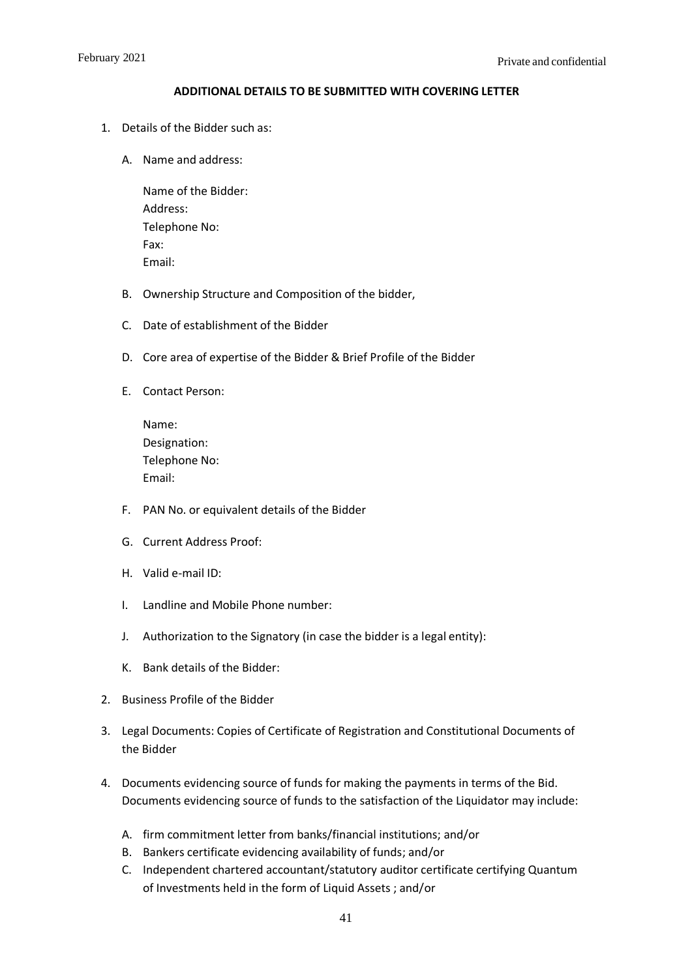#### **ADDITIONAL DETAILS TO BE SUBMITTED WITH COVERING LETTER**

- 1. Details of the Bidder such as:
	- A. Name and address:

Name of the Bidder: Address: Telephone No: Fax: Email:

- B. Ownership Structure and Composition of the bidder,
- C. Date of establishment of the Bidder
- D. Core area of expertise of the Bidder & Brief Profile of the Bidder
- E. Contact Person:

| Name:         |
|---------------|
| Designation:  |
| Telephone No: |
| Email:        |

- F. PAN No. or equivalent details of the Bidder
- G. Current Address Proof:
- H. Valid e-mail ID:
- I. Landline and Mobile Phone number:
- J. Authorization to the Signatory (in case the bidder is a legal entity):
- K. Bank details of the Bidder:
- 2. Business Profile of the Bidder
- 3. Legal Documents: Copies of Certificate of Registration and Constitutional Documents of the Bidder
- 4. Documents evidencing source of funds for making the payments in terms of the Bid. Documents evidencing source of funds to the satisfaction of the Liquidator may include:
	- A. firm commitment letter from banks/financial institutions; and/or
	- B. Bankers certificate evidencing availability of funds; and/or
	- C. Independent chartered accountant/statutory auditor certificate certifying Quantum of Investments held in the form of Liquid Assets ; and/or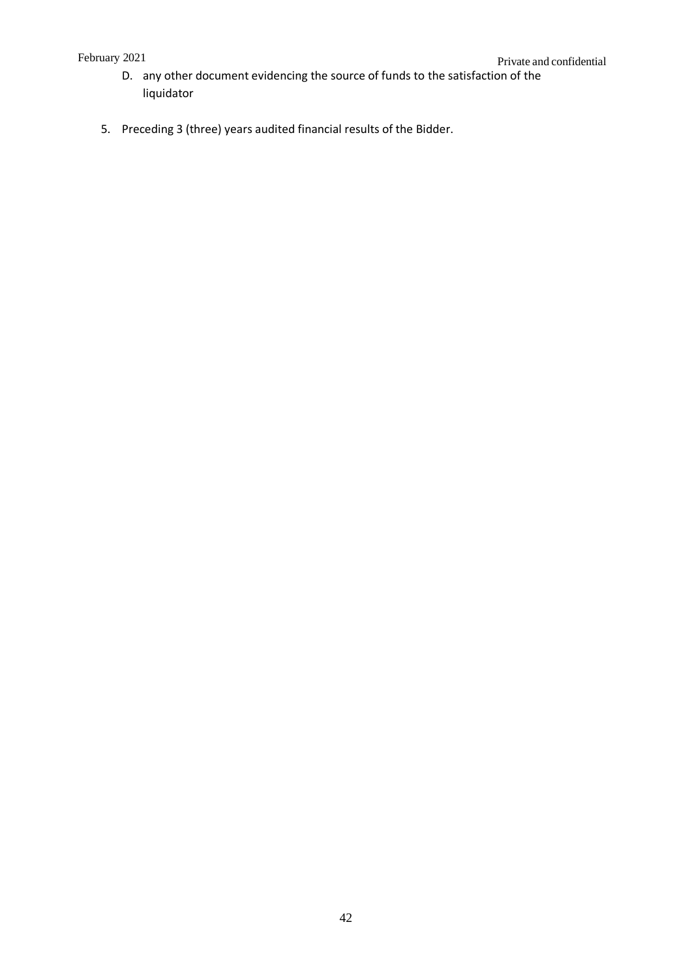- D. any other document evidencing the source of funds to the satisfaction of the liquidator
- <span id="page-42-0"></span>5. Preceding 3 (three) years audited financial results of the Bidder.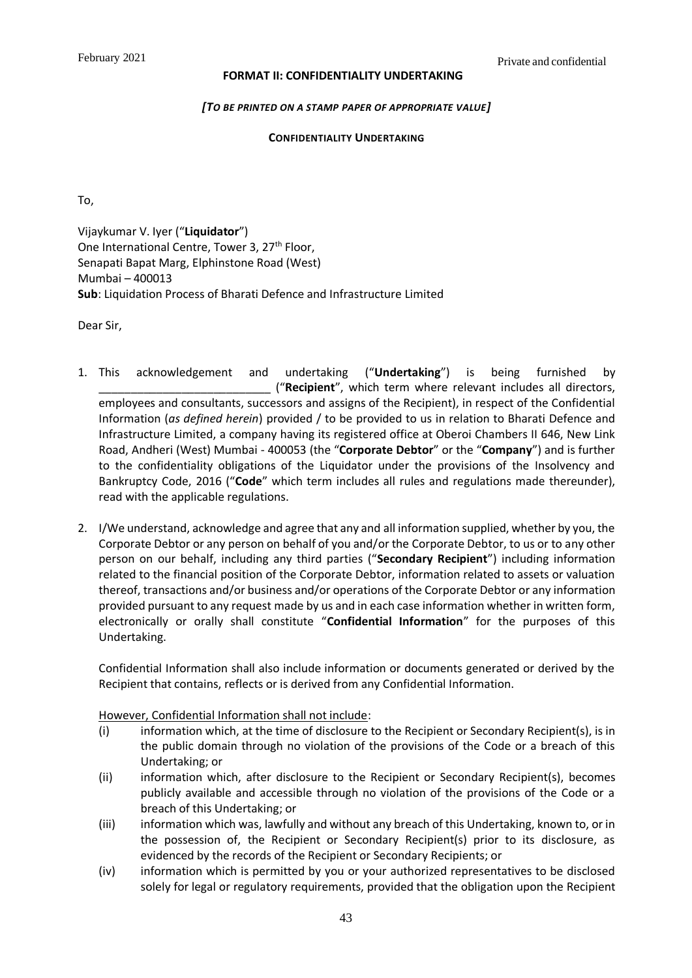### **FORMAT II: CONFIDENTIALITY UNDERTAKING**

## *[TO BE PRINTED ON A STAMP PAPER OF APPROPRIATE VALUE]*

## **CONFIDENTIALITY UNDERTAKING**

To,

Vijaykumar V. Iyer ("**Liquidator**") One International Centre, Tower 3, 27<sup>th</sup> Floor, Senapati Bapat Marg, Elphinstone Road (West) Mumbai – 400013 **Sub**: Liquidation Process of Bharati Defence and Infrastructure Limited

Dear Sir,

- 1. This acknowledgement and undertaking ("**Undertaking**") is being furnished by \_\_\_\_\_\_\_\_\_\_\_\_\_\_\_\_\_\_\_\_\_\_\_\_\_\_\_ ("**Recipient**", which term where relevant includes all directors, employees and consultants, successors and assigns of the Recipient), in respect of the Confidential Information (*as defined herein*) provided / to be provided to us in relation to Bharati Defence and Infrastructure Limited, a company having its registered office at Oberoi Chambers II 646, New Link Road, Andheri (West) Mumbai - 400053 (the "**Corporate Debtor**" or the "**Company**") and is further to the confidentiality obligations of the Liquidator under the provisions of the Insolvency and Bankruptcy Code, 2016 ("**Code**" which term includes all rules and regulations made thereunder), read with the applicable regulations.
- 2. I/We understand, acknowledge and agree that any and all information supplied, whether by you, the Corporate Debtor or any person on behalf of you and/or the Corporate Debtor, to us or to any other person on our behalf, including any third parties ("**Secondary Recipient**") including information related to the financial position of the Corporate Debtor, information related to assets or valuation thereof, transactions and/or business and/or operations of the Corporate Debtor or any information provided pursuant to any request made by us and in each case information whether in written form, electronically or orally shall constitute "**Confidential Information**" for the purposes of this Undertaking.

Confidential Information shall also include information or documents generated or derived by the Recipient that contains, reflects or is derived from any Confidential Information.

### However, Confidential Information shall not include:

- (i) information which, at the time of disclosure to the Recipient or Secondary Recipient(s), is in the public domain through no violation of the provisions of the Code or a breach of this Undertaking; or
- (ii) information which, after disclosure to the Recipient or Secondary Recipient(s), becomes publicly available and accessible through no violation of the provisions of the Code or a breach of this Undertaking; or
- (iii) information which was, lawfully and without any breach of this Undertaking, known to, or in the possession of, the Recipient or Secondary Recipient(s) prior to its disclosure, as evidenced by the records of the Recipient or Secondary Recipients; or
- (iv) information which is permitted by you or your authorized representatives to be disclosed solely for legal or regulatory requirements, provided that the obligation upon the Recipient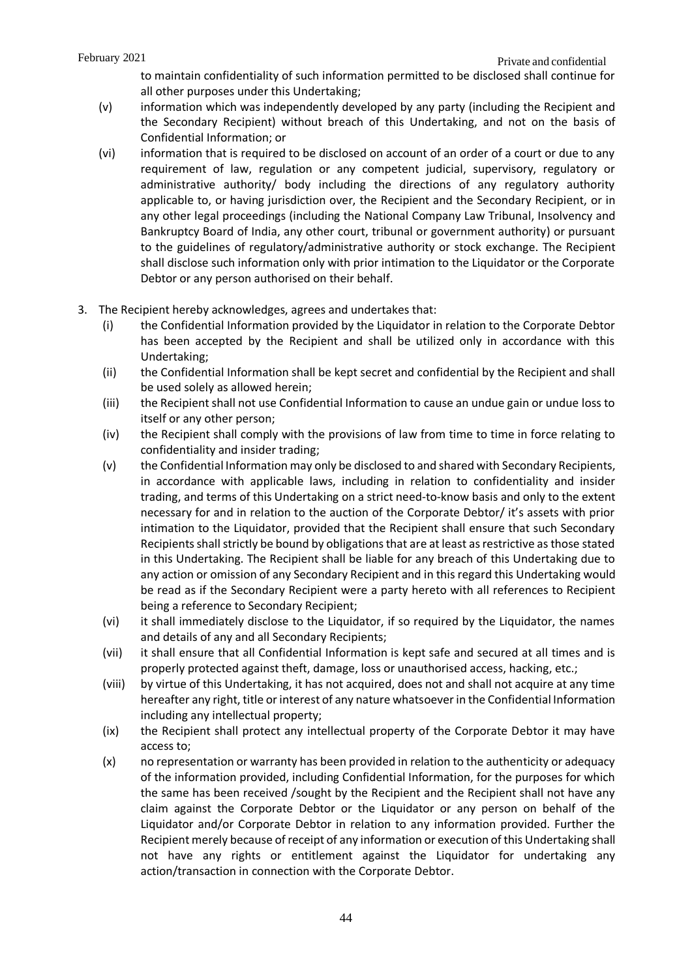to maintain confidentiality of such information permitted to be disclosed shall continue for all other purposes under this Undertaking;

- (v) information which was independently developed by any party (including the Recipient and the Secondary Recipient) without breach of this Undertaking, and not on the basis of Confidential Information; or
- (vi) information that is required to be disclosed on account of an order of a court or due to any requirement of law, regulation or any competent judicial, supervisory, regulatory or administrative authority/ body including the directions of any regulatory authority applicable to, or having jurisdiction over, the Recipient and the Secondary Recipient, or in any other legal proceedings (including the National Company Law Tribunal, Insolvency and Bankruptcy Board of India, any other court, tribunal or government authority) or pursuant to the guidelines of regulatory/administrative authority or stock exchange. The Recipient shall disclose such information only with prior intimation to the Liquidator or the Corporate Debtor or any person authorised on their behalf.
- 3. The Recipient hereby acknowledges, agrees and undertakes that:
	- (i) the Confidential Information provided by the Liquidator in relation to the Corporate Debtor has been accepted by the Recipient and shall be utilized only in accordance with this Undertaking;
	- (ii) the Confidential Information shall be kept secret and confidential by the Recipient and shall be used solely as allowed herein;
	- (iii) the Recipient shall not use Confidential Information to cause an undue gain or undue loss to itself or any other person;
	- (iv) the Recipient shall comply with the provisions of law from time to time in force relating to confidentiality and insider trading;
	- (v) the Confidential Information may only be disclosed to and shared with Secondary Recipients, in accordance with applicable laws, including in relation to confidentiality and insider trading, and terms of this Undertaking on a strict need-to-know basis and only to the extent necessary for and in relation to the auction of the Corporate Debtor/ it's assets with prior intimation to the Liquidator, provided that the Recipient shall ensure that such Secondary Recipients shall strictly be bound by obligations that are at least as restrictive as those stated in this Undertaking. The Recipient shall be liable for any breach of this Undertaking due to any action or omission of any Secondary Recipient and in this regard this Undertaking would be read as if the Secondary Recipient were a party hereto with all references to Recipient being a reference to Secondary Recipient;
	- (vi) it shall immediately disclose to the Liquidator, if so required by the Liquidator, the names and details of any and all Secondary Recipients;
	- (vii) it shall ensure that all Confidential Information is kept safe and secured at all times and is properly protected against theft, damage, loss or unauthorised access, hacking, etc.;
	- (viii) by virtue of this Undertaking, it has not acquired, does not and shall not acquire at any time hereafter any right, title or interest of any nature whatsoever in the Confidential Information including any intellectual property;
	- (ix) the Recipient shall protect any intellectual property of the Corporate Debtor it may have access to;
	- (x) no representation or warranty has been provided in relation to the authenticity or adequacy of the information provided, including Confidential Information, for the purposes for which the same has been received /sought by the Recipient and the Recipient shall not have any claim against the Corporate Debtor or the Liquidator or any person on behalf of the Liquidator and/or Corporate Debtor in relation to any information provided. Further the Recipient merely because of receipt of any information or execution of this Undertaking shall not have any rights or entitlement against the Liquidator for undertaking any action/transaction in connection with the Corporate Debtor.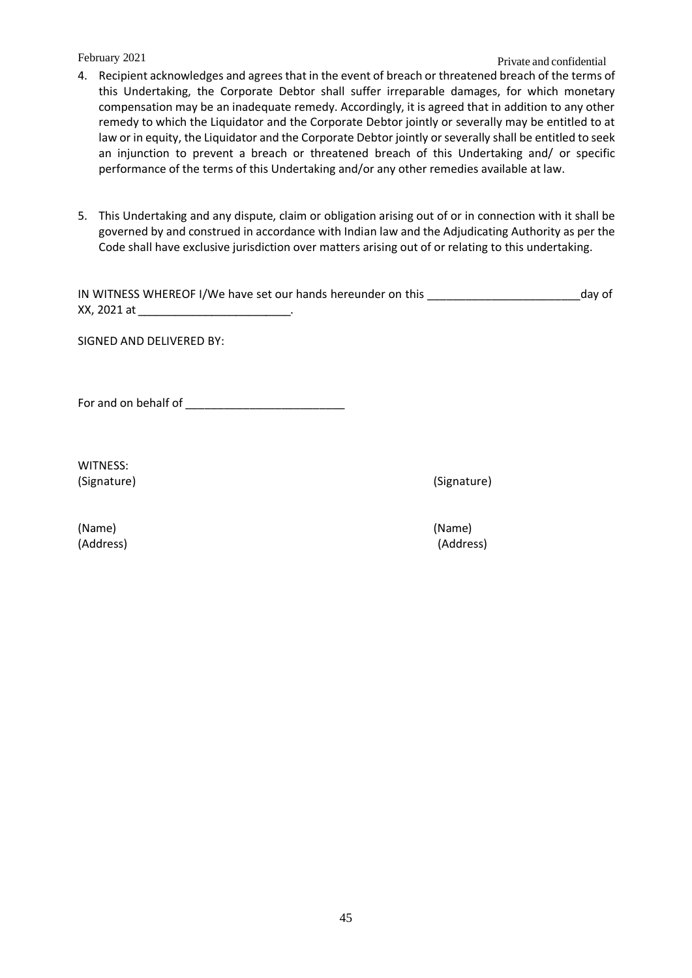## Private and confidential February 2021

- 4. Recipient acknowledges and agrees that in the event of breach or threatened breach of the terms of this Undertaking, the Corporate Debtor shall suffer irreparable damages, for which monetary compensation may be an inadequate remedy. Accordingly, it is agreed that in addition to any other remedy to which the Liquidator and the Corporate Debtor jointly or severally may be entitled to at law or in equity, the Liquidator and the Corporate Debtor jointly or severally shall be entitled to seek an injunction to prevent a breach or threatened breach of this Undertaking and/ or specific performance of the terms of this Undertaking and/or any other remedies available at law.
- 5. This Undertaking and any dispute, claim or obligation arising out of or in connection with it shall be governed by and construed in accordance with Indian law and the Adjudicating Authority as per the Code shall have exclusive jurisdiction over matters arising out of or relating to this undertaking.

| IN WITNESS WHEREOF I/We have set our hands hereunder on this | day of |
|--------------------------------------------------------------|--------|
| XX, 2021 at                                                  |        |

SIGNED AND DELIVERED BY:

For and on behalf of **EXECUTE:** 

WITNESS: (Signature) (Signature)

(Name) (Name)

(Address) (Address)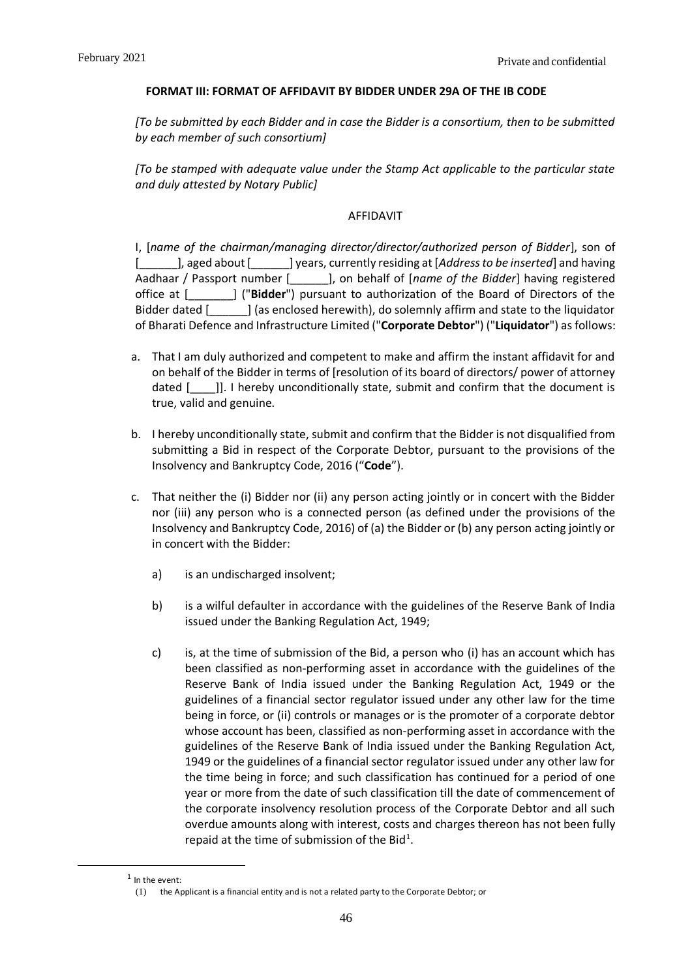#### **FORMAT III: FORMAT OF AFFIDAVIT BY BIDDER UNDER 29A OF THE IB CODE**

<span id="page-46-0"></span>*[To be submitted by each Bidder and in case the Bidder is a consortium, then to be submitted by each member of such consortium]* 

*[To be stamped with adequate value under the Stamp Act applicable to the particular state and duly attested by Notary Public]*

## AFFIDAVIT

I, [*name of the chairman/managing director/director/authorized person of Bidder*], son of [\_\_\_\_\_\_], aged about [\_\_\_\_\_\_] years, currently residing at [*Address to be inserted*] and having Aadhaar / Passport number [\_\_\_\_\_\_], on behalf of [*name of the Bidder*] having registered office at [\_\_\_\_\_\_\_] ("**Bidder**") pursuant to authorization of the Board of Directors of the Bidder dated [\_\_\_\_\_\_] (as enclosed herewith), do solemnly affirm and state to the liquidator of Bharati Defence and Infrastructure Limited ("**Corporate Debtor**") ("**Liquidator**") as follows:

- a. That I am duly authorized and competent to make and affirm the instant affidavit for and on behalf of the Bidder in terms of [resolution of its board of directors/ power of attorney dated [incl]]. I hereby unconditionally state, submit and confirm that the document is true, valid and genuine.
- b. I hereby unconditionally state, submit and confirm that the Bidder is not disqualified from submitting a Bid in respect of the Corporate Debtor, pursuant to the provisions of the Insolvency and Bankruptcy Code, 2016 ("**Code**").
- c. That neither the (i) Bidder nor (ii) any person acting jointly or in concert with the Bidder nor (iii) any person who is a connected person (as defined under the provisions of the Insolvency and Bankruptcy Code, 2016) of (a) the Bidder or (b) any person acting jointly or in concert with the Bidder:
	- a) is an undischarged insolvent;
	- b) is a wilful defaulter in accordance with the guidelines of the Reserve Bank of India issued under the Banking Regulation Act, 1949;
	- c) is, at the time of submission of the Bid, a person who (i) has an account which has been classified as non-performing asset in accordance with the guidelines of the Reserve Bank of India issued under the Banking Regulation Act, 1949 or the guidelines of a financial sector regulator issued under any other law for the time being in force, or (ii) controls or manages or is the promoter of a corporate debtor whose account has been, classified as non-performing asset in accordance with the guidelines of the Reserve Bank of India issued under the Banking Regulation Act, 1949 or the guidelines of a financial sector regulator issued under any other law for the time being in force; and such classification has continued for a period of one year or more from the date of such classification till the date of commencement of the corporate insolvency resolution process of the Corporate Debtor and all such overdue amounts along with interest, costs and charges thereon has not been fully repaid at the time of submission of the Bid<sup>1</sup>.

 $<sup>1</sup>$  In the event:</sup>

<sup>(1)</sup> the Applicant is a financial entity and is not a related party to the Corporate Debtor; or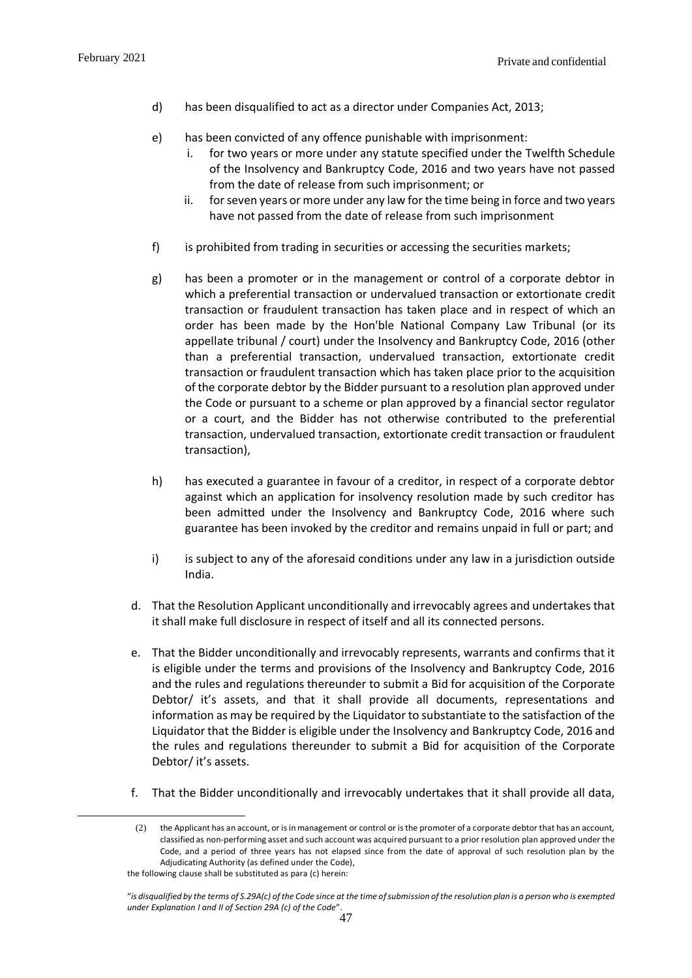- d) has been disqualified to act as a director under Companies Act, 2013;
- e) has been convicted of any offence punishable with imprisonment:
	- i. for two years or more under any statute specified under the Twelfth Schedule of the Insolvency and Bankruptcy Code, 2016 and two years have not passed from the date of release from such imprisonment; or
	- ii. for seven years or more under any law for the time being in force and two years have not passed from the date of release from such imprisonment
- f) is prohibited from trading in securities or accessing the securities markets;
- g) has been a promoter or in the management or control of a corporate debtor in which a preferential transaction or undervalued transaction or extortionate credit transaction or fraudulent transaction has taken place and in respect of which an order has been made by the Hon'ble National Company Law Tribunal (or its appellate tribunal / court) under the Insolvency and Bankruptcy Code, 2016 (other than a preferential transaction, undervalued transaction, extortionate credit transaction or fraudulent transaction which has taken place prior to the acquisition of the corporate debtor by the Bidder pursuant to a resolution plan approved under the Code or pursuant to a scheme or plan approved by a financial sector regulator or a court, and the Bidder has not otherwise contributed to the preferential transaction, undervalued transaction, extortionate credit transaction or fraudulent transaction),
- h) has executed a guarantee in favour of a creditor, in respect of a corporate debtor against which an application for insolvency resolution made by such creditor has been admitted under the Insolvency and Bankruptcy Code, 2016 where such guarantee has been invoked by the creditor and remains unpaid in full or part; and
- i) is subject to any of the aforesaid conditions under any law in a jurisdiction outside India.
- d. That the Resolution Applicant unconditionally and irrevocably agrees and undertakes that it shall make full disclosure in respect of itself and all its connected persons.
- e. That the Bidder unconditionally and irrevocably represents, warrants and confirms that it is eligible under the terms and provisions of the Insolvency and Bankruptcy Code, 2016 and the rules and regulations thereunder to submit a Bid for acquisition of the Corporate Debtor/ it's assets, and that it shall provide all documents, representations and information as may be required by the Liquidator to substantiate to the satisfaction of the Liquidator that the Bidder is eligible under the Insolvency and Bankruptcy Code, 2016 and the rules and regulations thereunder to submit a Bid for acquisition of the Corporate Debtor/ it's assets.
- f. That the Bidder unconditionally and irrevocably undertakes that it shall provide all data,

<sup>(2)</sup> the Applicant has an account, or is in management or control or is the promoter of a corporate debtor that has an account, classified as non-performing asset and such account was acquired pursuant to a prior resolution plan approved under the Code, and a period of three years has not elapsed since from the date of approval of such resolution plan by the Adjudicating Authority (as defined under the Code),

the following clause shall be substituted as para (c) herein:

<sup>&</sup>quot;*is disqualified by the terms of S.29A(c) of the Code since at the time of submission of the resolution plan is a person who is exempted under Explanation I and II of Section 29A (c) of the Code*".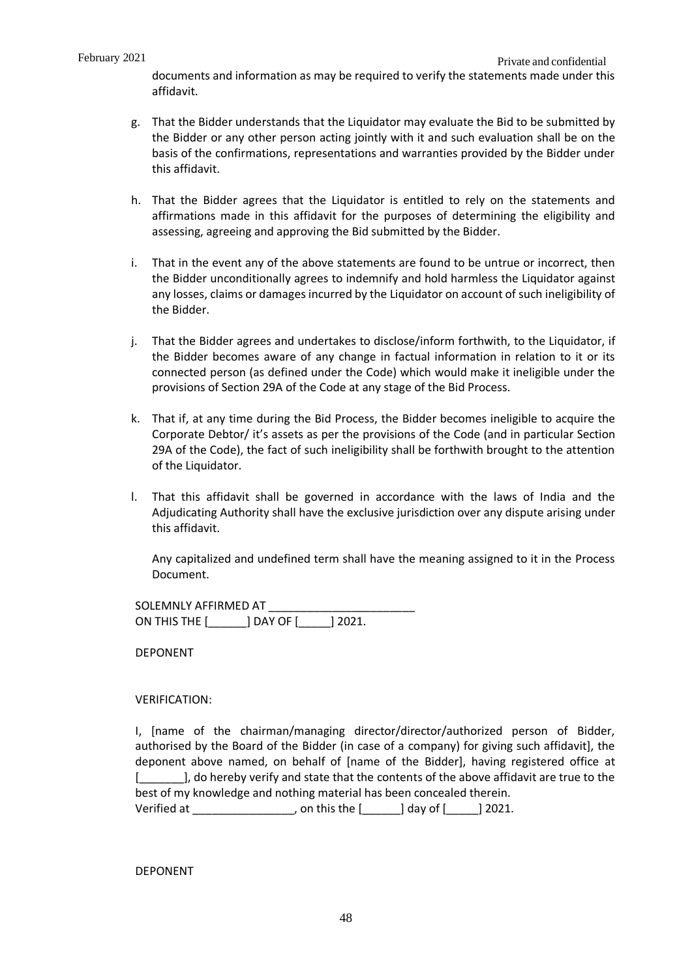documents and information as may be required to verify the statements made under this affidavit.

- g. That the Bidder understands that the Liquidator may evaluate the Bid to be submitted by the Bidder or any other person acting jointly with it and such evaluation shall be on the basis of the confirmations, representations and warranties provided by the Bidder under this affidavit.
- h. That the Bidder agrees that the Liquidator is entitled to rely on the statements and affirmations made in this affidavit for the purposes of determining the eligibility and assessing, agreeing and approving the Bid submitted by the Bidder.
- i. That in the event any of the above statements are found to be untrue or incorrect, then the Bidder unconditionally agrees to indemnify and hold harmless the Liquidator against any losses, claims or damages incurred by the Liquidator on account of such ineligibility of the Bidder.
- j. That the Bidder agrees and undertakes to disclose/inform forthwith, to the Liquidator, if the Bidder becomes aware of any change in factual information in relation to it or its connected person (as defined under the Code) which would make it ineligible under the provisions of Section 29A of the Code at any stage of the Bid Process.
- k. That if, at any time during the Bid Process, the Bidder becomes ineligible to acquire the Corporate Debtor/ it's assets as per the provisions of the Code (and in particular Section 29A of the Code), the fact of such ineligibility shall be forthwith brought to the attention of the Liquidator.
- l. That this affidavit shall be governed in accordance with the laws of India and the Adjudicating Authority shall have the exclusive jurisdiction over any dispute arising under this affidavit.

Any capitalized and undefined term shall have the meaning assigned to it in the Process Document.

SOLEMNLY AFFIRMED AT ON THIS THE [\_\_\_\_\_\_] DAY OF [\_\_\_\_\_] 2021.

DEPONENT

### VERIFICATION:

I, [name of the chairman/managing director/director/authorized person of Bidder, authorised by the Board of the Bidder (in case of a company) for giving such affidavit], the deponent above named, on behalf of [name of the Bidder], having registered office at [ $\Box$ ], do hereby verify and state that the contents of the above affidavit are true to the best of my knowledge and nothing material has been concealed therein. Verified at  $\qquad \qquad$  , on this the  $\qquad$   $\qquad$  day of  $\qquad$  2021.

DEPONENT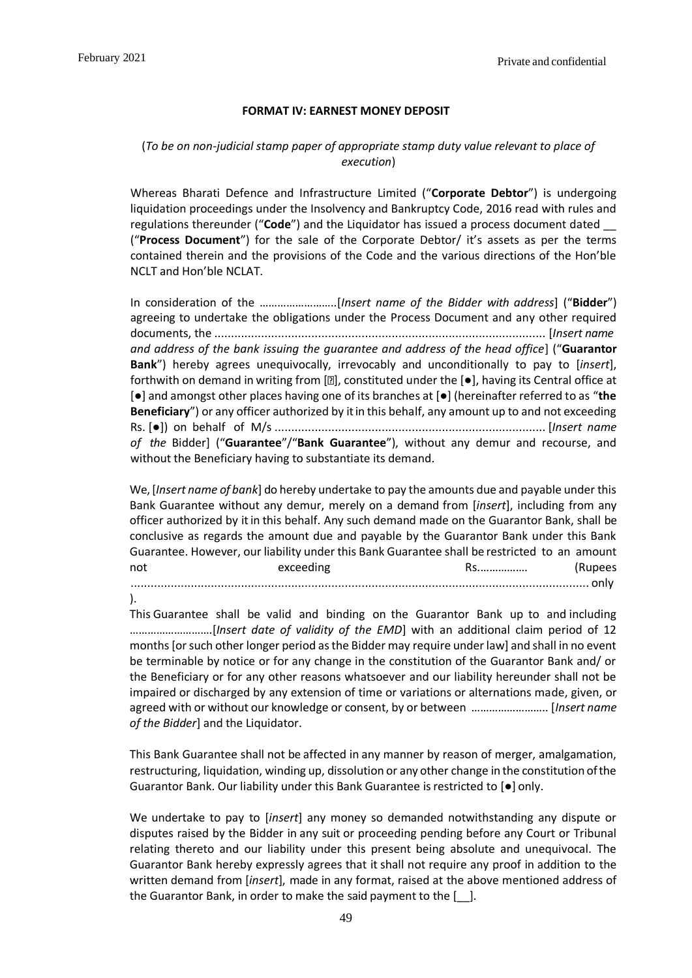#### **FORMAT IV: EARNEST MONEY DEPOSIT**

## <span id="page-49-0"></span>(*To be on non-judicial stamp paper of appropriate stamp duty value relevant to place of execution*)

Whereas Bharati Defence and Infrastructure Limited ("**Corporate Debtor**") is undergoing liquidation proceedings under the Insolvency and Bankruptcy Code, 2016 read with rules and regulations thereunder ("**Code**") and the Liquidator has issued a process document dated \_\_ ("**Process Document**") for the sale of the Corporate Debtor/ it's assets as per the terms contained therein and the provisions of the Code and the various directions of the Hon'ble NCLT and Hon'ble NCLAT.

In consideration of the ……………………..[*Insert name of the Bidder with address*] ("**Bidder**") agreeing to undertake the obligations under the Process Document and any other required documents, the ................................................................................................... [*Insert name and address of the bank issuing the guarantee and address of the head office*] ("**Guarantor Bank**") hereby agrees unequivocally, irrevocably and unconditionally to pay to [*insert*], forthwith on demand in writing from  $[2]$ , constituted under the  $[•]$ , having its Central office at [●] and amongst other places having one of its branches at [●] (hereinafter referred to as "**the Beneficiary**") or any officer authorized by it in this behalf, any amount up to and not exceeding Rs. [●]) on behalf of M/s ................................................................................. [*Insert name of the* Bidder] ("**Guarantee**"/"**Bank Guarantee**"), without any demur and recourse, and without the Beneficiary having to substantiate its demand.

We, [*Insert name of bank*] do hereby undertake to pay the amounts due and payable under this Bank Guarantee without any demur, merely on a demand from [*insert*], including from any officer authorized by it in this behalf. Any such demand made on the Guarantor Bank, shall be conclusive as regards the amount due and payable by the Guarantor Bank under this Bank Guarantee. However, our liability under this Bank Guarantee shall be restricted to an amount not exceeding Rs.……………. (Rupees ......................................................................................................................................... only

).

This Guarantee shall be valid and binding on the Guarantor Bank up to and including ……………………….[*Insert date of validity of the EMD*] with an additional claim period of 12 months [or such other longer period as the Bidder may require under law] and shall in no event be terminable by notice or for any change in the constitution of the Guarantor Bank and/ or the Beneficiary or for any other reasons whatsoever and our liability hereunder shall not be impaired or discharged by any extension of time or variations or alternations made, given, or agreed with or without our knowledge or consent, by or between …………………….. [*Insert name of the Bidder*] and the Liquidator.

This Bank Guarantee shall not be affected in any manner by reason of merger, amalgamation, restructuring, liquidation, winding up, dissolution or any other change in the constitution ofthe Guarantor Bank. Our liability under this Bank Guarantee is restricted to [●] only.

We undertake to pay to [*insert*] any money so demanded notwithstanding any dispute or disputes raised by the Bidder in any suit or proceeding pending before any Court or Tribunal relating thereto and our liability under this present being absolute and unequivocal. The Guarantor Bank hereby expressly agrees that it shall not require any proof in addition to the written demand from [*insert*], made in any format, raised at the above mentioned address of the Guarantor Bank, in order to make the said payment to the [\_\_]*.*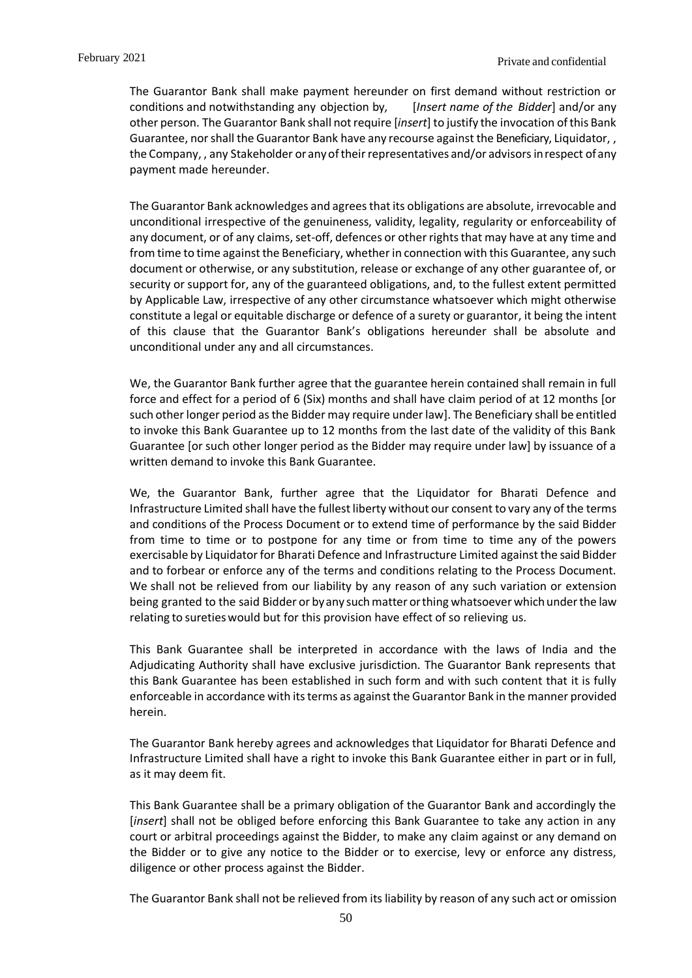The Guarantor Bank shall make payment hereunder on first demand without restriction or conditions and notwithstanding any objection by, [*Insert name of the Bidder*] and/or any other person. The Guarantor Bank shall notrequire [*insert*] to justify the invocation ofthis Bank Guarantee, nor shall the Guarantor Bank have any recourse against the Beneficiary, Liquidator,, the Company, , any Stakeholder or anyoftheirrepresentatives and/or advisorsinrespect ofany payment made hereunder.

The Guarantor Bank acknowledges and agrees that its obligations are absolute, irrevocable and unconditional irrespective of the genuineness, validity, legality, regularity or enforceability of any document, or of any claims, set-off, defences or other rights that may have at any time and from time to time against the Beneficiary, whether in connection with this Guarantee, any such document or otherwise, or any substitution, release or exchange of any other guarantee of, or security or support for, any of the guaranteed obligations, and, to the fullest extent permitted by Applicable Law, irrespective of any other circumstance whatsoever which might otherwise constitute a legal or equitable discharge or defence of a surety or guarantor, it being the intent of this clause that the Guarantor Bank's obligations hereunder shall be absolute and unconditional under any and all circumstances.

We, the Guarantor Bank further agree that the guarantee herein contained shall remain in full force and effect for a period of 6 (Six) months and shall have claim period of at 12 months [or such other longer period as the Bidder may require under law]. The Beneficiary shall be entitled to invoke this Bank Guarantee up to 12 months from the last date of the validity of this Bank Guarantee [or such other longer period as the Bidder may require under law] by issuance of a written demand to invoke this Bank Guarantee.

We, the Guarantor Bank, further agree that the Liquidator for Bharati Defence and Infrastructure Limited shall have the fullest liberty without our consent to vary any of the terms and conditions of the Process Document or to extend time of performance by the said Bidder from time to time or to postpone for any time or from time to time any of the powers exercisable by Liquidator for Bharati Defence and Infrastructure Limited against the said Bidder and to forbear or enforce any of the terms and conditions relating to the Process Document. We shall not be relieved from our liability by any reason of any such variation or extension being granted to the said Bidder or by any such matter or thing whatsoever which under the law relating to sureties would but for this provision have effect of so relieving us.

This Bank Guarantee shall be interpreted in accordance with the laws of India and the Adjudicating Authority shall have exclusive jurisdiction. The Guarantor Bank represents that this Bank Guarantee has been established in such form and with such content that it is fully enforceable in accordance with its terms as against the Guarantor Bank in the manner provided herein.

The Guarantor Bank hereby agrees and acknowledges that Liquidator for Bharati Defence and Infrastructure Limited shall have a right to invoke this Bank Guarantee either in part or in full, as it may deem fit.

This Bank Guarantee shall be a primary obligation of the Guarantor Bank and accordingly the [*insert*] shall not be obliged before enforcing this Bank Guarantee to take any action in any court or arbitral proceedings against the Bidder, to make any claim against or any demand on the Bidder or to give any notice to the Bidder or to exercise, levy or enforce any distress, diligence or other process against the Bidder.

The Guarantor Bank shall not be relieved from its liability by reason of any such act or omission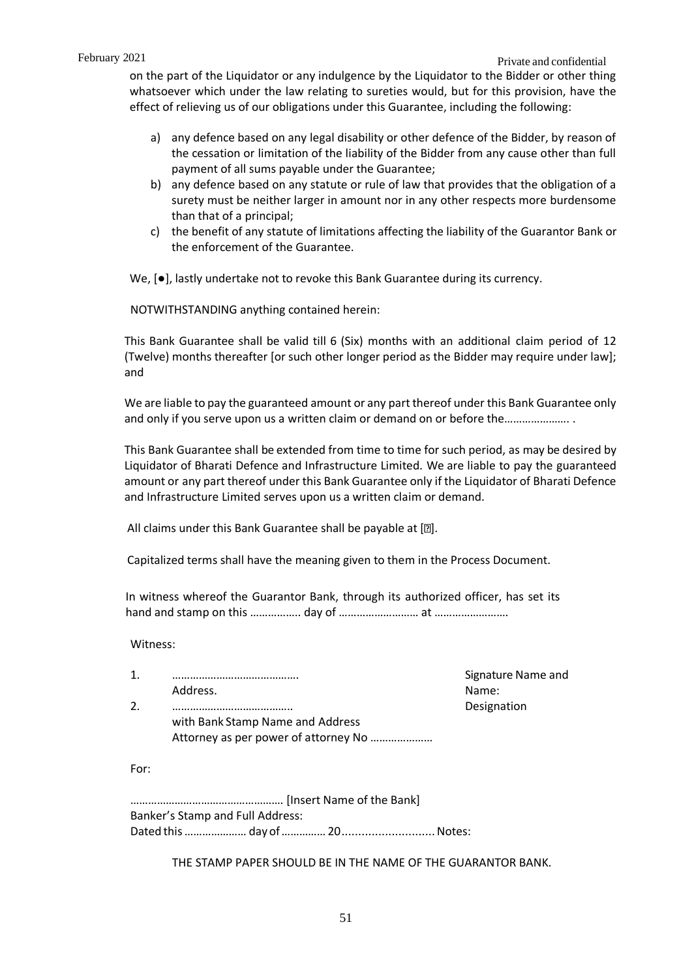on the part of the Liquidator or any indulgence by the Liquidator to the Bidder or other thing whatsoever which under the law relating to sureties would, but for this provision, have the effect of relieving us of our obligations under this Guarantee, including the following:

- a) any defence based on any legal disability or other defence of the Bidder, by reason of the cessation or limitation of the liability of the Bidder from any cause other than full payment of all sums payable under the Guarantee;
- b) any defence based on any statute or rule of law that provides that the obligation of a surety must be neither larger in amount nor in any other respects more burdensome than that of a principal;
- c) the benefit of any statute of limitations affecting the liability of the Guarantor Bank or the enforcement of the Guarantee.

We,  $[●]$ , lastly undertake not to revoke this Bank Guarantee during its currency.

NOTWITHSTANDING anything contained herein:

This Bank Guarantee shall be valid till 6 (Six) months with an additional claim period of 12 (Twelve) months thereafter [or such other longer period as the Bidder may require under law]; and

We are liable to pay the guaranteed amount or any part thereof under this Bank Guarantee only and only if you serve upon us a written claim or demand on or before the………………….

This Bank Guarantee shall be extended from time to time for such period, as may be desired by Liquidator of Bharati Defence and Infrastructure Limited*.* We are liable to pay the guaranteed amount or any part thereof under this Bank Guarantee only if the Liquidator of Bharati Defence and Infrastructure Limited serves upon us a written claim or demand.

All claims under this Bank Guarantee shall be payable at [2].

Capitalized terms shall have the meaning given to them in the Process Document.

In witness whereof the Guarantor Bank, through its authorized officer, has set its hand and stamp on this …………….. day of ……………………… at …………………….

Witness:

| 1.   |                                      | Signature Name and |
|------|--------------------------------------|--------------------|
|      | Address.                             | Name:              |
| 2.   |                                      | Designation        |
|      | with Bank Stamp Name and Address     |                    |
|      | Attorney as per power of attorney No |                    |
| For: |                                      |                    |
|      |                                      |                    |
|      | Banker's Stamp and Full Address:     |                    |

Dated this………………… day of……………20............................Notes:

THE STAMP PAPER SHOULD BE IN THE NAME OF THE GUARANTOR BANK.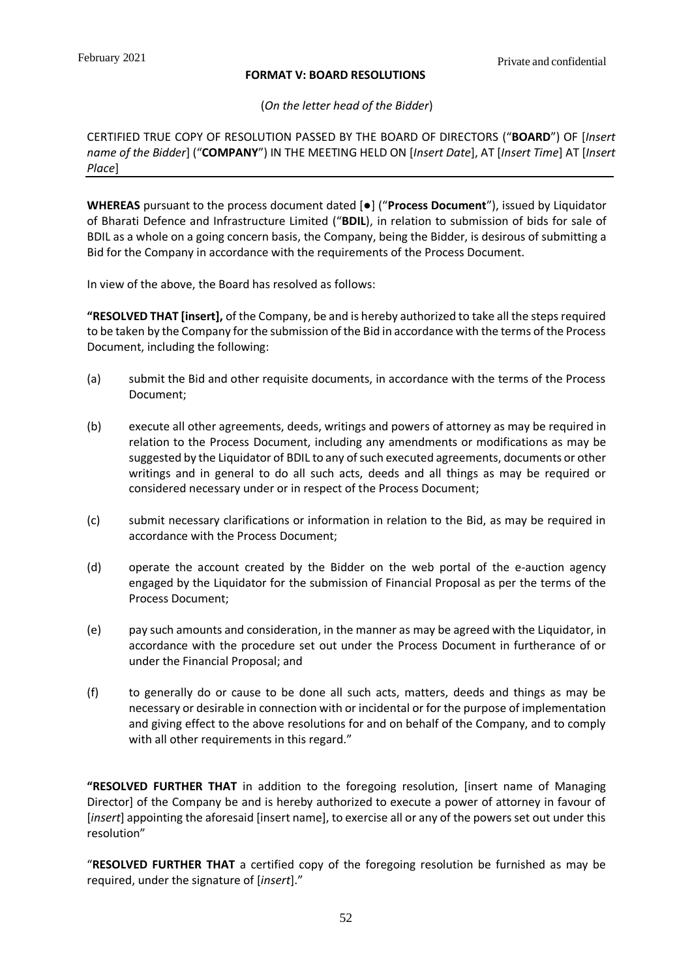## **FORMAT V: BOARD RESOLUTIONS**

(*On the letter head of the Bidder*)

<span id="page-52-0"></span>CERTIFIED TRUE COPY OF RESOLUTION PASSED BY THE BOARD OF DIRECTORS ("**BOARD**") OF [*Insert name of the Bidder*] ("**COMPANY**") IN THE MEETING HELD ON [*Insert Date*], AT [*Insert Time*] AT [*Insert Place*]

**WHEREAS** pursuant to the process document dated [●] ("**Process Document**"), issued by Liquidator of Bharati Defence and Infrastructure Limited ("**BDIL**), in relation to submission of bids for sale of BDIL as a whole on a going concern basis, the Company, being the Bidder, is desirous of submitting a Bid for the Company in accordance with the requirements of the Process Document.

In view of the above, the Board has resolved as follows:

**"RESOLVED THAT [insert],** of the Company, be and is hereby authorized to take all the steps required to be taken by the Company for the submission of the Bid in accordance with the terms of the Process Document, including the following:

- (a) submit the Bid and other requisite documents, in accordance with the terms of the Process Document;
- (b) execute all other agreements, deeds, writings and powers of attorney as may be required in relation to the Process Document, including any amendments or modifications as may be suggested by the Liquidator of BDIL to any of such executed agreements, documents or other writings and in general to do all such acts, deeds and all things as may be required or considered necessary under or in respect of the Process Document;
- (c) submit necessary clarifications or information in relation to the Bid, as may be required in accordance with the Process Document;
- (d) operate the account created by the Bidder on the web portal of the e-auction agency engaged by the Liquidator for the submission of Financial Proposal as per the terms of the Process Document;
- (e) pay such amounts and consideration, in the manner as may be agreed with the Liquidator, in accordance with the procedure set out under the Process Document in furtherance of or under the Financial Proposal; and
- (f) to generally do or cause to be done all such acts, matters, deeds and things as may be necessary or desirable in connection with or incidental or for the purpose of implementation and giving effect to the above resolutions for and on behalf of the Company, and to comply with all other requirements in this regard."

**"RESOLVED FURTHER THAT** in addition to the foregoing resolution, [insert name of Managing Director] of the Company be and is hereby authorized to execute a power of attorney in favour of [*insert*] appointing the aforesaid [insert name], to exercise all or any of the powers set out under this resolution"

"**RESOLVED FURTHER THAT** a certified copy of the foregoing resolution be furnished as may be required, under the signature of [*insert*]."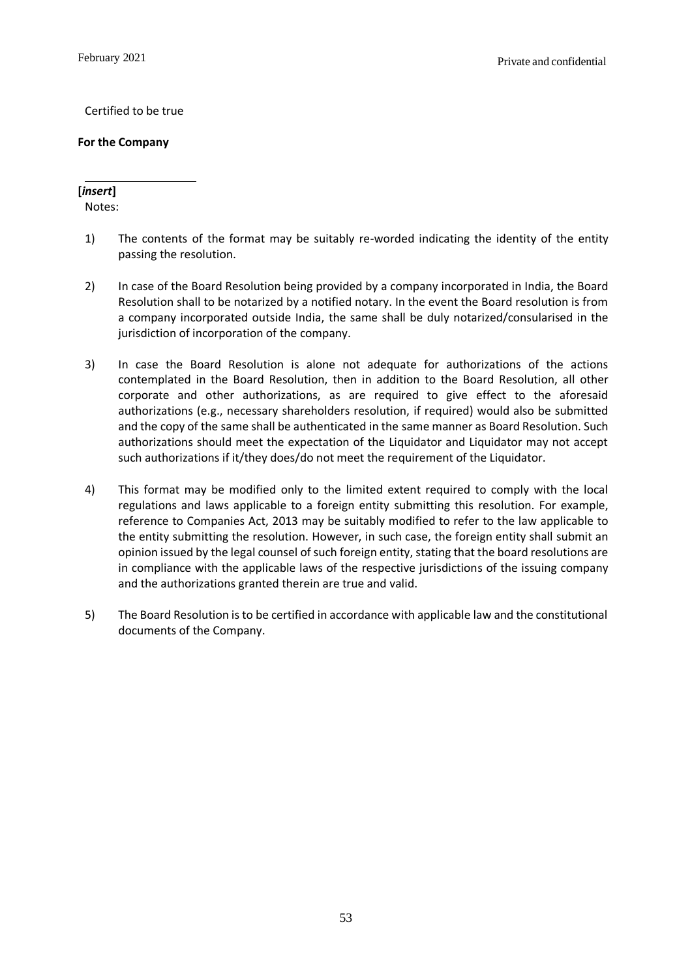## Certified to be true

## **For the Company**

## **[***insert***]**

Notes:

- 1) The contents of the format may be suitably re-worded indicating the identity of the entity passing the resolution.
- 2) In case of the Board Resolution being provided by a company incorporated in India, the Board Resolution shall to be notarized by a notified notary. In the event the Board resolution is from a company incorporated outside India, the same shall be duly notarized/consularised in the jurisdiction of incorporation of the company.
- 3) In case the Board Resolution is alone not adequate for authorizations of the actions contemplated in the Board Resolution, then in addition to the Board Resolution, all other corporate and other authorizations, as are required to give effect to the aforesaid authorizations (e.g., necessary shareholders resolution, if required) would also be submitted and the copy of the same shall be authenticated in the same manner as Board Resolution. Such authorizations should meet the expectation of the Liquidator and Liquidator may not accept such authorizations if it/they does/do not meet the requirement of the Liquidator.
- 4) This format may be modified only to the limited extent required to comply with the local regulations and laws applicable to a foreign entity submitting this resolution. For example, reference to Companies Act, 2013 may be suitably modified to refer to the law applicable to the entity submitting the resolution. However, in such case, the foreign entity shall submit an opinion issued by the legal counsel of such foreign entity, stating that the board resolutions are in compliance with the applicable laws of the respective jurisdictions of the issuing company and the authorizations granted therein are true and valid.
- 5) The Board Resolution is to be certified in accordance with applicable law and the constitutional documents of the Company.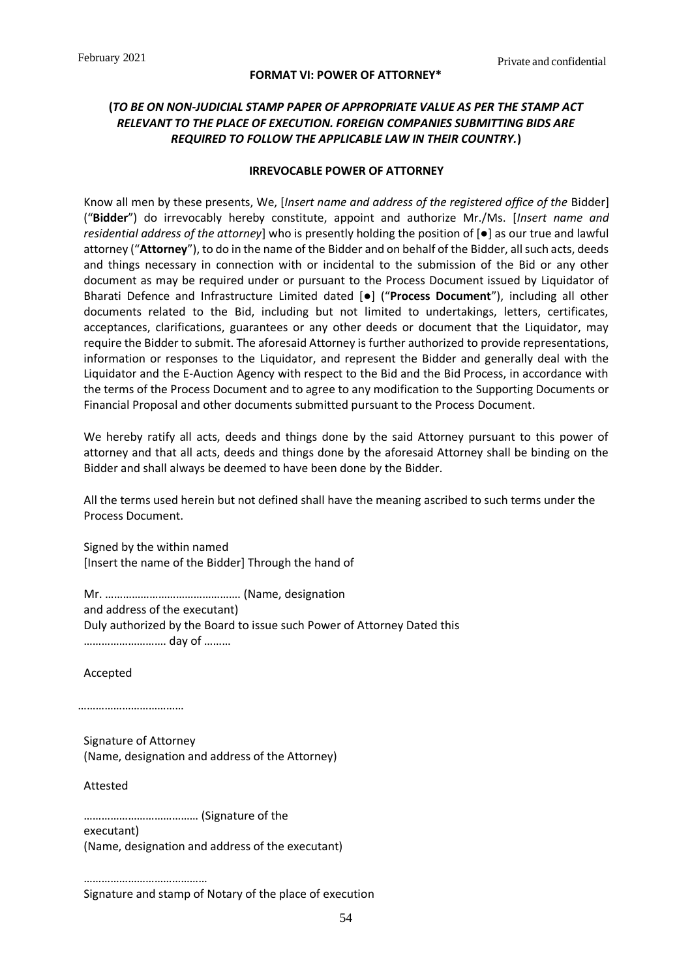#### **FORMAT VI: POWER OF ATTORNEY\***

## <span id="page-54-0"></span>**(***TO BE ON NON-JUDICIAL STAMP PAPER OF APPROPRIATE VALUE AS PER THE STAMP ACT RELEVANT TO THE PLACE OF EXECUTION. FOREIGN COMPANIES SUBMITTING BIDS ARE REQUIRED TO FOLLOW THE APPLICABLE LAW IN THEIR COUNTRY.***)**

#### **IRREVOCABLE POWER OF ATTORNEY**

Know all men by these presents, We, [*Insert name and address of the registered office of the* Bidder] ("**Bidder**") do irrevocably hereby constitute, appoint and authorize Mr./Ms. [*Insert name and residential address of the attorney*] who is presently holding the position of [●] as our true and lawful attorney ("**Attorney**"), to do in the name of the Bidder and on behalf of the Bidder, all such acts, deeds and things necessary in connection with or incidental to the submission of the Bid or any other document as may be required under or pursuant to the Process Document issued by Liquidator of Bharati Defence and Infrastructure Limited dated [●] ("**Process Document**"), including all other documents related to the Bid, including but not limited to undertakings, letters, certificates, acceptances, clarifications, guarantees or any other deeds or document that the Liquidator, may require the Bidder to submit. The aforesaid Attorney is further authorized to provide representations, information or responses to the Liquidator, and represent the Bidder and generally deal with the Liquidator and the E-Auction Agency with respect to the Bid and the Bid Process, in accordance with the terms of the Process Document and to agree to any modification to the Supporting Documents or Financial Proposal and other documents submitted pursuant to the Process Document.

We hereby ratify all acts, deeds and things done by the said Attorney pursuant to this power of attorney and that all acts, deeds and things done by the aforesaid Attorney shall be binding on the Bidder and shall always be deemed to have been done by the Bidder.

All the terms used herein but not defined shall have the meaning ascribed to such terms under the Process Document.

Signed by the within named [Insert the name of the Bidder] Through the hand of

Mr. ………………………………………. (Name, designation and address of the executant) Duly authorized by the Board to issue such Power of Attorney Dated this ………………………. day of ………

Accepted

……………………………

Signature of Attorney (Name, designation and address of the Attorney)

Attested

………………………………… (Signature of the

executant)

(Name, designation and address of the executant)

……………………………………… Signature and stamp of Notary of the place of execution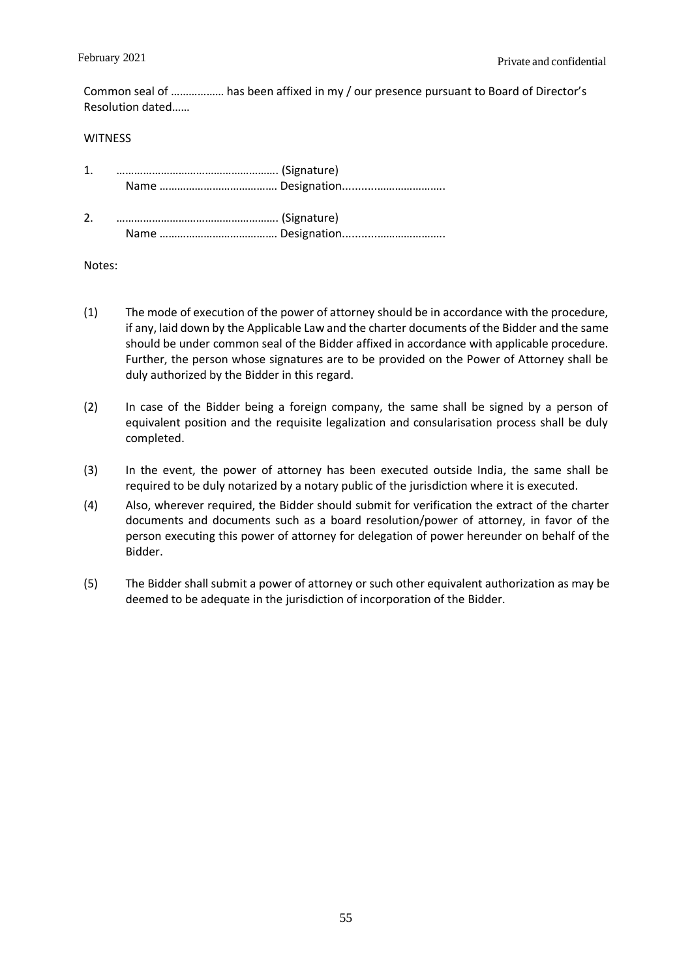Common seal of ……………… has been affixed in my / our presence pursuant to Board of Director's Resolution dated……

#### **WITNESS**

| $\mathbf{1}$ . |  |
|----------------|--|
| 2.             |  |

### Notes:

- (1) The mode of execution of the power of attorney should be in accordance with the procedure, if any, laid down by the Applicable Law and the charter documents of the Bidder and the same should be under common seal of the Bidder affixed in accordance with applicable procedure. Further, the person whose signatures are to be provided on the Power of Attorney shall be duly authorized by the Bidder in this regard.
- (2) In case of the Bidder being a foreign company, the same shall be signed by a person of equivalent position and the requisite legalization and consularisation process shall be duly completed.
- (3) In the event, the power of attorney has been executed outside India, the same shall be required to be duly notarized by a notary public of the jurisdiction where it is executed.
- (4) Also, wherever required, the Bidder should submit for verification the extract of the charter documents and documents such as a board resolution/power of attorney, in favor of the person executing this power of attorney for delegation of power hereunder on behalf of the Bidder.
- (5) The Bidder shall submit a power of attorney or such other equivalent authorization as may be deemed to be adequate in the jurisdiction of incorporation of the Bidder.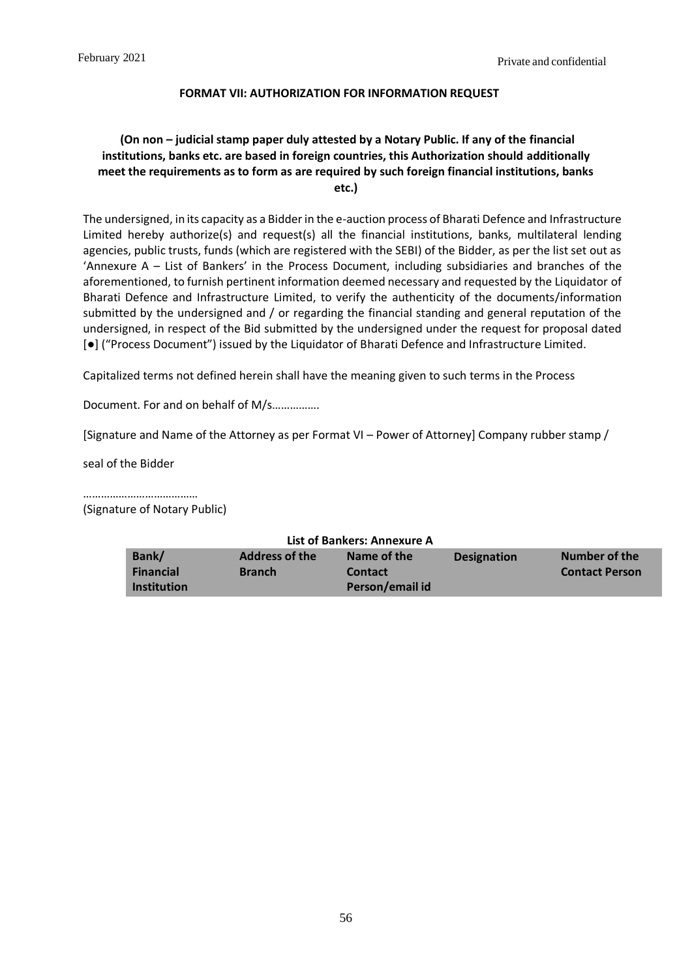## **FORMAT VII: AUTHORIZATION FOR INFORMATION REQUEST**

## <span id="page-56-0"></span>**(On non – judicial stamp paper duly attested by a Notary Public. If any of the financial institutions, banks etc. are based in foreign countries, this Authorization should additionally meet the requirements as to form as are required by such foreign financial institutions, banks etc.)**

The undersigned, in its capacity as a Bidder in the e-auction process of Bharati Defence and Infrastructure Limited hereby authorize(s) and request(s) all the financial institutions, banks, multilateral lending agencies, public trusts, funds (which are registered with the SEBI) of the Bidder, as per the list set out as 'Annexure A – List of Bankers' in the Process Document, including subsidiaries and branches of the aforementioned, to furnish pertinent information deemed necessary and requested by the Liquidator of Bharati Defence and Infrastructure Limited, to verify the authenticity of the documents/information submitted by the undersigned and / or regarding the financial standing and general reputation of the undersigned, in respect of the Bid submitted by the undersigned under the request for proposal dated [●] ("Process Document") issued by the Liquidator of Bharati Defence and Infrastructure Limited.

Capitalized terms not defined herein shall have the meaning given to such terms in the Process

Document. For and on behalf of M/s…………….

[Signature and Name of the Attorney as per Format VI – Power of Attorney] Company rubber stamp /

seal of the Bidder

…………………………………

(Signature of Notary Public)

| List of Bankers: Annexure A |                       |                 |                    |                       |  |
|-----------------------------|-----------------------|-----------------|--------------------|-----------------------|--|
| Bank/                       | <b>Address of the</b> | Name of the     | <b>Designation</b> | Number of the         |  |
| <b>Financial</b>            | <b>Branch</b>         | <b>Contact</b>  |                    | <b>Contact Person</b> |  |
| <b>Institution</b>          |                       | Person/email id |                    |                       |  |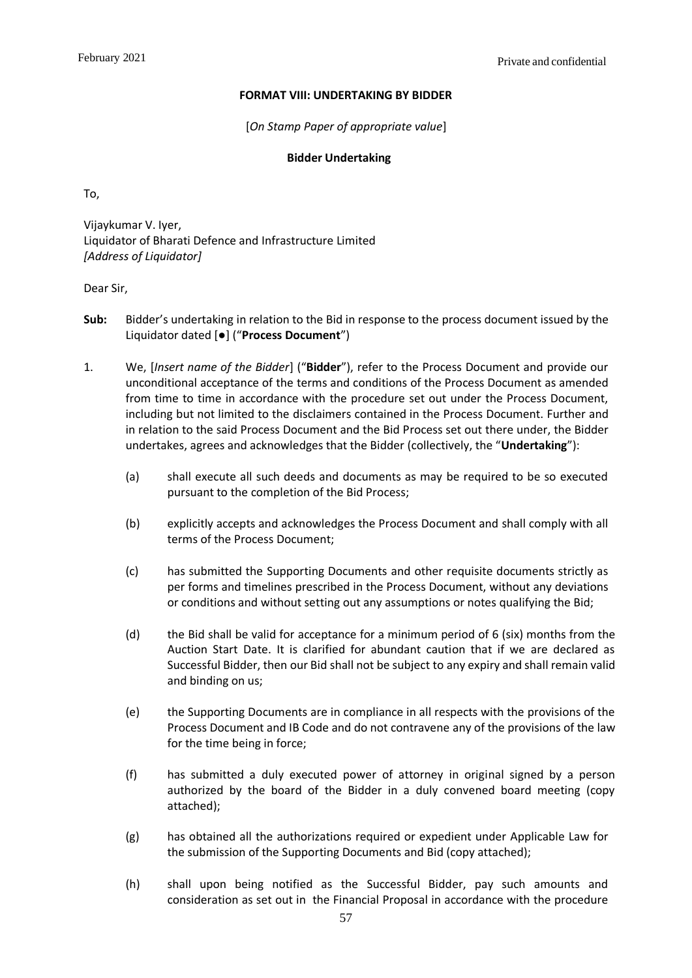### **FORMAT VIII: UNDERTAKING BY BIDDER**

[*On Stamp Paper of appropriate value*]

## **Bidder Undertaking**

<span id="page-57-0"></span>To,

Vijaykumar V. Iyer, Liquidator of Bharati Defence and Infrastructure Limited *[Address of Liquidator]*

Dear Sir,

- **Sub:** Bidder's undertaking in relation to the Bid in response to the process document issued by the Liquidator dated [●] ("**Process Document**")
- 1. We, [*Insert name of the Bidder*] ("**Bidder**"), refer to the Process Document and provide our unconditional acceptance of the terms and conditions of the Process Document as amended from time to time in accordance with the procedure set out under the Process Document, including but not limited to the disclaimers contained in the Process Document. Further and in relation to the said Process Document and the Bid Process set out there under, the Bidder undertakes, agrees and acknowledges that the Bidder (collectively, the "**Undertaking**"):
	- (a) shall execute all such deeds and documents as may be required to be so executed pursuant to the completion of the Bid Process;
	- (b) explicitly accepts and acknowledges the Process Document and shall comply with all terms of the Process Document;
	- (c) has submitted the Supporting Documents and other requisite documents strictly as per forms and timelines prescribed in the Process Document, without any deviations or conditions and without setting out any assumptions or notes qualifying the Bid;
	- (d) the Bid shall be valid for acceptance for a minimum period of  $6$  (six) months from the Auction Start Date. It is clarified for abundant caution that if we are declared as Successful Bidder, then our Bid shall not be subject to any expiry and shall remain valid and binding on us;
	- (e) the Supporting Documents are in compliance in all respects with the provisions of the Process Document and IB Code and do not contravene any of the provisions of the law for the time being in force;
	- (f) has submitted a duly executed power of attorney in original signed by a person authorized by the board of the Bidder in a duly convened board meeting (copy attached);
	- (g) has obtained all the authorizations required or expedient under Applicable Law for the submission of the Supporting Documents and Bid (copy attached);
	- (h) shall upon being notified as the Successful Bidder, pay such amounts and consideration as set out in the Financial Proposal in accordance with the procedure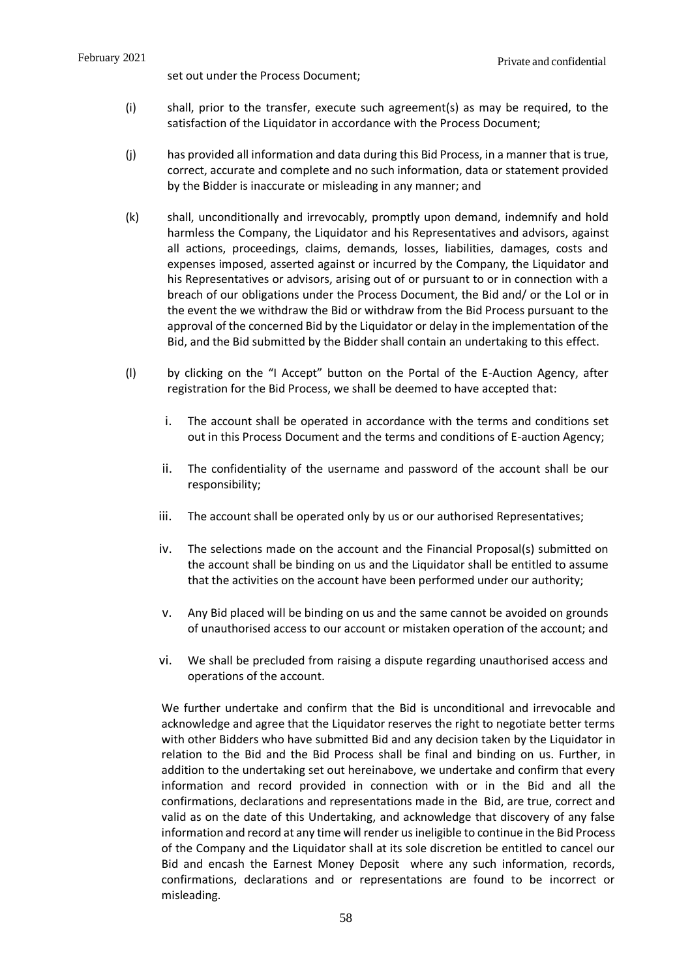- (i) shall, prior to the transfer, execute such agreement(s) as may be required, to the satisfaction of the Liquidator in accordance with the Process Document;
- (j) has provided all information and data during this Bid Process, in a manner that is true, correct, accurate and complete and no such information, data or statement provided by the Bidder is inaccurate or misleading in any manner; and
- (k) shall, unconditionally and irrevocably, promptly upon demand, indemnify and hold harmless the Company, the Liquidator and his Representatives and advisors, against all actions, proceedings, claims, demands, losses, liabilities, damages, costs and expenses imposed, asserted against or incurred by the Company, the Liquidator and his Representatives or advisors, arising out of or pursuant to or in connection with a breach of our obligations under the Process Document, the Bid and/ or the LoI or in the event the we withdraw the Bid or withdraw from the Bid Process pursuant to the approval of the concerned Bid by the Liquidator or delay in the implementation of the Bid, and the Bid submitted by the Bidder shall contain an undertaking to this effect.
- (l) by clicking on the "I Accept" button on the Portal of the E-Auction Agency, after registration for the Bid Process, we shall be deemed to have accepted that:
	- i. The account shall be operated in accordance with the terms and conditions set out in this Process Document and the terms and conditions of E-auction Agency;
	- ii. The confidentiality of the username and password of the account shall be our responsibility;
	- iii. The account shall be operated only by us or our authorised Representatives;
	- iv. The selections made on the account and the Financial Proposal(s) submitted on the account shall be binding on us and the Liquidator shall be entitled to assume that the activities on the account have been performed under our authority;
	- v. Any Bid placed will be binding on us and the same cannot be avoided on grounds of unauthorised access to our account or mistaken operation of the account; and
	- vi. We shall be precluded from raising a dispute regarding unauthorised access and operations of the account.

We further undertake and confirm that the Bid is unconditional and irrevocable and acknowledge and agree that the Liquidator reserves the right to negotiate better terms with other Bidders who have submitted Bid and any decision taken by the Liquidator in relation to the Bid and the Bid Process shall be final and binding on us. Further, in addition to the undertaking set out hereinabove, we undertake and confirm that every information and record provided in connection with or in the Bid and all the confirmations, declarations and representations made in the Bid, are true, correct and valid as on the date of this Undertaking, and acknowledge that discovery of any false information and record at any time will render usineligible to continue in the Bid Process of the Company and the Liquidator shall at its sole discretion be entitled to cancel our Bid and encash the Earnest Money Deposit where any such information, records, confirmations, declarations and or representations are found to be incorrect or misleading.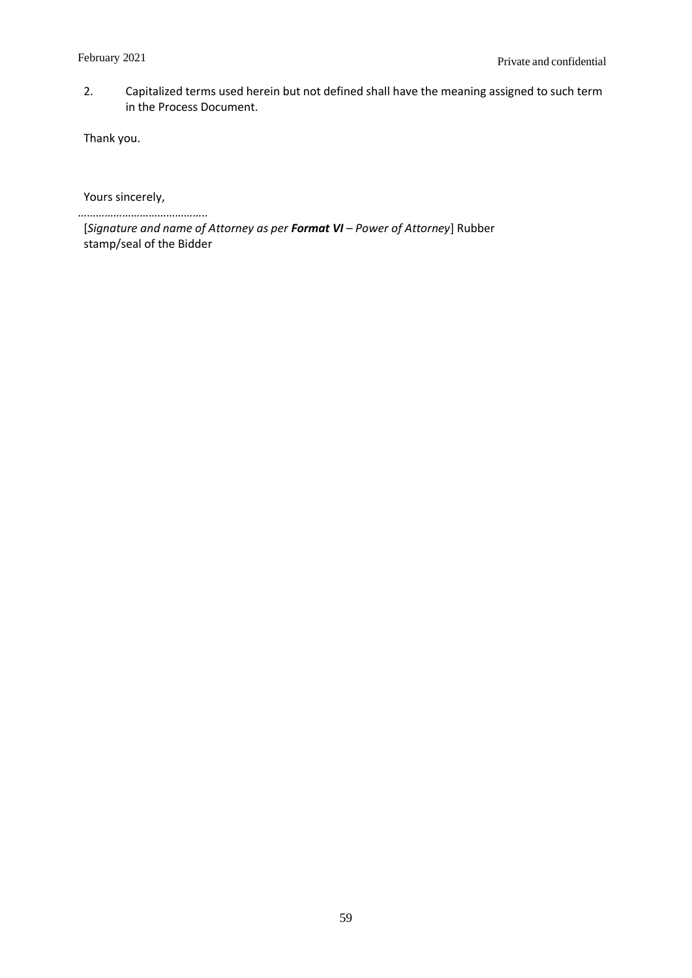2. Capitalized terms used herein but not defined shall have the meaning assigned to such term in the Process Document.

Thank you.

Yours sincerely,

……………………………………..

[*Signature and name of Attorney as per Format VI – Power of Attorney*] Rubber stamp/seal of the Bidder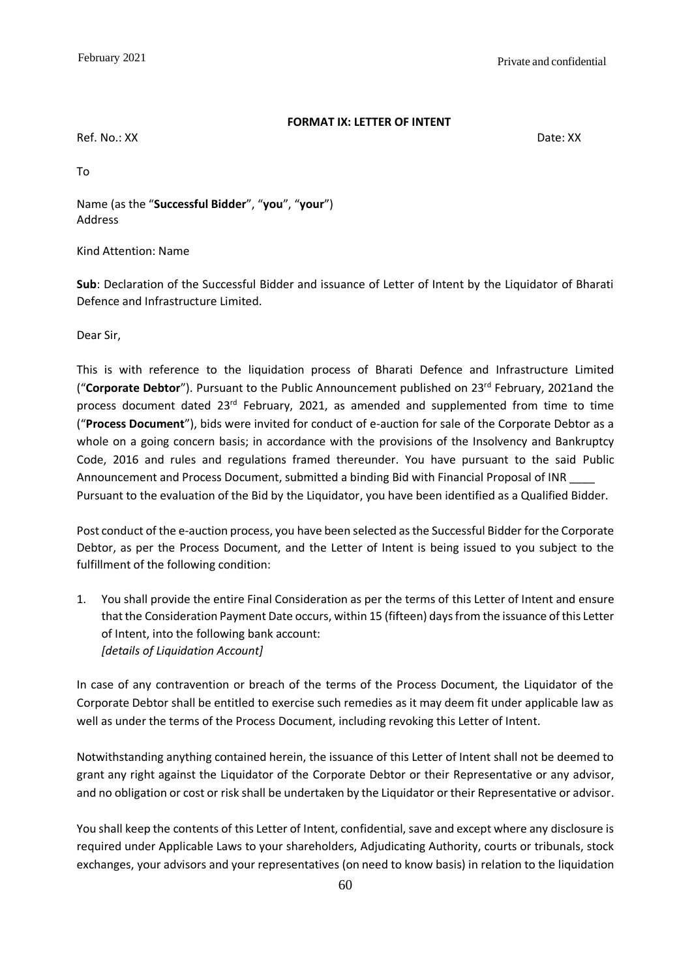### **FORMAT IX: LETTER OF INTENT**

<span id="page-60-0"></span>Ref. No.: XX Date: XX

To

Name (as the "**Successful Bidder**", "**you**", "**your**") Address

Kind Attention: Name

**Sub**: Declaration of the Successful Bidder and issuance of Letter of Intent by the Liquidator of Bharati Defence and Infrastructure Limited.

Dear Sir,

This is with reference to the liquidation process of Bharati Defence and Infrastructure Limited ("Corporate Debtor"). Pursuant to the Public Announcement published on 23<sup>rd</sup> February, 2021and the process document dated 23rd February, 2021, as amended and supplemented from time to time ("**Process Document**"), bids were invited for conduct of e-auction for sale of the Corporate Debtor as a whole on a going concern basis; in accordance with the provisions of the Insolvency and Bankruptcy Code, 2016 and rules and regulations framed thereunder. You have pursuant to the said Public Announcement and Process Document, submitted a binding Bid with Financial Proposal of INR Pursuant to the evaluation of the Bid by the Liquidator, you have been identified as a Qualified Bidder.

Post conduct of the e-auction process, you have been selected as the Successful Bidder for the Corporate Debtor, as per the Process Document, and the Letter of Intent is being issued to you subject to the fulfillment of the following condition:

1. You shall provide the entire Final Consideration as per the terms of this Letter of Intent and ensure that the Consideration Payment Date occurs, within 15 (fifteen) days from the issuance of this Letter of Intent, into the following bank account: *[details of Liquidation Account]*

In case of any contravention or breach of the terms of the Process Document, the Liquidator of the Corporate Debtor shall be entitled to exercise such remedies as it may deem fit under applicable law as well as under the terms of the Process Document, including revoking this Letter of Intent.

Notwithstanding anything contained herein, the issuance of this Letter of Intent shall not be deemed to grant any right against the Liquidator of the Corporate Debtor or their Representative or any advisor, and no obligation or cost or risk shall be undertaken by the Liquidator or their Representative or advisor.

You shall keep the contents of this Letter of Intent, confidential, save and except where any disclosure is required under Applicable Laws to your shareholders, Adjudicating Authority, courts or tribunals, stock exchanges, your advisors and your representatives (on need to know basis) in relation to the liquidation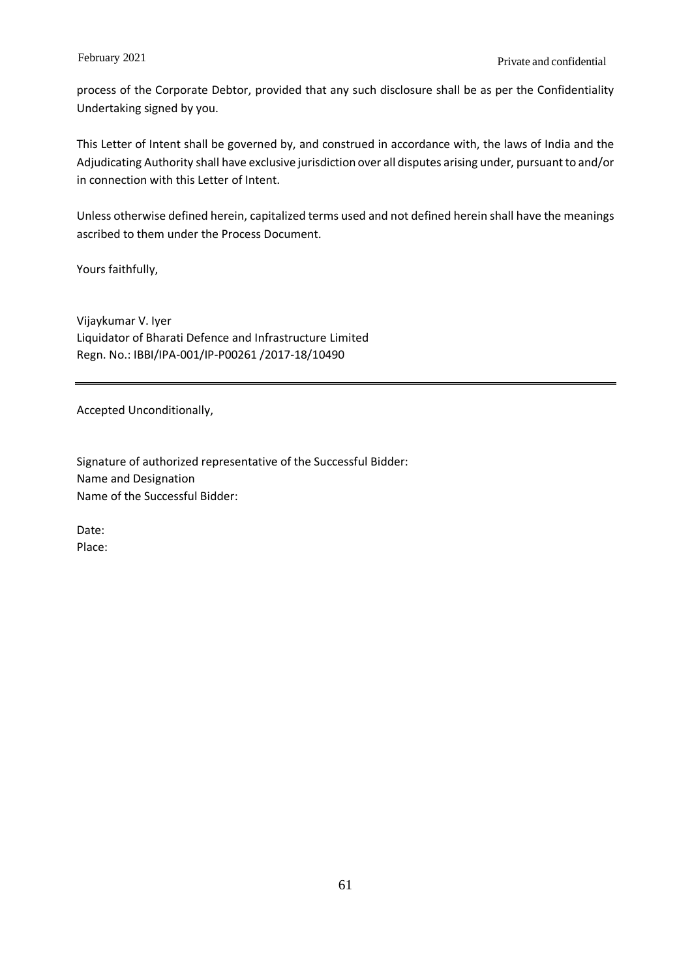process of the Corporate Debtor, provided that any such disclosure shall be as per the Confidentiality Undertaking signed by you.

This Letter of Intent shall be governed by, and construed in accordance with, the laws of India and the Adjudicating Authority shall have exclusive jurisdiction over all disputes arising under, pursuant to and/or in connection with this Letter of Intent.

Unless otherwise defined herein, capitalized terms used and not defined herein shall have the meanings ascribed to them under the Process Document.

Yours faithfully,

Vijaykumar V. Iyer Liquidator of Bharati Defence and Infrastructure Limited Regn. No.: IBBI/IPA-001/IP-P00261 /2017-18/10490

Accepted Unconditionally,

Signature of authorized representative of the Successful Bidder: Name and Designation Name of the Successful Bidder:

Date: Place: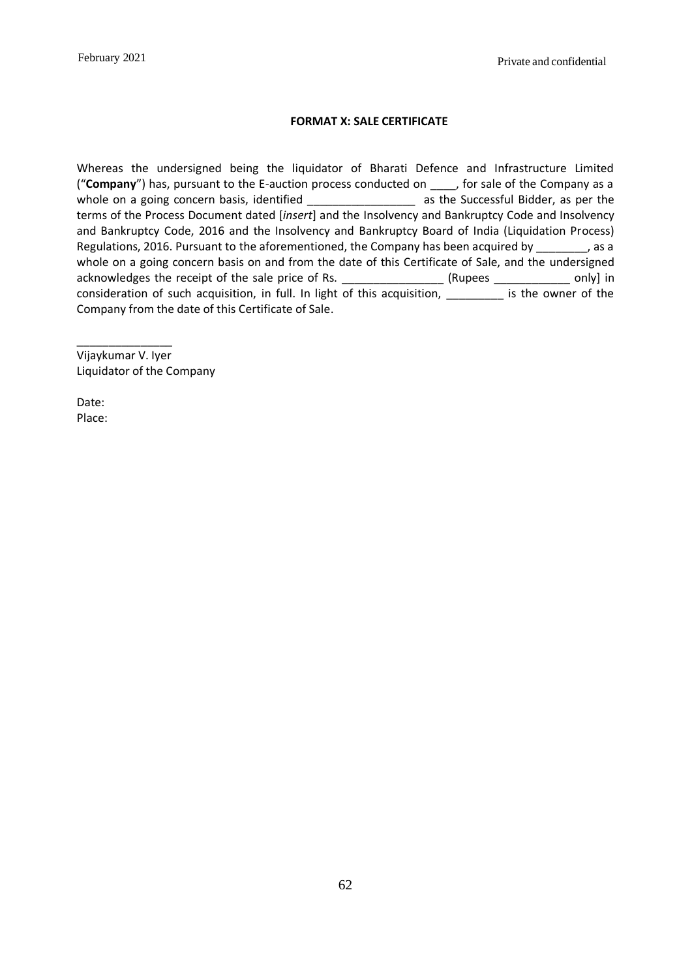## **FORMAT X: SALE CERTIFICATE**

<span id="page-62-0"></span>Whereas the undersigned being the liquidator of Bharati Defence and Infrastructure Limited ("**Company**") has, pursuant to the E-auction process conducted on \_\_\_\_, for sale of the Company as a whole on a going concern basis, identified \_\_\_\_\_\_\_\_\_\_\_\_\_\_\_\_\_\_\_\_\_\_\_\_ as the Successful Bidder, as per the terms of the Process Document dated [*insert*] and the Insolvency and Bankruptcy Code and Insolvency and Bankruptcy Code, 2016 and the Insolvency and Bankruptcy Board of India (Liquidation Process) Regulations, 2016. Pursuant to the aforementioned, the Company has been acquired by \_\_\_\_\_\_\_\_, as a whole on a going concern basis on and from the date of this Certificate of Sale, and the undersigned acknowledges the receipt of the sale price of Rs. \_\_\_\_\_\_\_\_\_\_\_\_\_\_\_\_\_\_\_(Rupees \_\_\_\_\_\_\_\_\_\_\_\_\_\_ only] in consideration of such acquisition, in full. In light of this acquisition, \_\_\_\_\_\_\_\_\_ is the owner of the Company from the date of this Certificate of Sale.

Vijaykumar V. Iyer Liquidator of the Company

\_\_\_\_\_\_\_\_\_\_\_\_\_\_\_

Date: Place: